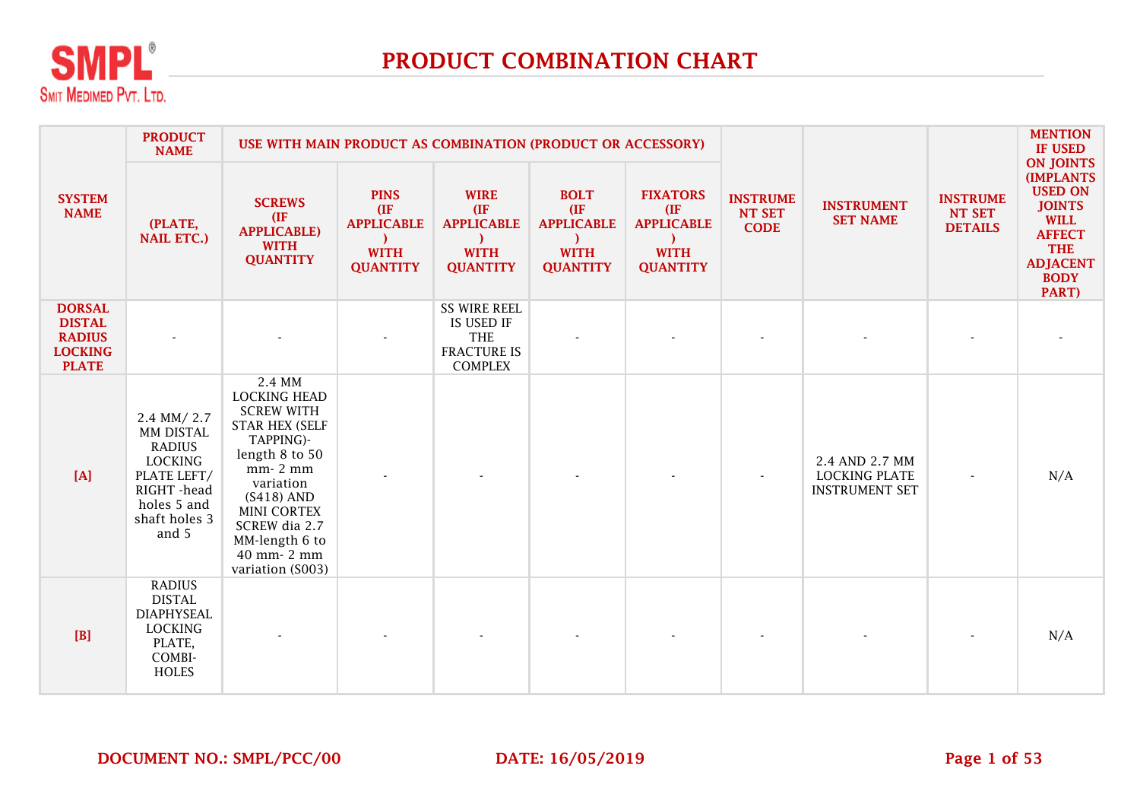

|                                                                                   | <b>PRODUCT</b><br><b>NAME</b>                                                                                                     | USE WITH MAIN PRODUCT AS COMBINATION (PRODUCT OR ACCESSORY)                                                                                                                                                                             |                                                                            |                                                                                         |                                                                            |                                                                                |                                                 |                                                                 | <b>INSTRUME</b><br>NT SET<br><b>DETAILS</b> | <b>MENTION</b><br><b>IF USED</b>                                                                                                                                 |
|-----------------------------------------------------------------------------------|-----------------------------------------------------------------------------------------------------------------------------------|-----------------------------------------------------------------------------------------------------------------------------------------------------------------------------------------------------------------------------------------|----------------------------------------------------------------------------|-----------------------------------------------------------------------------------------|----------------------------------------------------------------------------|--------------------------------------------------------------------------------|-------------------------------------------------|-----------------------------------------------------------------|---------------------------------------------|------------------------------------------------------------------------------------------------------------------------------------------------------------------|
| <b>SYSTEM</b><br><b>NAME</b>                                                      | (PLATE,<br><b>NAIL ETC.)</b>                                                                                                      | <b>SCREWS</b><br>(IF)<br><b>APPLICABLE)</b><br><b>WITH</b><br><b>QUANTITY</b>                                                                                                                                                           | <b>PINS</b><br>(IF)<br><b>APPLICABLE</b><br><b>WITH</b><br><b>QUANTITY</b> | <b>WIRE</b><br>(IF)<br><b>APPLICABLE</b><br><b>WITH</b><br><b>QUANTITY</b>              | <b>BOLT</b><br>(IF)<br><b>APPLICABLE</b><br><b>WITH</b><br><b>QUANTITY</b> | <b>FIXATORS</b><br>(IF)<br><b>APPLICABLE</b><br><b>WITH</b><br><b>QUANTITY</b> | <b>INSTRUME</b><br><b>NT SET</b><br><b>CODE</b> | <b>INSTRUMENT</b><br><b>SET NAME</b>                            |                                             | <b>ON JOINTS</b><br><b>(IMPLANTS</b><br><b>USED ON</b><br><b>JOINTS</b><br><b>WILL</b><br><b>AFFECT</b><br><b>THE</b><br><b>ADJACENT</b><br><b>BODY</b><br>PART) |
| <b>DORSAL</b><br><b>DISTAL</b><br><b>RADIUS</b><br><b>LOCKING</b><br><b>PLATE</b> |                                                                                                                                   |                                                                                                                                                                                                                                         |                                                                            | <b>SS WIRE REEL</b><br>IS USED IF<br><b>THE</b><br><b>FRACTURE IS</b><br><b>COMPLEX</b> |                                                                            |                                                                                |                                                 |                                                                 |                                             |                                                                                                                                                                  |
| [A]                                                                               | 2.4 MM/2.7<br>MM DISTAL<br><b>RADIUS</b><br><b>LOCKING</b><br>PLATE LEFT/<br>RIGHT -head<br>holes 5 and<br>shaft holes 3<br>and 5 | 2.4 MM<br><b>LOCKING HEAD</b><br><b>SCREW WITH</b><br><b>STAR HEX (SELF</b><br>TAPPING)-<br>length 8 to 50<br>mm-2 mm<br>variation<br>$(S418)$ AND<br>MINI CORTEX<br>SCREW dia 2.7<br>MM-length 6 to<br>40 mm- 2 mm<br>variation (S003) |                                                                            |                                                                                         |                                                                            |                                                                                |                                                 | 2.4 AND 2.7 MM<br><b>LOCKING PLATE</b><br><b>INSTRUMENT SET</b> |                                             | N/A                                                                                                                                                              |
| [B]                                                                               | <b>RADIUS</b><br><b>DISTAL</b><br><b>DIAPHYSEAL</b><br><b>LOCKING</b><br>PLATE,<br>COMBI-<br><b>HOLES</b>                         |                                                                                                                                                                                                                                         |                                                                            |                                                                                         |                                                                            |                                                                                |                                                 |                                                                 |                                             | N/A                                                                                                                                                              |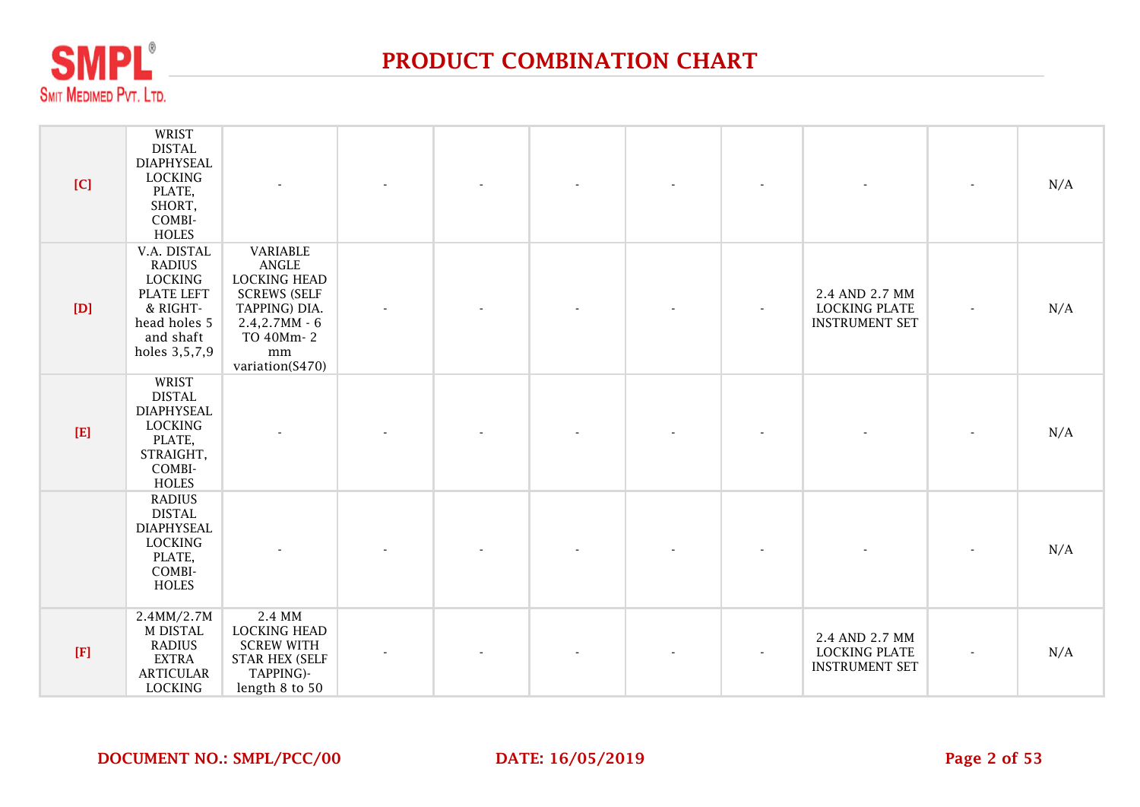

| [C]         | WRIST<br><b>DISTAL</b><br><b>DIAPHYSEAL</b><br><b>LOCKING</b><br>PLATE,<br>SHORT,<br>COMBI-<br><b>HOLES</b>                   | $\blacksquare$                                                                                                                             |  |  |                          |                                                                 | N/A |
|-------------|-------------------------------------------------------------------------------------------------------------------------------|--------------------------------------------------------------------------------------------------------------------------------------------|--|--|--------------------------|-----------------------------------------------------------------|-----|
| [D]         | V.A. DISTAL<br><b>RADIUS</b><br><b>LOCKING</b><br><b>PLATE LEFT</b><br>& RIGHT-<br>head holes 5<br>and shaft<br>holes 3,5,7,9 | VARIABLE<br>ANGLE<br><b>LOCKING HEAD</b><br><b>SCREWS (SELF</b><br>TAPPING) DIA.<br>$2.4, 2.7MM - 6$<br>TO 40Mm-2<br>mm<br>variation(S470) |  |  | $\overline{\phantom{a}}$ | 2.4 AND 2.7 MM<br><b>LOCKING PLATE</b><br><b>INSTRUMENT SET</b> | N/A |
| $[E]$       | WRIST<br><b>DISTAL</b><br><b>DIAPHYSEAL</b><br><b>LOCKING</b><br>PLATE,<br>STRAIGHT,<br>COMBI-<br><b>HOLES</b>                |                                                                                                                                            |  |  |                          |                                                                 | N/A |
|             | <b>RADIUS</b><br><b>DISTAL</b><br><b>DIAPHYSEAL</b><br><b>LOCKING</b><br>PLATE,<br>COMBI-<br>HOLES                            |                                                                                                                                            |  |  |                          |                                                                 | N/A |
| $[{\bf F}]$ | 2.4MM/2.7M<br>M DISTAL<br><b>RADIUS</b><br><b>EXTRA</b><br><b>ARTICULAR</b><br><b>LOCKING</b>                                 | 2.4 MM<br><b>LOCKING HEAD</b><br><b>SCREW WITH</b><br><b>STAR HEX (SELF</b><br>TAPPING)-<br>length 8 to 50                                 |  |  |                          | 2.4 AND 2.7 MM<br><b>LOCKING PLATE</b><br><b>INSTRUMENT SET</b> | N/A |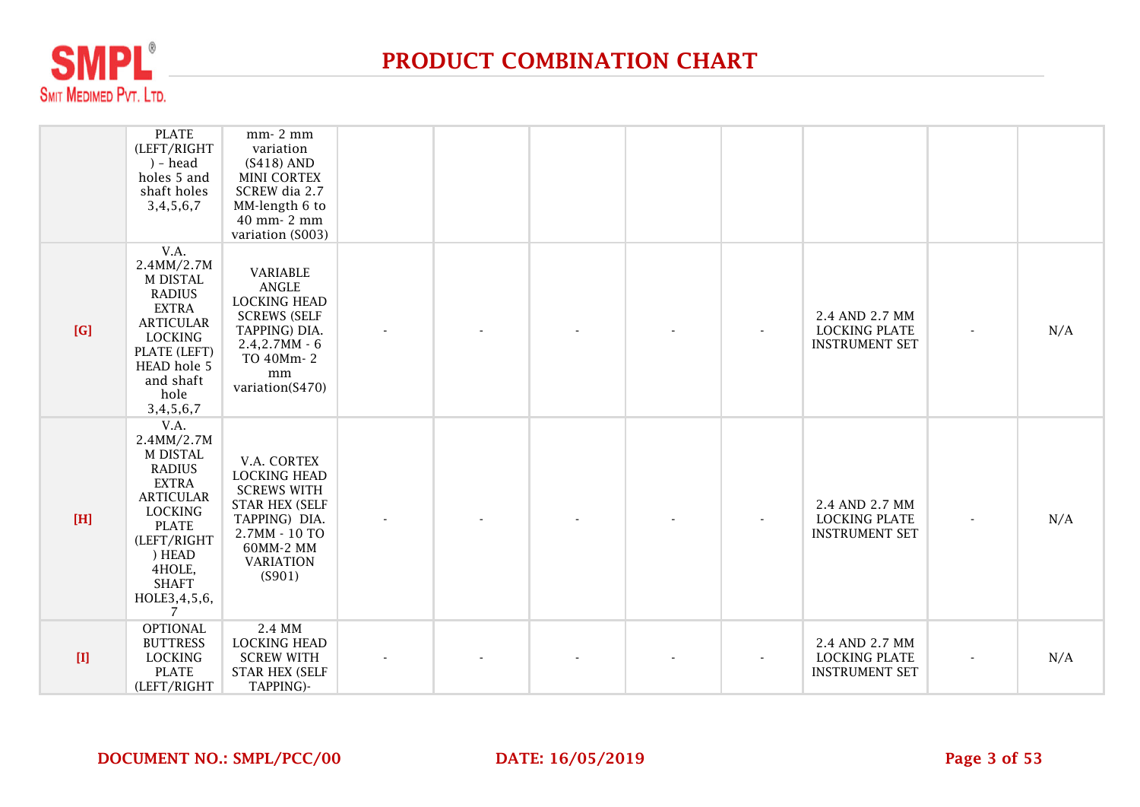

|             | <b>PLATE</b><br>(LEFT/RIGHT<br>) - head<br>holes 5 and<br>shaft holes<br>3,4,5,6,7                                                                                                            | mm-2 mm<br>variation<br>$(S418)$ AND<br><b>MINI CORTEX</b><br>SCREW dia 2.7<br>MM-length 6 to<br>40 mm- 2 mm<br>variation (S003)                               |  |  |                          |                                                                 |     |
|-------------|-----------------------------------------------------------------------------------------------------------------------------------------------------------------------------------------------|----------------------------------------------------------------------------------------------------------------------------------------------------------------|--|--|--------------------------|-----------------------------------------------------------------|-----|
| [G]         | V.A.<br>2.4MM/2.7M<br>M DISTAL<br><b>RADIUS</b><br><b>EXTRA</b><br><b>ARTICULAR</b><br><b>LOCKING</b><br>PLATE (LEFT)<br>HEAD hole 5<br>and shaft<br>hole<br>3,4,5,6,7                        | VARIABLE<br>ANGLE<br><b>LOCKING HEAD</b><br><b>SCREWS (SELF</b><br>TAPPING) DIA.<br>$2.4, 2.7MM - 6$<br>TO 40Mm-2<br>mm<br>variation(S470)                     |  |  |                          | 2.4 AND 2.7 MM<br><b>LOCKING PLATE</b><br><b>INSTRUMENT SET</b> | N/A |
| $[H]$       | V.A.<br>2.4MM/2.7M<br>M DISTAL<br><b>RADIUS</b><br><b>EXTRA</b><br><b>ARTICULAR</b><br><b>LOCKING</b><br><b>PLATE</b><br>(LEFT/RIGHT<br>) HEAD<br>4HOLE,<br><b>SHAFT</b><br>HOLE3,4,5,6,<br>7 | V.A. CORTEX<br><b>LOCKING HEAD</b><br><b>SCREWS WITH</b><br><b>STAR HEX (SELF</b><br>TAPPING) DIA.<br>2.7MM - 10 TO<br>60MM-2 MM<br><b>VARIATION</b><br>(S901) |  |  | $\overline{\phantom{a}}$ | 2.4 AND 2.7 MM<br><b>LOCKING PLATE</b><br><b>INSTRUMENT SET</b> | N/A |
| $[{\rm I}]$ | <b>OPTIONAL</b><br><b>BUTTRESS</b><br><b>LOCKING</b><br><b>PLATE</b><br>(LEFT/RIGHT                                                                                                           | 2.4 MM<br><b>LOCKING HEAD</b><br><b>SCREW WITH</b><br><b>STAR HEX (SELF</b><br>TAPPING)-                                                                       |  |  |                          | 2.4 AND 2.7 MM<br><b>LOCKING PLATE</b><br><b>INSTRUMENT SET</b> | N/A |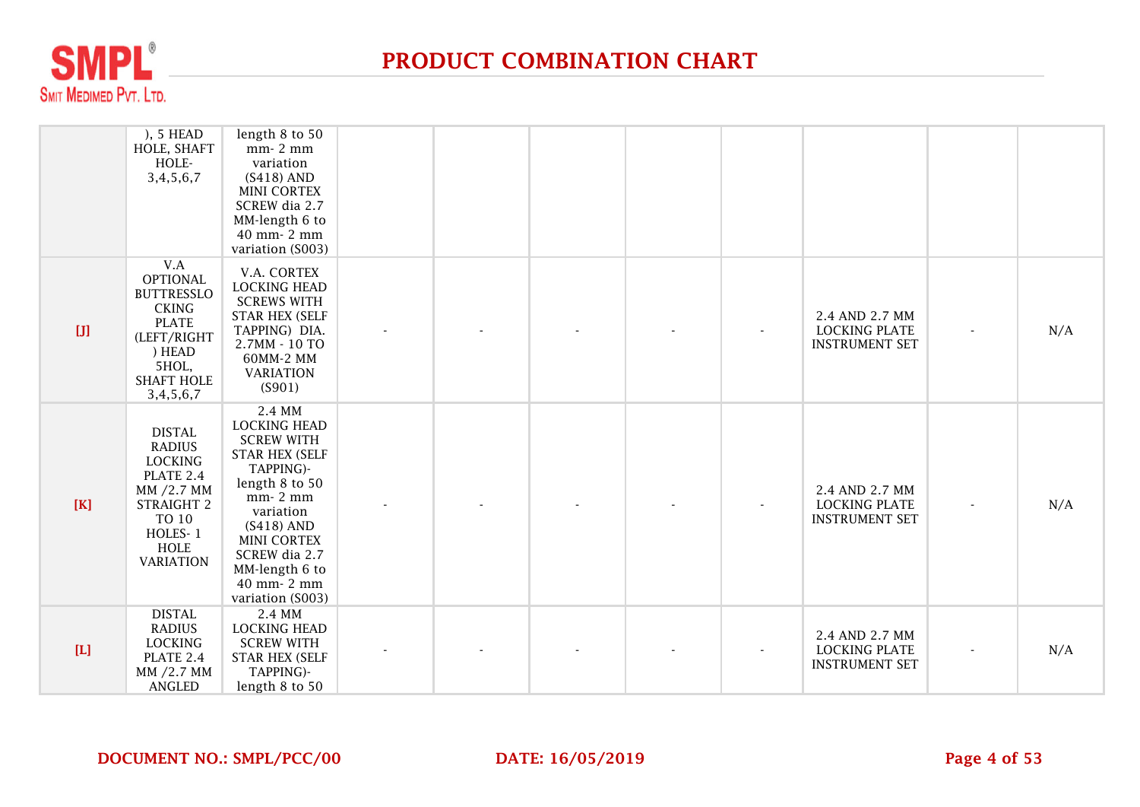

|             | ), 5 HEAD<br>HOLE, SHAFT<br>HOLE-<br>3,4,5,6,7                                                                                                      | length 8 to 50<br>mm-2 mm<br>variation<br>$(S418)$ AND<br><b>MINI CORTEX</b><br>SCREW dia 2.7<br>MM-length 6 to<br>40 mm- 2 mm<br>variation (S003)                                                                                             |  |  |                                                                 |     |
|-------------|-----------------------------------------------------------------------------------------------------------------------------------------------------|------------------------------------------------------------------------------------------------------------------------------------------------------------------------------------------------------------------------------------------------|--|--|-----------------------------------------------------------------|-----|
|             | V.A<br><b>OPTIONAL</b><br><b>BUTTRESSLO</b><br><b>CKING</b><br><b>PLATE</b><br>(LEFT/RIGHT<br>) HEAD<br>5HOL,<br><b>SHAFT HOLE</b><br>3, 4, 5, 6, 7 | V.A. CORTEX<br><b>LOCKING HEAD</b><br><b>SCREWS WITH</b><br><b>STAR HEX (SELF</b><br>TAPPING) DIA.<br>2.7MM - 10 TO<br>60MM-2 MM<br><b>VARIATION</b><br>(S901)                                                                                 |  |  | 2.4 AND 2.7 MM<br><b>LOCKING PLATE</b><br><b>INSTRUMENT SET</b> | N/A |
| $[K]$       | <b>DISTAL</b><br><b>RADIUS</b><br><b>LOCKING</b><br>PLATE 2.4<br>MM /2.7 MM<br>STRAIGHT 2<br>TO 10<br>HOLES-1<br><b>HOLE</b><br><b>VARIATION</b>    | 2.4 MM<br><b>LOCKING HEAD</b><br><b>SCREW WITH</b><br><b>STAR HEX (SELF</b><br>TAPPING)-<br>length 8 to 50<br>mm-2 mm<br>variation<br>$(S418)$ AND<br><b>MINI CORTEX</b><br>SCREW dia 2.7<br>MM-length 6 to<br>40 mm- 2 mm<br>variation (S003) |  |  | 2.4 AND 2.7 MM<br><b>LOCKING PLATE</b><br><b>INSTRUMENT SET</b> | N/A |
| $[{\rm L}]$ | <b>DISTAL</b><br><b>RADIUS</b><br><b>LOCKING</b><br>PLATE 2.4<br>MM /2.7 MM<br>ANGLED                                                               | 2.4 MM<br><b>LOCKING HEAD</b><br><b>SCREW WITH</b><br><b>STAR HEX (SELF</b><br>TAPPING)-<br>length 8 to 50                                                                                                                                     |  |  | 2.4 AND 2.7 MM<br><b>LOCKING PLATE</b><br><b>INSTRUMENT SET</b> | N/A |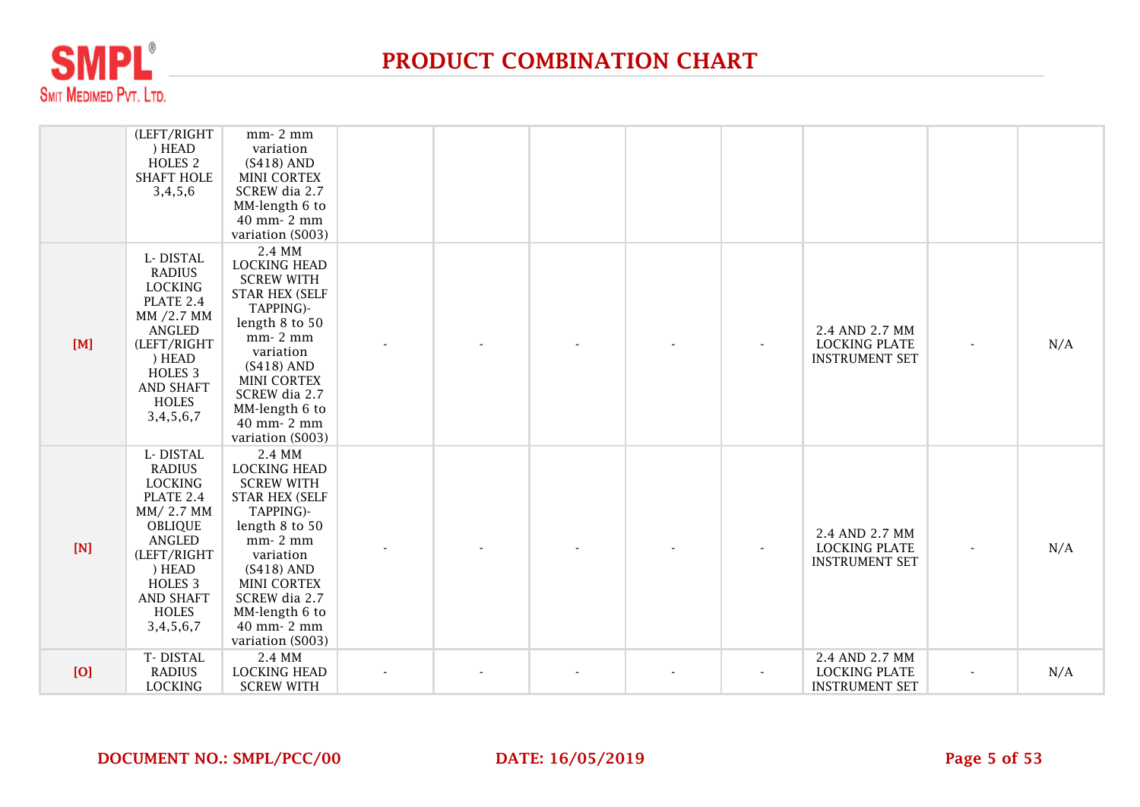

|     | (LEFT/RIGHT<br>) HEAD<br>HOLES <sub>2</sub><br><b>SHAFT HOLE</b><br>3,4,5,6                                                                                                                                  | mm-2 mm<br>variation<br>$(S418)$ AND<br><b>MINI CORTEX</b><br>SCREW dia 2.7<br>MM-length 6 to<br>40 mm- 2 mm<br>variation (S003)                                                                                                               |  |  |                                                                 |     |
|-----|--------------------------------------------------------------------------------------------------------------------------------------------------------------------------------------------------------------|------------------------------------------------------------------------------------------------------------------------------------------------------------------------------------------------------------------------------------------------|--|--|-----------------------------------------------------------------|-----|
| [M] | L-DISTAL<br><b>RADIUS</b><br><b>LOCKING</b><br>PLATE 2.4<br>MM /2.7 MM<br>ANGLED<br>(LEFT/RIGHT<br>) HEAD<br>HOLES <sub>3</sub><br><b>AND SHAFT</b><br><b>HOLES</b><br>3,4,5,6,7                             | 2.4 MM<br><b>LOCKING HEAD</b><br><b>SCREW WITH</b><br><b>STAR HEX (SELF</b><br>TAPPING)-<br>length 8 to 50<br>mm-2 mm<br>variation<br>$(S418)$ AND<br><b>MINI CORTEX</b><br>SCREW dia 2.7<br>MM-length 6 to<br>40 mm- 2 mm<br>variation (S003) |  |  | 2.4 AND 2.7 MM<br><b>LOCKING PLATE</b><br><b>INSTRUMENT SET</b> | N/A |
| [N] | L-DISTAL<br><b>RADIUS</b><br><b>LOCKING</b><br>PLATE 2.4<br>MM/2.7 MM<br><b>OBLIQUE</b><br><b>ANGLED</b><br>(LEFT/RIGHT<br>) HEAD<br>HOLES <sub>3</sub><br><b>AND SHAFT</b><br><b>HOLES</b><br>3, 4, 5, 6, 7 | 2.4 MM<br><b>LOCKING HEAD</b><br><b>SCREW WITH</b><br><b>STAR HEX (SELF</b><br>TAPPING)-<br>length 8 to 50<br>mm-2 mm<br>variation<br>$(S418)$ AND<br><b>MINI CORTEX</b><br>SCREW dia 2.7<br>MM-length 6 to<br>40 mm- 2 mm<br>variation (S003) |  |  | 2.4 AND 2.7 MM<br><b>LOCKING PLATE</b><br><b>INSTRUMENT SET</b> | N/A |
| [O] | T-DISTAL<br><b>RADIUS</b><br><b>LOCKING</b>                                                                                                                                                                  | 2.4 MM<br><b>LOCKING HEAD</b><br><b>SCREW WITH</b>                                                                                                                                                                                             |  |  | 2.4 AND 2.7 MM<br><b>LOCKING PLATE</b><br><b>INSTRUMENT SET</b> | N/A |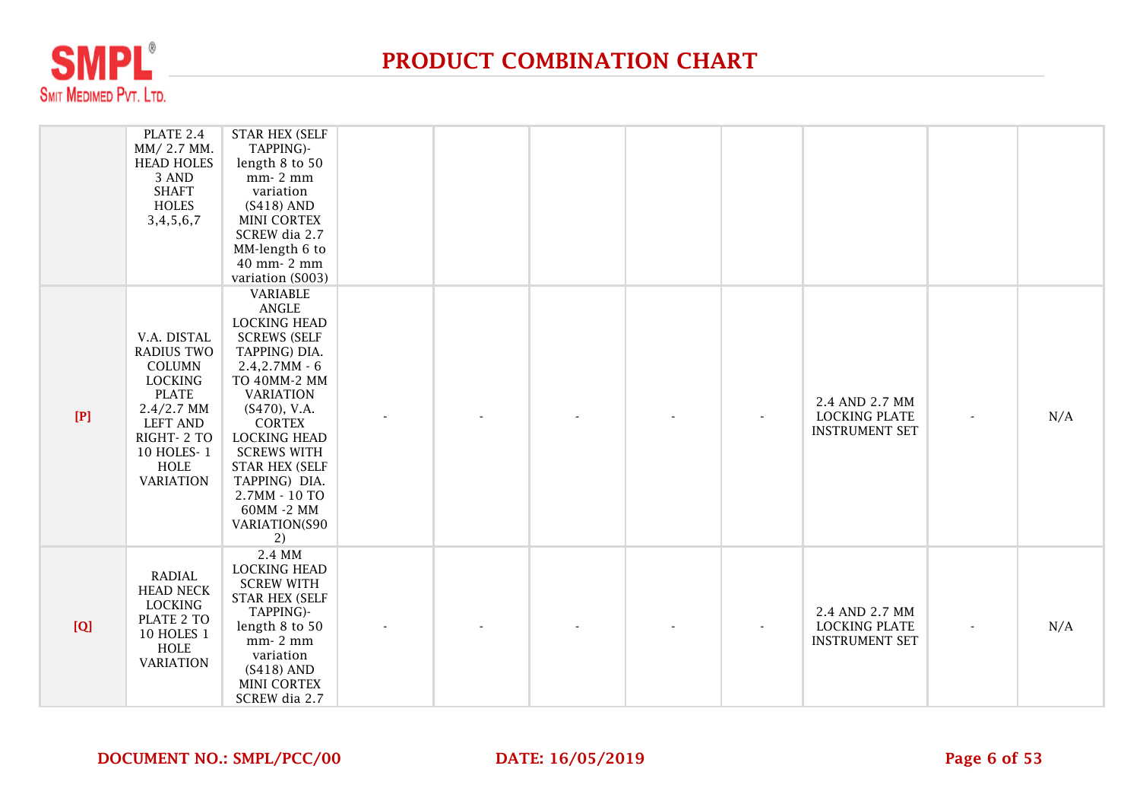

|       | PLATE 2.4<br>MM/2.7 MM.<br><b>HEAD HOLES</b><br>3 AND<br><b>SHAFT</b><br>HOLES<br>3,4,5,6,7                                                                                    | <b>STAR HEX (SELF</b><br>TAPPING)-<br>length 8 to 50<br>mm-2 mm<br>variation<br>$(S418)$ AND<br><b>MINI CORTEX</b><br>SCREW dia 2.7<br>MM-length 6 to<br>40 mm- 2 mm<br>variation (S003)                                                                                                                                         |  |  |                                                                 |     |
|-------|--------------------------------------------------------------------------------------------------------------------------------------------------------------------------------|----------------------------------------------------------------------------------------------------------------------------------------------------------------------------------------------------------------------------------------------------------------------------------------------------------------------------------|--|--|-----------------------------------------------------------------|-----|
| $[P]$ | V.A. DISTAL<br><b>RADIUS TWO</b><br>COLUMN<br><b>LOCKING</b><br><b>PLATE</b><br>$2.4/2.7$ MM<br><b>LEFT AND</b><br>RIGHT-2 TO<br>10 HOLES-1<br><b>HOLE</b><br><b>VARIATION</b> | VARIABLE<br><b>ANGLE</b><br><b>LOCKING HEAD</b><br><b>SCREWS (SELF</b><br>TAPPING) DIA.<br>$2.4, 2.7MM - 6$<br>TO 40MM-2 MM<br><b>VARIATION</b><br>$(S470)$ , V.A.<br><b>CORTEX</b><br><b>LOCKING HEAD</b><br><b>SCREWS WITH</b><br><b>STAR HEX (SELF</b><br>TAPPING) DIA.<br>2.7MM - 10 TO<br>60MM -2 MM<br>VARIATION(S90<br>2) |  |  | 2.4 AND 2.7 MM<br><b>LOCKING PLATE</b><br><b>INSTRUMENT SET</b> | N/A |
| [Q]   | RADIAL<br><b>HEAD NECK</b><br><b>LOCKING</b><br>PLATE 2 TO<br>10 HOLES 1<br><b>HOLE</b><br><b>VARIATION</b>                                                                    | 2.4 MM<br><b>LOCKING HEAD</b><br><b>SCREW WITH</b><br><b>STAR HEX (SELF</b><br>TAPPING)-<br>length 8 to 50<br>mm-2 mm<br>variation<br>$(S418)$ AND<br><b>MINI CORTEX</b><br>SCREW dia 2.7                                                                                                                                        |  |  | 2.4 AND 2.7 MM<br><b>LOCKING PLATE</b><br><b>INSTRUMENT SET</b> | N/A |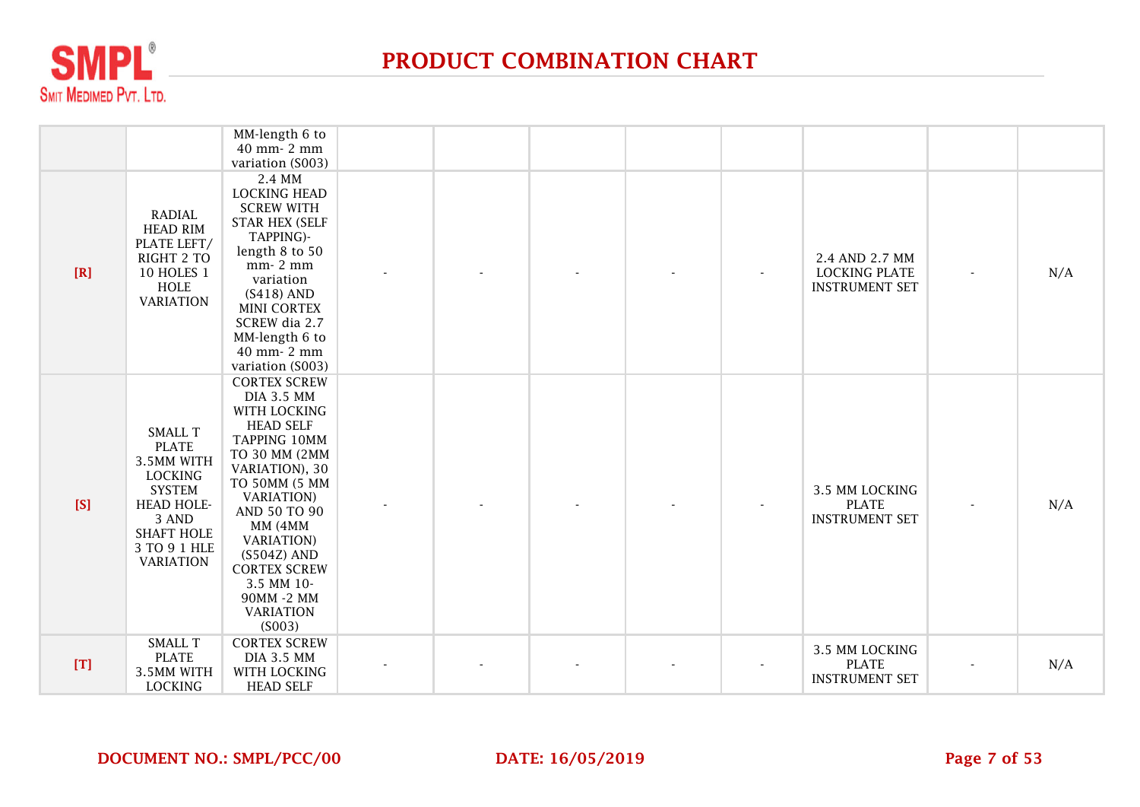

|     |                                                                                                                                                                        | MM-length 6 to<br>40 mm- 2 mm<br>variation (S003)                                                                                                                                                                                                                                                                       |  |  |                                                                 |     |
|-----|------------------------------------------------------------------------------------------------------------------------------------------------------------------------|-------------------------------------------------------------------------------------------------------------------------------------------------------------------------------------------------------------------------------------------------------------------------------------------------------------------------|--|--|-----------------------------------------------------------------|-----|
| [R] | <b>RADIAL</b><br><b>HEAD RIM</b><br>PLATE LEFT/<br>RIGHT 2 TO<br>10 HOLES 1<br>HOLE<br><b>VARIATION</b>                                                                | 2.4 MM<br><b>LOCKING HEAD</b><br><b>SCREW WITH</b><br><b>STAR HEX (SELF</b><br>TAPPING)-<br>length 8 to 50<br>mm-2 mm<br>variation<br>$(S418)$ AND<br><b>MINI CORTEX</b><br>SCREW dia 2.7<br>MM-length 6 to<br>40 mm- 2 mm<br>variation (S003)                                                                          |  |  | 2.4 AND 2.7 MM<br><b>LOCKING PLATE</b><br><b>INSTRUMENT SET</b> | N/A |
| [S] | <b>SMALL T</b><br><b>PLATE</b><br>3.5MM WITH<br><b>LOCKING</b><br><b>SYSTEM</b><br><b>HEAD HOLE-</b><br>3 AND<br><b>SHAFT HOLE</b><br>3 TO 9 1 HLE<br><b>VARIATION</b> | <b>CORTEX SCREW</b><br><b>DIA 3.5 MM</b><br>WITH LOCKING<br><b>HEAD SELF</b><br>TAPPING 10MM<br>TO 30 MM (2MM<br>VARIATION), 30<br>TO 50MM (5 MM<br><b>VARIATION</b> )<br>AND 50 TO 90<br>MM (4MM<br><b>VARIATION</b> )<br>(S504Z) AND<br><b>CORTEX SCREW</b><br>3.5 MM 10-<br>90MM -2 MM<br><b>VARIATION</b><br>(S003) |  |  | 3.5 MM LOCKING<br><b>PLATE</b><br><b>INSTRUMENT SET</b>         | N/A |
| [T] | <b>SMALL T</b><br><b>PLATE</b><br>3.5MM WITH<br><b>LOCKING</b>                                                                                                         | <b>CORTEX SCREW</b><br><b>DIA 3.5 MM</b><br>WITH LOCKING<br><b>HEAD SELF</b>                                                                                                                                                                                                                                            |  |  | 3.5 MM LOCKING<br><b>PLATE</b><br><b>INSTRUMENT SET</b>         | N/A |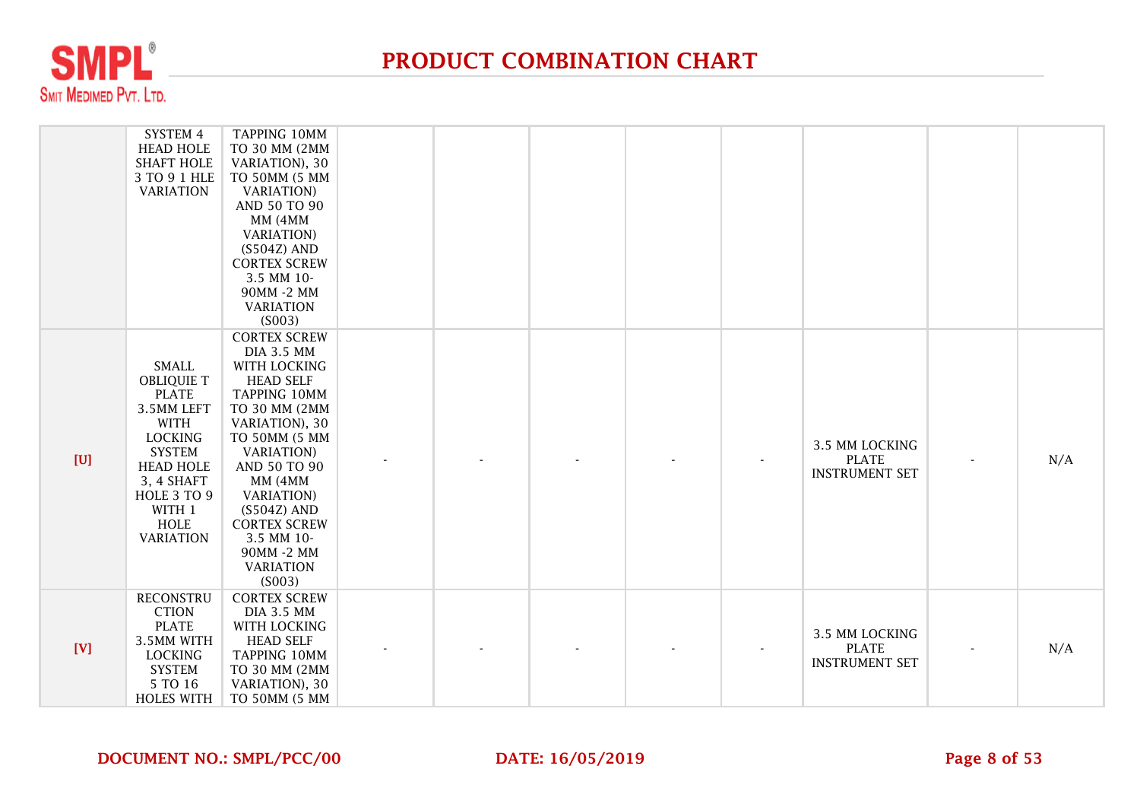

|     | SYSTEM 4<br><b>HEAD HOLE</b><br><b>SHAFT HOLE</b><br>3 TO 9 1 HLE<br><b>VARIATION</b>                                                                                                                    | TAPPING 10MM<br>TO 30 MM (2MM<br>VARIATION), 30<br>TO 50MM (5 MM<br><b>VARIATION</b> )<br>AND 50 TO 90<br>MM (4MM<br><b>VARIATION</b> )<br>$(S504Z)$ AND<br><b>CORTEX SCREW</b><br>3.5 MM 10-<br>90MM -2 MM<br><b>VARIATION</b><br>(S003)                                                                             |  |  |                                                         |     |
|-----|----------------------------------------------------------------------------------------------------------------------------------------------------------------------------------------------------------|-----------------------------------------------------------------------------------------------------------------------------------------------------------------------------------------------------------------------------------------------------------------------------------------------------------------------|--|--|---------------------------------------------------------|-----|
| [U] | <b>SMALL</b><br><b>OBLIQUIE T</b><br><b>PLATE</b><br>3.5MM LEFT<br>WITH<br><b>LOCKING</b><br><b>SYSTEM</b><br><b>HEAD HOLE</b><br>3, 4 SHAFT<br>HOLE 3 TO 9<br>WITH 1<br><b>HOLE</b><br><b>VARIATION</b> | <b>CORTEX SCREW</b><br><b>DIA 3.5 MM</b><br>WITH LOCKING<br><b>HEAD SELF</b><br>TAPPING 10MM<br>TO 30 MM (2MM<br>VARIATION), 30<br>TO 50MM (5 MM<br><b>VARIATION</b> )<br>AND 50 TO 90<br>MM (4MM<br><b>VARIATION</b><br>(S504Z) AND<br><b>CORTEX SCREW</b><br>3.5 MM 10-<br>90MM -2 MM<br><b>VARIATION</b><br>(S003) |  |  | 3.5 MM LOCKING<br><b>PLATE</b><br><b>INSTRUMENT SET</b> | N/A |
| [V] | <b>RECONSTRU</b><br><b>CTION</b><br><b>PLATE</b><br>3.5MM WITH<br><b>LOCKING</b><br><b>SYSTEM</b><br>5 TO 16<br><b>HOLES WITH</b>                                                                        | <b>CORTEX SCREW</b><br><b>DIA 3.5 MM</b><br>WITH LOCKING<br><b>HEAD SELF</b><br>TAPPING 10MM<br>TO 30 MM (2MM<br>VARIATION), 30<br>TO 50MM (5 MM                                                                                                                                                                      |  |  | 3.5 MM LOCKING<br><b>PLATE</b><br><b>INSTRUMENT SET</b> | N/A |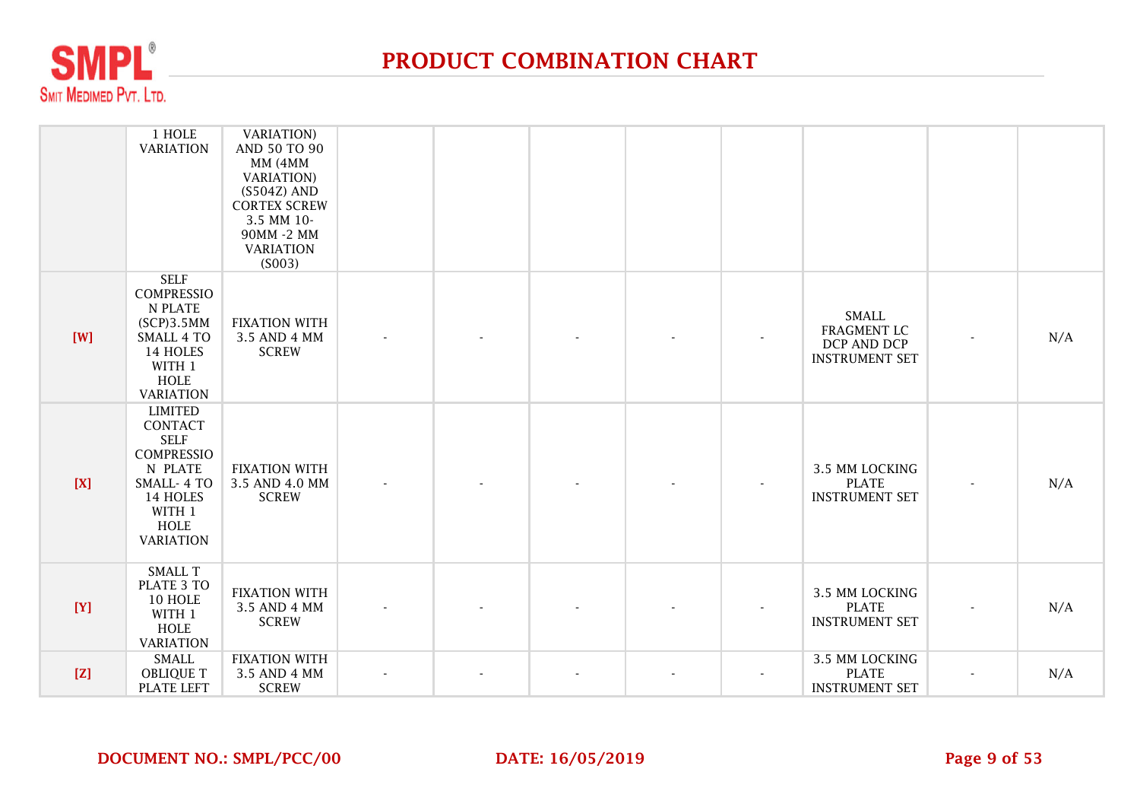

|       | 1 HOLE<br><b>VARIATION</b>                                                                                                                      | <b>VARIATION</b> )<br>AND 50 TO 90<br>MM (4MM<br><b>VARIATION</b> )<br>$(S504Z)$ AND<br><b>CORTEX SCREW</b><br>3.5 MM 10-<br>90MM -2 MM<br><b>VARIATION</b><br>(S003) |  |  |                                                                            |                          |     |
|-------|-------------------------------------------------------------------------------------------------------------------------------------------------|-----------------------------------------------------------------------------------------------------------------------------------------------------------------------|--|--|----------------------------------------------------------------------------|--------------------------|-----|
| [W]   | <b>SELF</b><br><b>COMPRESSIO</b><br>N PLATE<br>$SCP$ ) $3.5MM$<br><b>SMALL 4 TO</b><br>14 HOLES<br>WITH 1<br>HOLE<br><b>VARIATION</b>           | <b>FIXATION WITH</b><br>3.5 AND 4 MM<br><b>SCREW</b>                                                                                                                  |  |  | <b>SMALL</b><br><b>FRAGMENT LC</b><br>DCP AND DCP<br><b>INSTRUMENT SET</b> |                          | N/A |
| $[X]$ | <b>LIMITED</b><br>CONTACT<br><b>SELF</b><br><b>COMPRESSIO</b><br>N PLATE<br><b>SMALL-4 TO</b><br>14 HOLES<br>WITH 1<br>HOLE<br><b>VARIATION</b> | <b>FIXATION WITH</b><br>3.5 AND 4.0 MM<br><b>SCREW</b>                                                                                                                |  |  | 3.5 MM LOCKING<br><b>PLATE</b><br><b>INSTRUMENT SET</b>                    |                          | N/A |
| [Y]   | SMALL T<br>PLATE 3 TO<br>10 HOLE<br>WITH 1<br>HOLE<br><b>VARIATION</b>                                                                          | <b>FIXATION WITH</b><br>3.5 AND 4 MM<br><b>SCREW</b>                                                                                                                  |  |  | 3.5 MM LOCKING<br><b>PLATE</b><br><b>INSTRUMENT SET</b>                    |                          | N/A |
| [Z]   | <b>SMALL</b><br><b>OBLIQUE T</b><br><b>PLATE LEFT</b>                                                                                           | <b>FIXATION WITH</b><br>3.5 AND 4 MM<br><b>SCREW</b>                                                                                                                  |  |  | 3.5 MM LOCKING<br><b>PLATE</b><br><b>INSTRUMENT SET</b>                    | $\overline{\phantom{a}}$ | N/A |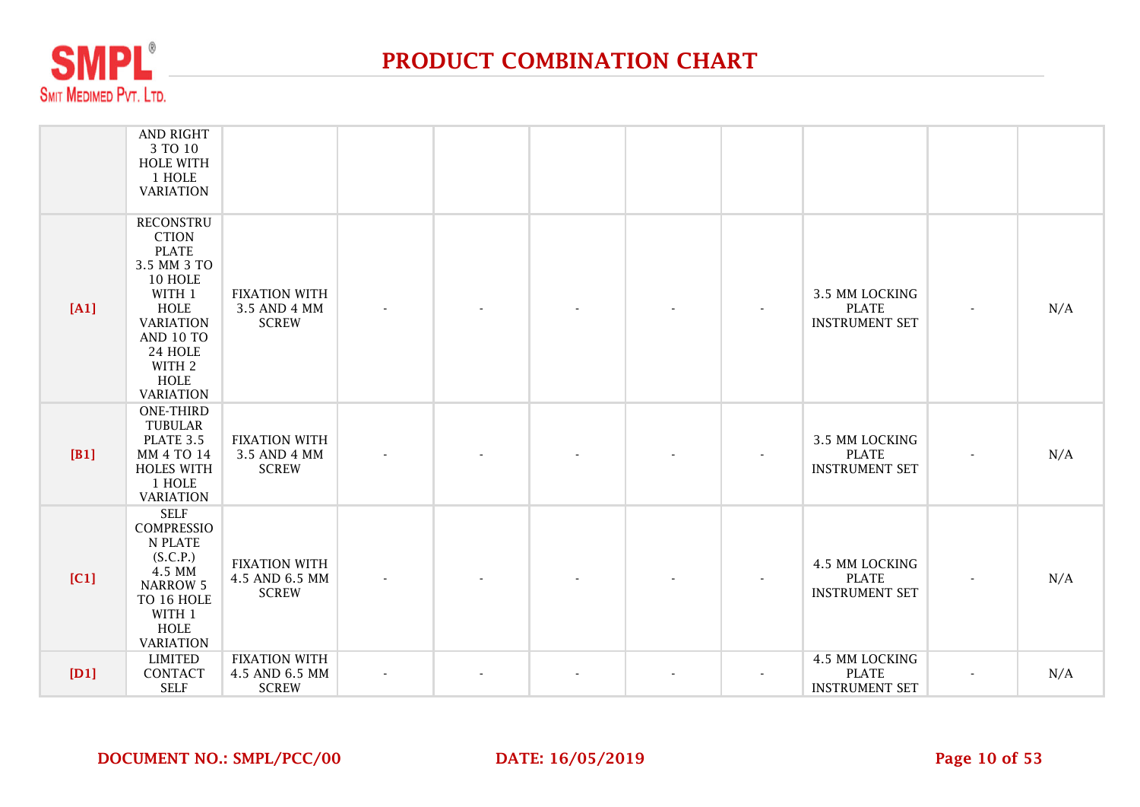

|      | AND RIGHT<br>3 TO 10<br><b>HOLE WITH</b><br>1 HOLE<br><b>VARIATION</b>                                                                                                                       |                                                        |  |  |                                                         |     |
|------|----------------------------------------------------------------------------------------------------------------------------------------------------------------------------------------------|--------------------------------------------------------|--|--|---------------------------------------------------------|-----|
| [A1] | <b>RECONSTRU</b><br><b>CTION</b><br><b>PLATE</b><br>3.5 MM 3 TO<br>10 HOLE<br>WITH 1<br><b>HOLE</b><br><b>VARIATION</b><br>AND 10 TO<br>24 HOLE<br>WITH 2<br><b>HOLE</b><br><b>VARIATION</b> | <b>FIXATION WITH</b><br>3.5 AND 4 MM<br><b>SCREW</b>   |  |  | 3.5 MM LOCKING<br><b>PLATE</b><br><b>INSTRUMENT SET</b> | N/A |
| [B1] | <b>ONE-THIRD</b><br><b>TUBULAR</b><br>PLATE 3.5<br>MM 4 TO 14<br><b>HOLES WITH</b><br>1 HOLE<br><b>VARIATION</b>                                                                             | <b>FIXATION WITH</b><br>3.5 AND 4 MM<br><b>SCREW</b>   |  |  | 3.5 MM LOCKING<br><b>PLATE</b><br><b>INSTRUMENT SET</b> | N/A |
| [C1] | <b>SELF</b><br><b>COMPRESSIO</b><br>N PLATE<br>(S.C.P.)<br>4.5 MM<br><b>NARROW 5</b><br>TO 16 HOLE<br>WITH 1<br>HOLE<br><b>VARIATION</b>                                                     | <b>FIXATION WITH</b><br>4.5 AND 6.5 MM<br><b>SCREW</b> |  |  | 4.5 MM LOCKING<br><b>PLATE</b><br><b>INSTRUMENT SET</b> | N/A |
| [D1] | <b>LIMITED</b><br>CONTACT<br><b>SELF</b>                                                                                                                                                     | <b>FIXATION WITH</b><br>4.5 AND 6.5 MM<br><b>SCREW</b> |  |  | 4.5 MM LOCKING<br><b>PLATE</b><br><b>INSTRUMENT SET</b> | N/A |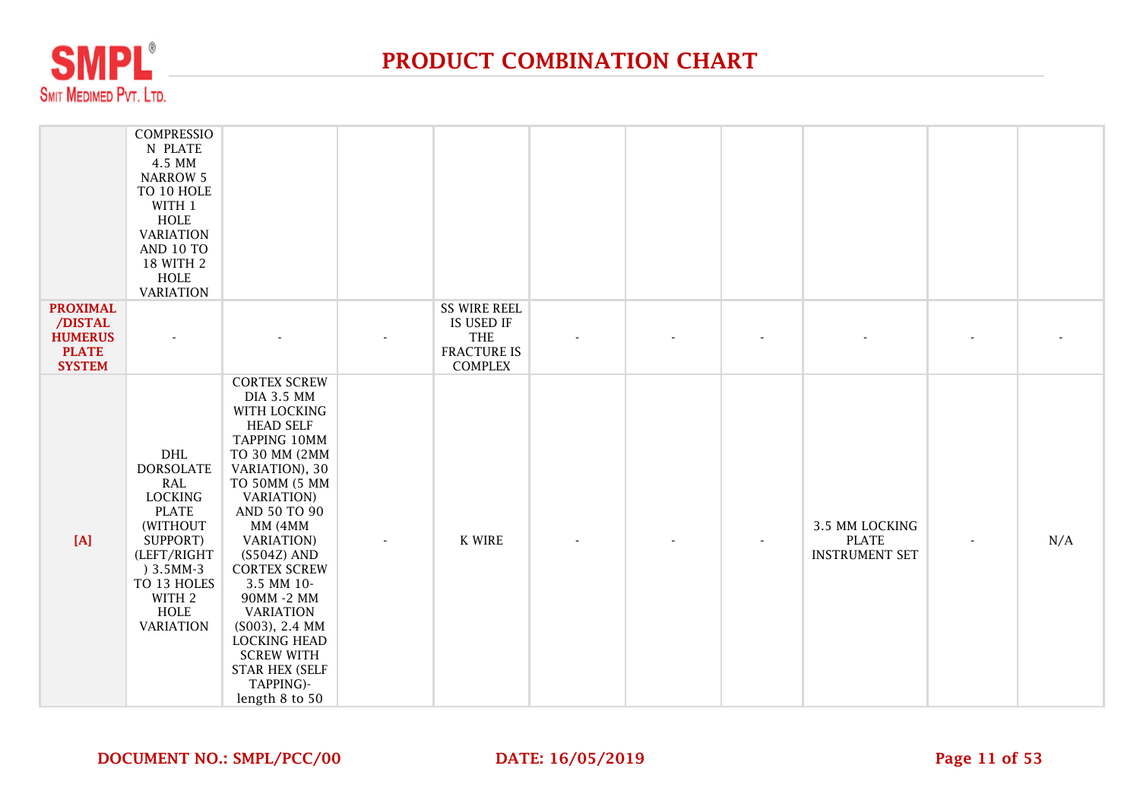

|                                                                               | <b>COMPRESSIO</b><br>N PLATE<br>4.5 MM<br><b>NARROW 5</b><br>TO 10 HOLE<br>WITH 1<br>HOLE<br><b>VARIATION</b><br><b>AND 10 TO</b><br>18 WITH 2<br><b>HOLE</b><br><b>VARIATION</b>  |                                                                                                                                                                                                                                                                                                                                                                                                                                     |                                                                                  |  |                                                         |     |
|-------------------------------------------------------------------------------|------------------------------------------------------------------------------------------------------------------------------------------------------------------------------------|-------------------------------------------------------------------------------------------------------------------------------------------------------------------------------------------------------------------------------------------------------------------------------------------------------------------------------------------------------------------------------------------------------------------------------------|----------------------------------------------------------------------------------|--|---------------------------------------------------------|-----|
| <b>PROXIMAL</b><br>/DISTAL<br><b>HUMERUS</b><br><b>PLATE</b><br><b>SYSTEM</b> |                                                                                                                                                                                    |                                                                                                                                                                                                                                                                                                                                                                                                                                     | <b>SS WIRE REEL</b><br>IS USED IF<br>THE<br><b>FRACTURE IS</b><br><b>COMPLEX</b> |  |                                                         |     |
| [A]                                                                           | DHL<br><b>DORSOLATE</b><br><b>RAL</b><br><b>LOCKING</b><br><b>PLATE</b><br>(WITHOUT<br>SUPPORT)<br>(LEFT/RIGHT<br>$) 3.5MM-3$<br>TO 13 HOLES<br>WITH 2<br>HOLE<br><b>VARIATION</b> | <b>CORTEX SCREW</b><br><b>DIA 3.5 MM</b><br>WITH LOCKING<br><b>HEAD SELF</b><br>TAPPING 10MM<br>TO 30 MM (2MM<br>VARIATION), 30<br>TO 50MM (5 MM<br><b>VARIATION</b> )<br>AND 50 TO 90<br>MM (4MM<br><b>VARIATION</b> )<br>(S504Z) AND<br><b>CORTEX SCREW</b><br>3.5 MM 10-<br>90MM -2 MM<br><b>VARIATION</b><br>(S003), 2.4 MM<br><b>LOCKING HEAD</b><br><b>SCREW WITH</b><br><b>STAR HEX (SELF</b><br>TAPPING)-<br>length 8 to 50 | K WIRE                                                                           |  | 3.5 MM LOCKING<br><b>PLATE</b><br><b>INSTRUMENT SET</b> | N/A |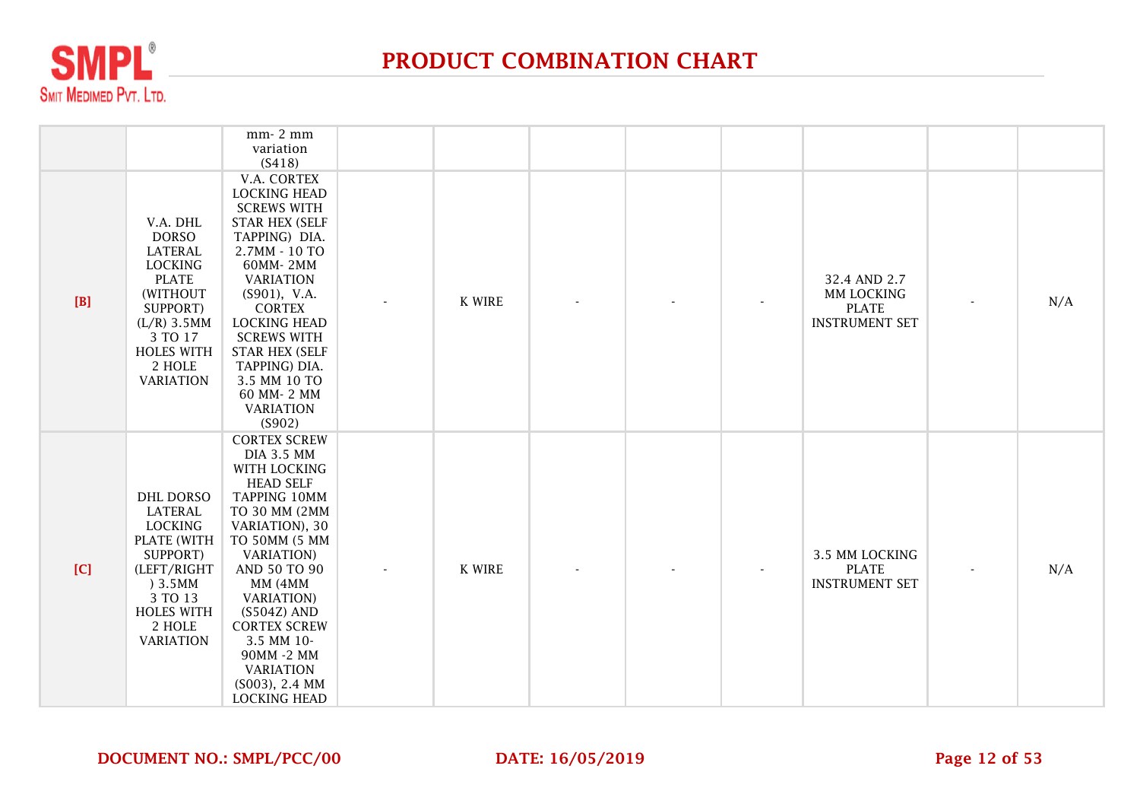

|       |                                                                                                                                                                                     | mm-2 mm<br>variation<br>(S418)                                                                                                                                                                                                                                                                                                                           |               |  |                                                                     |     |
|-------|-------------------------------------------------------------------------------------------------------------------------------------------------------------------------------------|----------------------------------------------------------------------------------------------------------------------------------------------------------------------------------------------------------------------------------------------------------------------------------------------------------------------------------------------------------|---------------|--|---------------------------------------------------------------------|-----|
| $[B]$ | V.A. DHL<br><b>DORSO</b><br><b>LATERAL</b><br><b>LOCKING</b><br><b>PLATE</b><br>(WITHOUT<br>SUPPORT)<br>$(L/R)$ 3.5MM<br>3 TO 17<br><b>HOLES WITH</b><br>2 HOLE<br><b>VARIATION</b> | V.A. CORTEX<br><b>LOCKING HEAD</b><br><b>SCREWS WITH</b><br><b>STAR HEX (SELF</b><br>TAPPING) DIA.<br>2.7MM - 10 TO<br>60MM-2MM<br><b>VARIATION</b><br>$(S901)$ , V.A.<br><b>CORTEX</b><br><b>LOCKING HEAD</b><br><b>SCREWS WITH</b><br><b>STAR HEX (SELF</b><br>TAPPING) DIA.<br>3.5 MM 10 TO<br>60 MM-2 MM<br><b>VARIATION</b><br>(S902)               | <b>K WIRE</b> |  | 32.4 AND 2.7<br>MM LOCKING<br><b>PLATE</b><br><b>INSTRUMENT SET</b> | N/A |
| [C]   | <b>DHL DORSO</b><br>LATERAL<br><b>LOCKING</b><br>PLATE (WITH<br>SUPPORT)<br>(LEFT/RIGHT<br>)3.5MM<br>3 TO 13<br><b>HOLES WITH</b><br>2 HOLE<br><b>VARIATION</b>                     | <b>CORTEX SCREW</b><br><b>DIA 3.5 MM</b><br>WITH LOCKING<br><b>HEAD SELF</b><br>TAPPING 10MM<br>TO 30 MM (2MM<br>VARIATION), 30<br>TO 50MM (5 MM<br><b>VARIATION</b> )<br>AND 50 TO 90<br>MM (4MM<br><b>VARIATION</b> )<br>$(S504Z)$ AND<br><b>CORTEX SCREW</b><br>3.5 MM 10-<br>90MM -2 MM<br><b>VARIATION</b><br>(S003), 2.4 MM<br><b>LOCKING HEAD</b> | K WIRE        |  | 3.5 MM LOCKING<br><b>PLATE</b><br><b>INSTRUMENT SET</b>             | N/A |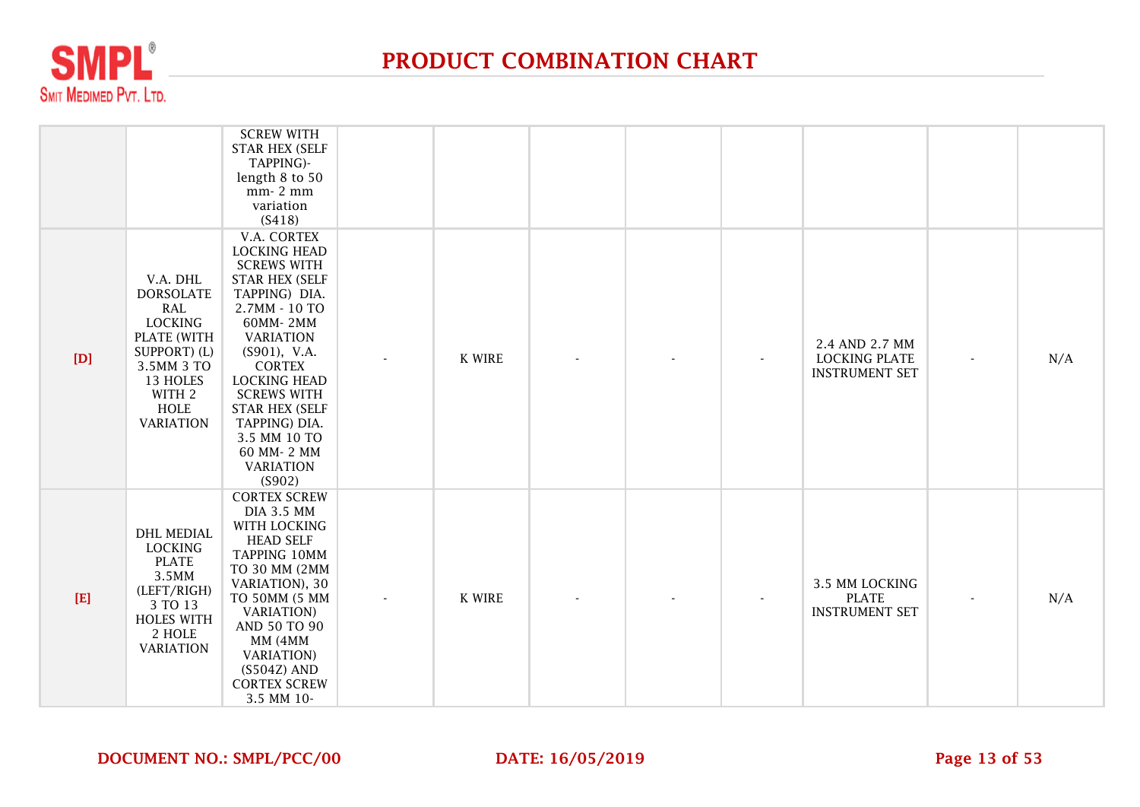

|       |                                                                                                                                                             | <b>SCREW WITH</b><br><b>STAR HEX (SELF</b><br>TAPPING)-<br>length 8 to 50<br>mm-2 mm<br>variation<br>(S418)                                                                                                                                                                                                                                |        |  |                                                                 |     |
|-------|-------------------------------------------------------------------------------------------------------------------------------------------------------------|--------------------------------------------------------------------------------------------------------------------------------------------------------------------------------------------------------------------------------------------------------------------------------------------------------------------------------------------|--------|--|-----------------------------------------------------------------|-----|
| [D]   | V.A. DHL<br><b>DORSOLATE</b><br><b>RAL</b><br><b>LOCKING</b><br>PLATE (WITH<br>SUPPORT) (L)<br>3.5MM 3 TO<br>13 HOLES<br>WITH 2<br>HOLE<br><b>VARIATION</b> | V.A. CORTEX<br><b>LOCKING HEAD</b><br><b>SCREWS WITH</b><br><b>STAR HEX (SELF</b><br>TAPPING) DIA.<br>2.7MM - 10 TO<br>60MM-2MM<br><b>VARIATION</b><br>$(S901)$ , V.A.<br><b>CORTEX</b><br><b>LOCKING HEAD</b><br><b>SCREWS WITH</b><br><b>STAR HEX (SELF</b><br>TAPPING) DIA.<br>3.5 MM 10 TO<br>60 MM-2 MM<br><b>VARIATION</b><br>(S902) | K WIRE |  | 2.4 AND 2.7 MM<br><b>LOCKING PLATE</b><br><b>INSTRUMENT SET</b> | N/A |
| $[E]$ | <b>DHL MEDIAL</b><br><b>LOCKING</b><br><b>PLATE</b><br>3.5MM<br>(LEFT/RIGH)<br>3 TO 13<br><b>HOLES WITH</b><br>2 HOLE<br><b>VARIATION</b>                   | <b>CORTEX SCREW</b><br><b>DIA 3.5 MM</b><br>WITH LOCKING<br><b>HEAD SELF</b><br>TAPPING 10MM<br>TO 30 MM (2MM<br>VARIATION), 30<br>TO 50MM (5 MM<br><b>VARIATION</b> )<br>AND 50 TO 90<br>MM (4MM<br><b>VARIATION</b> )<br>$(S504Z)$ AND<br><b>CORTEX SCREW</b><br>3.5 MM 10-                                                              | K WIRE |  | 3.5 MM LOCKING<br><b>PLATE</b><br><b>INSTRUMENT SET</b>         | N/A |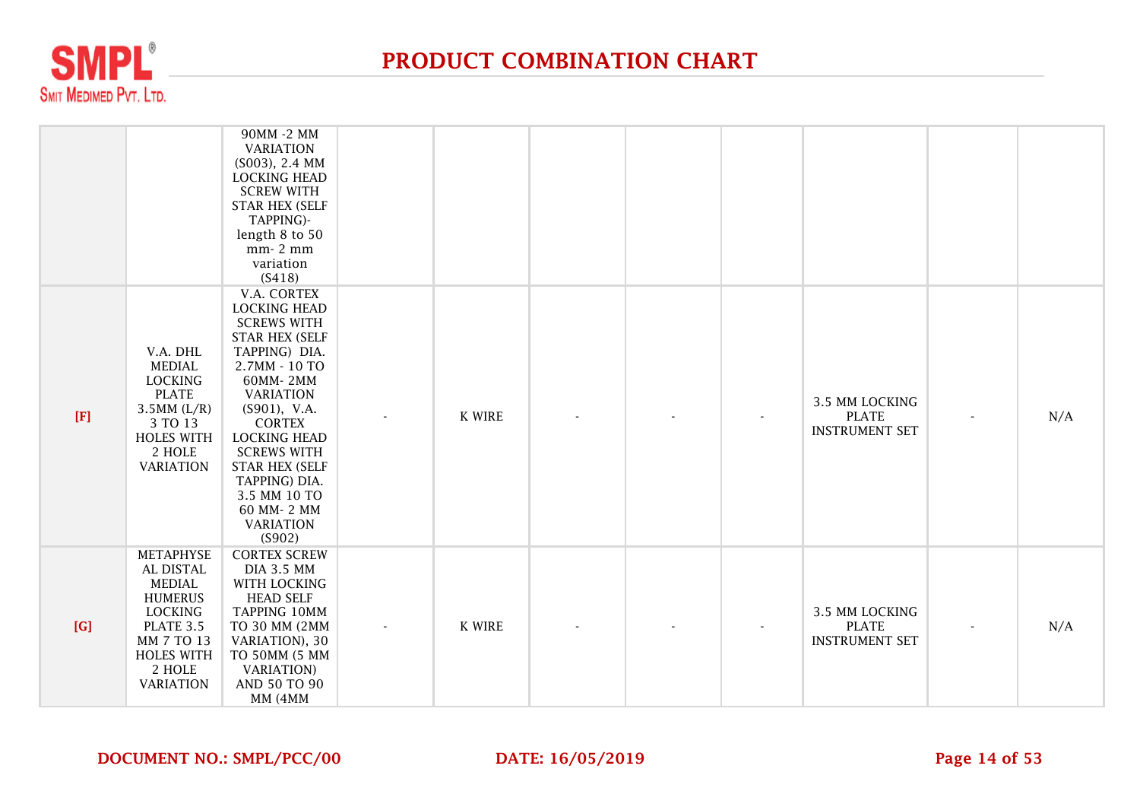

|       |                                                                                                                                                                  | 90MM -2 MM<br><b>VARIATION</b><br>(S003), 2.4 MM<br><b>LOCKING HEAD</b><br><b>SCREW WITH</b><br><b>STAR HEX (SELF</b><br>TAPPING)-<br>length 8 to 50<br>mm-2 mm<br>variation<br>(S418)                                                                                                                                                     |               |  |                                                         |     |
|-------|------------------------------------------------------------------------------------------------------------------------------------------------------------------|--------------------------------------------------------------------------------------------------------------------------------------------------------------------------------------------------------------------------------------------------------------------------------------------------------------------------------------------|---------------|--|---------------------------------------------------------|-----|
| $[F]$ | V.A. DHL<br><b>MEDIAL</b><br><b>LOCKING</b><br><b>PLATE</b><br>$3.5MM$ (L/R)<br>3 TO 13<br><b>HOLES WITH</b><br>2 HOLE<br><b>VARIATION</b>                       | V.A. CORTEX<br><b>LOCKING HEAD</b><br><b>SCREWS WITH</b><br><b>STAR HEX (SELF</b><br>TAPPING) DIA.<br>2.7MM - 10 TO<br>60MM-2MM<br><b>VARIATION</b><br>$(S901)$ , V.A.<br><b>CORTEX</b><br><b>LOCKING HEAD</b><br><b>SCREWS WITH</b><br><b>STAR HEX (SELF</b><br>TAPPING) DIA.<br>3.5 MM 10 TO<br>60 MM-2 MM<br><b>VARIATION</b><br>(S902) | <b>K WIRE</b> |  | 3.5 MM LOCKING<br><b>PLATE</b><br><b>INSTRUMENT SET</b> | N/A |
| [G]   | <b>METAPHYSE</b><br>AL DISTAL<br><b>MEDIAL</b><br><b>HUMERUS</b><br><b>LOCKING</b><br>PLATE 3.5<br>MM 7 TO 13<br><b>HOLES WITH</b><br>2 HOLE<br><b>VARIATION</b> | <b>CORTEX SCREW</b><br><b>DIA 3.5 MM</b><br>WITH LOCKING<br><b>HEAD SELF</b><br><b>TAPPING 10MM</b><br>TO 30 MM (2MM<br>VARIATION), 30<br>TO 50MM (5 MM<br><b>VARIATION</b> )<br>AND 50 TO 90<br>MM (4MM                                                                                                                                   | <b>K WIRE</b> |  | 3.5 MM LOCKING<br><b>PLATE</b><br><b>INSTRUMENT SET</b> | N/A |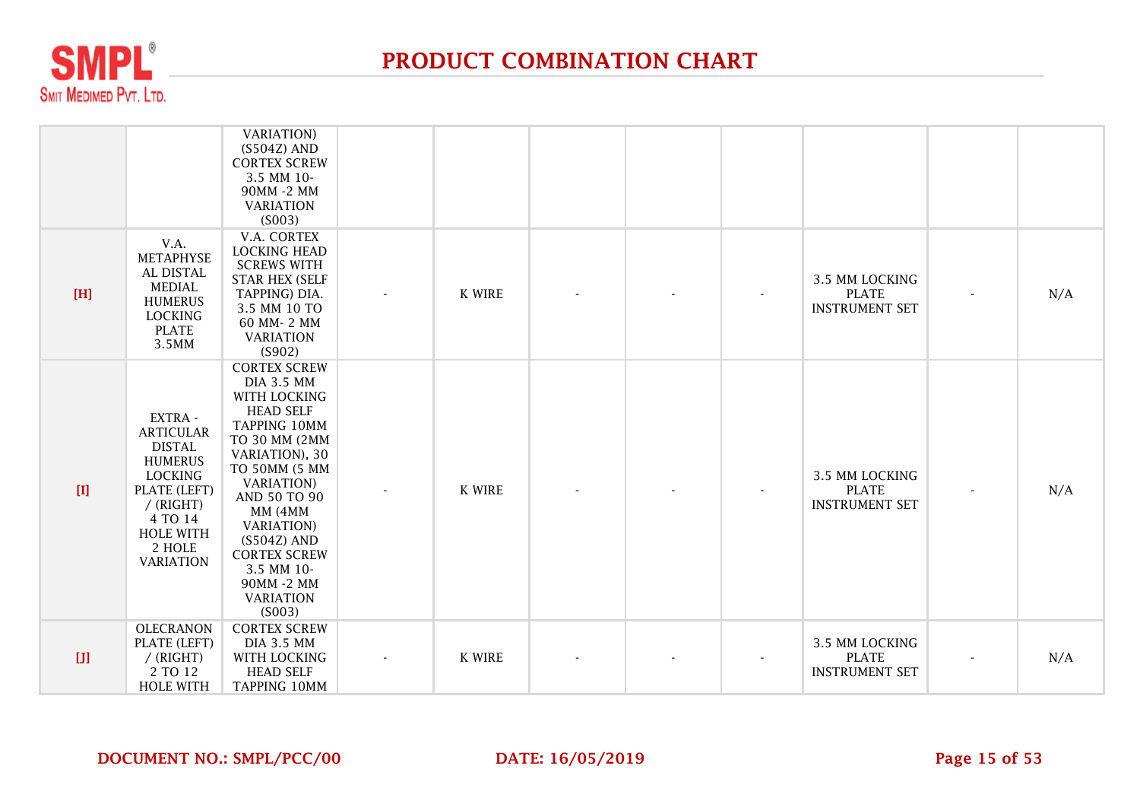

|       |                                                                                                                                                                              | <b>VARIATION</b> )<br>$(S504Z)$ AND<br><b>CORTEX SCREW</b><br>3.5 MM 10-<br>90MM -2 MM<br><b>VARIATION</b><br>(S003)                                                                                                                                                                                                      |               |  |                                                         |   |     |
|-------|------------------------------------------------------------------------------------------------------------------------------------------------------------------------------|---------------------------------------------------------------------------------------------------------------------------------------------------------------------------------------------------------------------------------------------------------------------------------------------------------------------------|---------------|--|---------------------------------------------------------|---|-----|
| [H]   | V.A.<br>METAPHYSE<br>AL DISTAL<br><b>MEDIAL</b><br><b>HUMERUS</b><br><b>LOCKING</b><br><b>PLATE</b><br>3.5MM                                                                 | V.A. CORTEX<br><b>LOCKING HEAD</b><br><b>SCREWS WITH</b><br><b>STAR HEX (SELF</b><br>TAPPING) DIA.<br>3.5 MM 10 TO<br>60 MM-2 MM<br><b>VARIATION</b><br>(S902)                                                                                                                                                            | <b>K WIRE</b> |  | 3.5 MM LOCKING<br><b>PLATE</b><br><b>INSTRUMENT SET</b> |   | N/A |
| $[1]$ | EXTRA -<br><b>ARTICULAR</b><br><b>DISTAL</b><br><b>HUMERUS</b><br><b>LOCKING</b><br>PLATE (LEFT)<br>$/$ (RIGHT)<br>4 TO 14<br><b>HOLE WITH</b><br>2 HOLE<br><b>VARIATION</b> | <b>CORTEX SCREW</b><br><b>DIA 3.5 MM</b><br>WITH LOCKING<br><b>HEAD SELF</b><br>TAPPING 10MM<br>TO 30 MM (2MM<br>VARIATION), 30<br>TO 50MM (5 MM<br><b>VARIATION</b> )<br>AND 50 TO 90<br>MM (4MM<br><b>VARIATION</b> )<br>$(S504Z)$ AND<br><b>CORTEX SCREW</b><br>3.5 MM 10-<br>90MM -2 MM<br><b>VARIATION</b><br>(S003) | <b>K WIRE</b> |  | 3.5 MM LOCKING<br><b>PLATE</b><br><b>INSTRUMENT SET</b> |   | N/A |
| $[J]$ | <b>OLECRANON</b><br>PLATE (LEFT)<br>$/$ (RIGHT)<br>2 TO 12<br><b>HOLE WITH</b>                                                                                               | <b>CORTEX SCREW</b><br><b>DIA 3.5 MM</b><br>WITH LOCKING<br><b>HEAD SELF</b><br><b>TAPPING 10MM</b>                                                                                                                                                                                                                       | <b>K WIRE</b> |  | 3.5 MM LOCKING<br><b>PLATE</b><br><b>INSTRUMENT SET</b> | ٠ | N/A |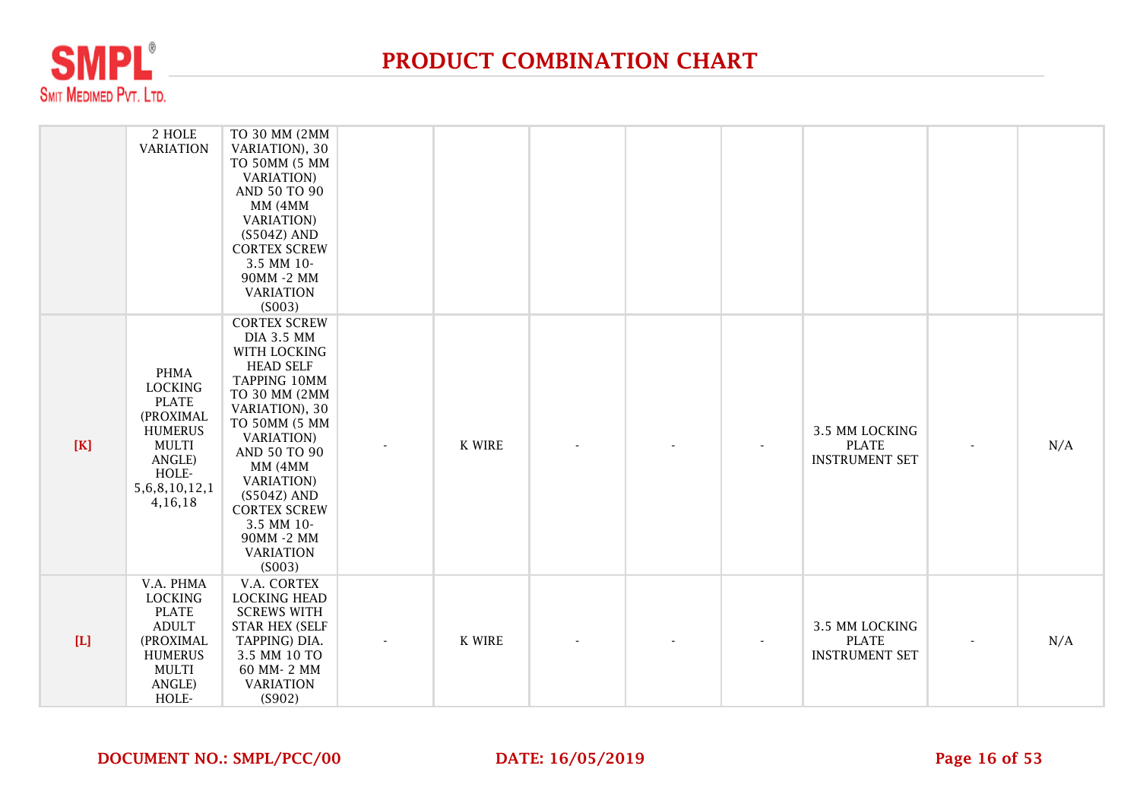

|             | 2 HOLE<br><b>VARIATION</b>                                                                                                                       | TO 30 MM (2MM<br>VARIATION), 30<br>TO 50MM (5 MM<br><b>VARIATION</b> )<br>AND 50 TO 90<br>MM (4MM<br><b>VARIATION</b> )<br>$(S504Z)$ AND<br><b>CORTEX SCREW</b><br>3.5 MM 10-<br>90MM -2 MM<br><b>VARIATION</b><br>(S003)                                                                                                 |               |  |                                                         |     |
|-------------|--------------------------------------------------------------------------------------------------------------------------------------------------|---------------------------------------------------------------------------------------------------------------------------------------------------------------------------------------------------------------------------------------------------------------------------------------------------------------------------|---------------|--|---------------------------------------------------------|-----|
| $[K]$       | <b>PHMA</b><br><b>LOCKING</b><br><b>PLATE</b><br>(PROXIMAL<br><b>HUMERUS</b><br><b>MULTI</b><br>ANGLE)<br>HOLE-<br>5, 6, 8, 10, 12, 1<br>4,16,18 | <b>CORTEX SCREW</b><br><b>DIA 3.5 MM</b><br>WITH LOCKING<br><b>HEAD SELF</b><br>TAPPING 10MM<br>TO 30 MM (2MM<br>VARIATION), 30<br>TO 50MM (5 MM<br><b>VARIATION</b> )<br>AND 50 TO 90<br>MM (4MM<br><b>VARIATION</b> )<br>$(S504Z)$ AND<br><b>CORTEX SCREW</b><br>3.5 MM 10-<br>90MM -2 MM<br><b>VARIATION</b><br>(S003) | K WIRE        |  | 3.5 MM LOCKING<br><b>PLATE</b><br><b>INSTRUMENT SET</b> | N/A |
| $[{\rm L}]$ | V.A. PHMA<br><b>LOCKING</b><br><b>PLATE</b><br><b>ADULT</b><br>(PROXIMAL<br><b>HUMERUS</b><br>MULTI<br>ANGLE)<br>HOLE-                           | V.A. CORTEX<br><b>LOCKING HEAD</b><br><b>SCREWS WITH</b><br><b>STAR HEX (SELF</b><br>TAPPING) DIA.<br>3.5 MM 10 TO<br>60 MM-2 MM<br><b>VARIATION</b><br>(S902)                                                                                                                                                            | <b>K WIRE</b> |  | 3.5 MM LOCKING<br><b>PLATE</b><br><b>INSTRUMENT SET</b> | N/A |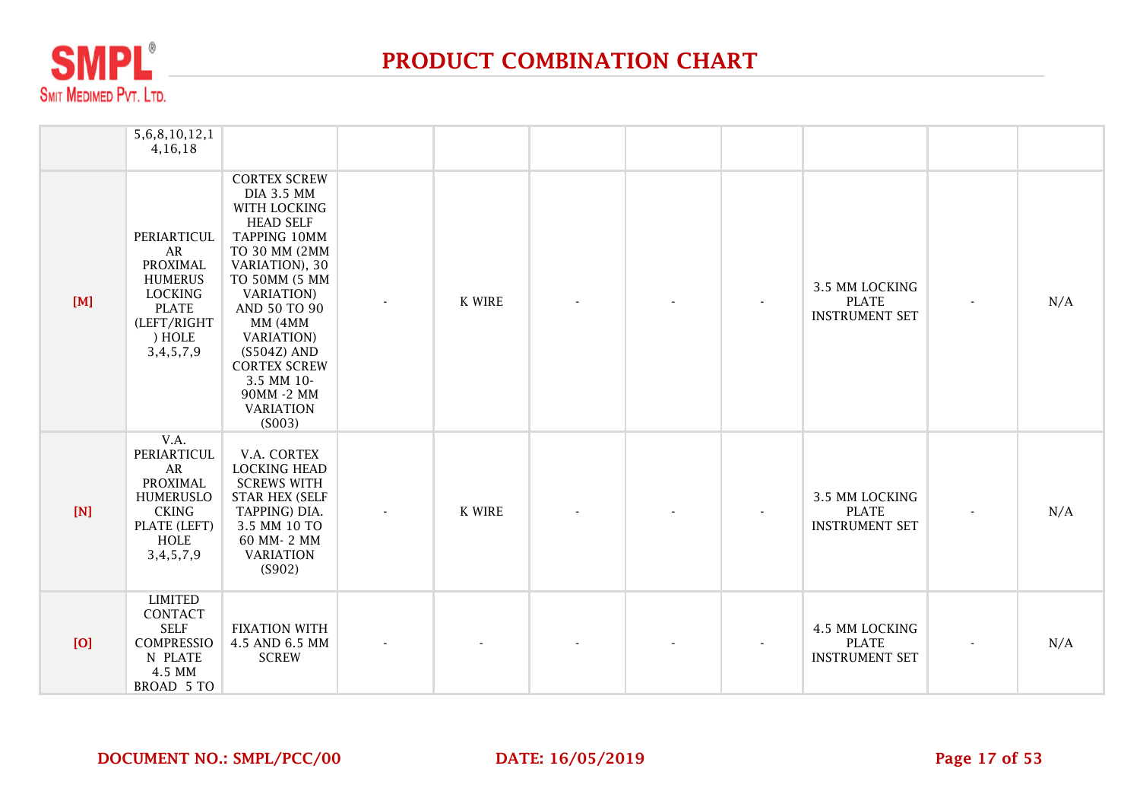

|     | 5, 6, 8, 10, 12, 1<br>4,16,18                                                                                                      |                                                                                                                                                                                                                                                                                                                           |               |  |                                                         |                |     |
|-----|------------------------------------------------------------------------------------------------------------------------------------|---------------------------------------------------------------------------------------------------------------------------------------------------------------------------------------------------------------------------------------------------------------------------------------------------------------------------|---------------|--|---------------------------------------------------------|----------------|-----|
| [M] | PERIARTICUL<br>AR<br><b>PROXIMAL</b><br><b>HUMERUS</b><br><b>LOCKING</b><br><b>PLATE</b><br>(LEFT/RIGHT<br>) HOLE<br>3, 4, 5, 7, 9 | <b>CORTEX SCREW</b><br><b>DIA 3.5 MM</b><br>WITH LOCKING<br><b>HEAD SELF</b><br>TAPPING 10MM<br>TO 30 MM (2MM<br>VARIATION), 30<br>TO 50MM (5 MM<br><b>VARIATION</b> )<br>AND 50 TO 90<br>MM (4MM<br><b>VARIATION</b> )<br>$(S504Z)$ AND<br><b>CORTEX SCREW</b><br>3.5 MM 10-<br>90MM -2 MM<br><b>VARIATION</b><br>(S003) | <b>K WIRE</b> |  | 3.5 MM LOCKING<br><b>PLATE</b><br><b>INSTRUMENT SET</b> |                | N/A |
| [N] | V.A.<br>PERIARTICUL<br>AR<br><b>PROXIMAL</b><br><b>HUMERUSLO</b><br><b>CKING</b><br>PLATE (LEFT)<br>HOLE<br>3, 4, 5, 7, 9          | V.A. CORTEX<br><b>LOCKING HEAD</b><br><b>SCREWS WITH</b><br><b>STAR HEX (SELF</b><br>TAPPING) DIA.<br>3.5 MM 10 TO<br>60 MM-2 MM<br><b>VARIATION</b><br>(S902)                                                                                                                                                            | <b>K WIRE</b> |  | 3.5 MM LOCKING<br><b>PLATE</b><br><b>INSTRUMENT SET</b> | $\blacksquare$ | N/A |
| [O] | <b>LIMITED</b><br>CONTACT<br><b>SELF</b><br><b>COMPRESSIO</b><br>N PLATE<br>4.5 MM<br>BROAD 5 TO                                   | <b>FIXATION WITH</b><br>4.5 AND 6.5 MM<br><b>SCREW</b>                                                                                                                                                                                                                                                                    |               |  | 4.5 MM LOCKING<br><b>PLATE</b><br><b>INSTRUMENT SET</b> |                | N/A |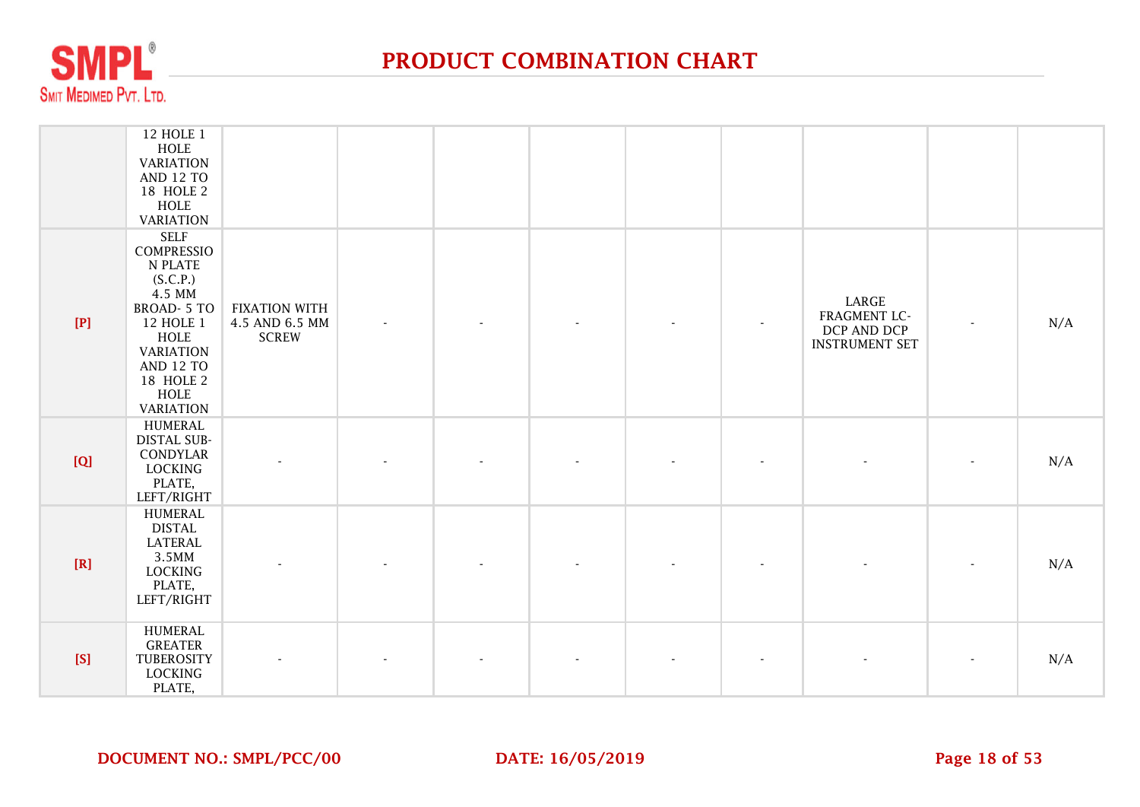

|       | 12 HOLE 1<br>HOLE<br><b>VARIATION</b><br><b>AND 12 TO</b><br>18 HOLE 2<br>HOLE<br><b>VARIATION</b>                                                                                                  |                                                        |  |  |                                                               |     |
|-------|-----------------------------------------------------------------------------------------------------------------------------------------------------------------------------------------------------|--------------------------------------------------------|--|--|---------------------------------------------------------------|-----|
| $[P]$ | <b>SELF</b><br>COMPRESSIO<br>N PLATE<br>(S.C.P.)<br>4.5 MM<br><b>BROAD-5 TO</b><br>12 HOLE 1<br><b>HOLE</b><br><b>VARIATION</b><br><b>AND 12 TO</b><br>18 HOLE 2<br><b>HOLE</b><br><b>VARIATION</b> | <b>FIXATION WITH</b><br>4.5 AND 6.5 MM<br><b>SCREW</b> |  |  | LARGE<br>FRAGMENT LC-<br>DCP AND DCP<br><b>INSTRUMENT SET</b> | N/A |
| [Q]   | <b>HUMERAL</b><br><b>DISTAL SUB-</b><br>CONDYLAR<br>LOCKING<br>PLATE,<br>LEFT/RIGHT                                                                                                                 |                                                        |  |  |                                                               | N/A |
| [R]   | <b>HUMERAL</b><br><b>DISTAL</b><br><b>LATERAL</b><br>3.5MM<br>LOCKING<br>PLATE,<br>LEFT/RIGHT                                                                                                       |                                                        |  |  |                                                               | N/A |
| [S]   | <b>HUMERAL</b><br><b>GREATER</b><br>TUBEROSITY<br><b>LOCKING</b><br>PLATE,                                                                                                                          |                                                        |  |  |                                                               | N/A |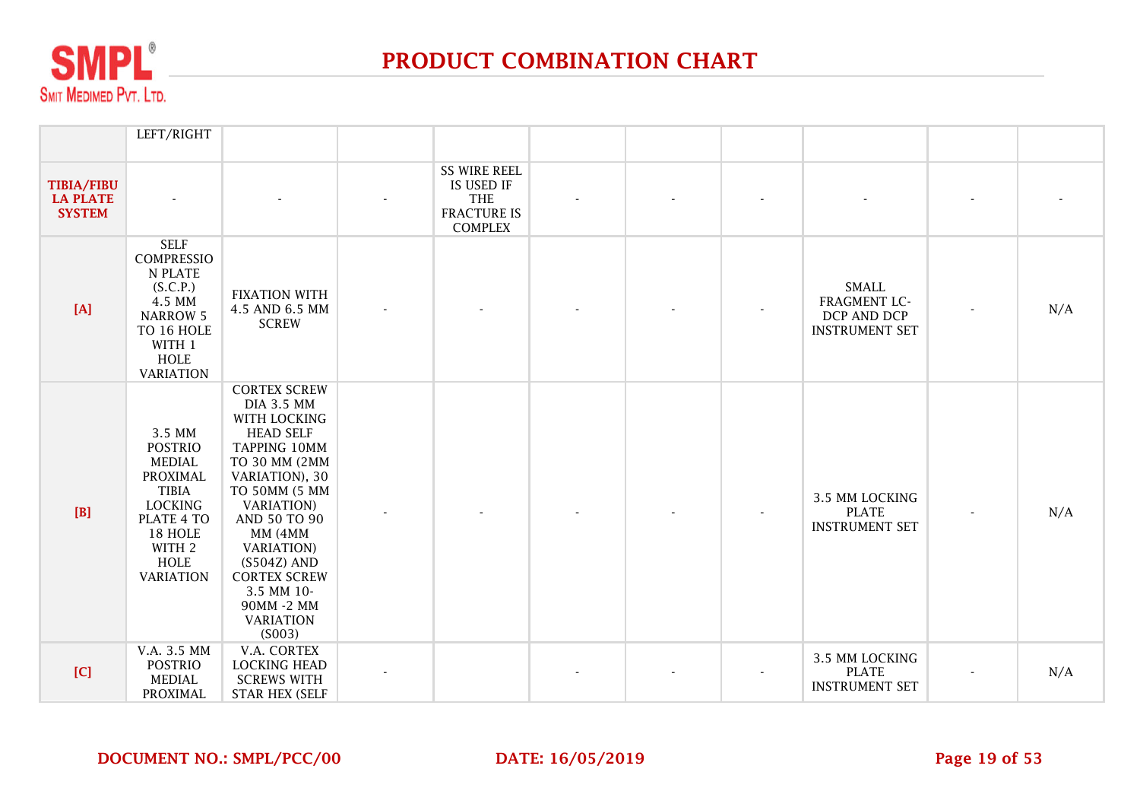

|                                                       | LEFT/RIGHT                                                                                                                                             |                                                                                                                                                                                                                                                                                                                           |                                                                                         |  |                                                                      |     |
|-------------------------------------------------------|--------------------------------------------------------------------------------------------------------------------------------------------------------|---------------------------------------------------------------------------------------------------------------------------------------------------------------------------------------------------------------------------------------------------------------------------------------------------------------------------|-----------------------------------------------------------------------------------------|--|----------------------------------------------------------------------|-----|
| <b>TIBIA/FIBU</b><br><b>LA PLATE</b><br><b>SYSTEM</b> |                                                                                                                                                        |                                                                                                                                                                                                                                                                                                                           | <b>SS WIRE REEL</b><br>IS USED IF<br><b>THE</b><br><b>FRACTURE IS</b><br><b>COMPLEX</b> |  |                                                                      |     |
| [A]                                                   | <b>SELF</b><br><b>COMPRESSIO</b><br>N PLATE<br>(S.C.P.)<br>4.5 MM<br><b>NARROW 5</b><br>TO 16 HOLE<br>WITH 1<br>HOLE<br><b>VARIATION</b>               | <b>FIXATION WITH</b><br>4.5 AND 6.5 MM<br><b>SCREW</b>                                                                                                                                                                                                                                                                    |                                                                                         |  | <b>SMALL</b><br>FRAGMENT LC-<br>DCP AND DCP<br><b>INSTRUMENT SET</b> | N/A |
| [B]                                                   | 3.5 MM<br><b>POSTRIO</b><br><b>MEDIAL</b><br>PROXIMAL<br><b>TIBIA</b><br><b>LOCKING</b><br>PLATE 4 TO<br>18 HOLE<br>WITH 2<br>HOLE<br><b>VARIATION</b> | <b>CORTEX SCREW</b><br><b>DIA 3.5 MM</b><br>WITH LOCKING<br><b>HEAD SELF</b><br>TAPPING 10MM<br>TO 30 MM (2MM<br>VARIATION), 30<br>TO 50MM (5 MM<br><b>VARIATION</b> )<br>AND 50 TO 90<br>MM (4MM<br><b>VARIATION</b> )<br>$(S504Z)$ AND<br><b>CORTEX SCREW</b><br>3.5 MM 10-<br>90MM -2 MM<br><b>VARIATION</b><br>(S003) |                                                                                         |  | 3.5 MM LOCKING<br><b>PLATE</b><br><b>INSTRUMENT SET</b>              | N/A |
| [C]                                                   | V.A. 3.5 MM<br><b>POSTRIO</b><br><b>MEDIAL</b><br><b>PROXIMAL</b>                                                                                      | V.A. CORTEX<br><b>LOCKING HEAD</b><br><b>SCREWS WITH</b><br><b>STAR HEX (SELF</b>                                                                                                                                                                                                                                         |                                                                                         |  | 3.5 MM LOCKING<br><b>PLATE</b><br><b>INSTRUMENT SET</b>              | N/A |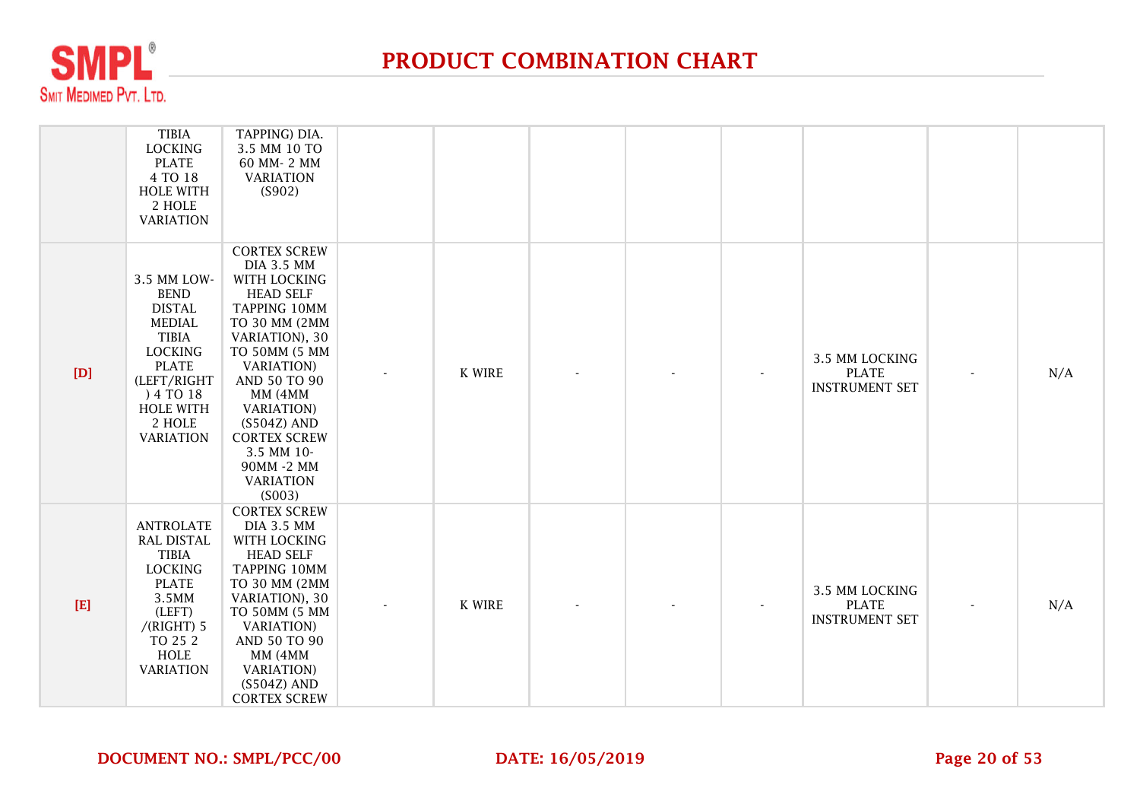

|             | <b>TIBIA</b><br><b>LOCKING</b><br><b>PLATE</b><br>4 TO 18<br><b>HOLE WITH</b><br>2 HOLE<br><b>VARIATION</b>                                                                                  | TAPPING) DIA.<br>3.5 MM 10 TO<br>60 MM-2 MM<br><b>VARIATION</b><br>(S902)                                                                                                                                                                                                                                                 |               |  |                                                         |     |
|-------------|----------------------------------------------------------------------------------------------------------------------------------------------------------------------------------------------|---------------------------------------------------------------------------------------------------------------------------------------------------------------------------------------------------------------------------------------------------------------------------------------------------------------------------|---------------|--|---------------------------------------------------------|-----|
| [D]         | 3.5 MM LOW-<br><b>BEND</b><br><b>DISTAL</b><br><b>MEDIAL</b><br><b>TIBIA</b><br><b>LOCKING</b><br><b>PLATE</b><br>(LEFT/RIGHT<br>) 4 TO 18<br><b>HOLE WITH</b><br>2 HOLE<br><b>VARIATION</b> | <b>CORTEX SCREW</b><br><b>DIA 3.5 MM</b><br>WITH LOCKING<br><b>HEAD SELF</b><br>TAPPING 10MM<br>TO 30 MM (2MM<br>VARIATION), 30<br>TO 50MM (5 MM<br><b>VARIATION</b> )<br>AND 50 TO 90<br>MM (4MM<br><b>VARIATION</b> )<br>$(S504Z)$ AND<br><b>CORTEX SCREW</b><br>3.5 MM 10-<br>90MM -2 MM<br><b>VARIATION</b><br>(S003) | <b>K WIRE</b> |  | 3.5 MM LOCKING<br><b>PLATE</b><br><b>INSTRUMENT SET</b> | N/A |
| $[{\bf E}]$ | <b>ANTROLATE</b><br><b>RAL DISTAL</b><br><b>TIBIA</b><br><b>LOCKING</b><br><b>PLATE</b><br>3.5MM<br>(LEFT)<br>$/(RIGHT)$ 5<br>TO 25 2<br><b>HOLE</b><br><b>VARIATION</b>                     | <b>CORTEX SCREW</b><br><b>DIA 3.5 MM</b><br>WITH LOCKING<br><b>HEAD SELF</b><br>TAPPING 10MM<br>TO 30 MM (2MM<br>VARIATION), 30<br>TO 50MM (5 MM<br><b>VARIATION</b> )<br>AND 50 TO 90<br>MM (4MM<br><b>VARIATION</b> )<br>$(S504Z)$ AND<br><b>CORTEX SCREW</b>                                                           | <b>K WIRE</b> |  | 3.5 MM LOCKING<br><b>PLATE</b><br><b>INSTRUMENT SET</b> | N/A |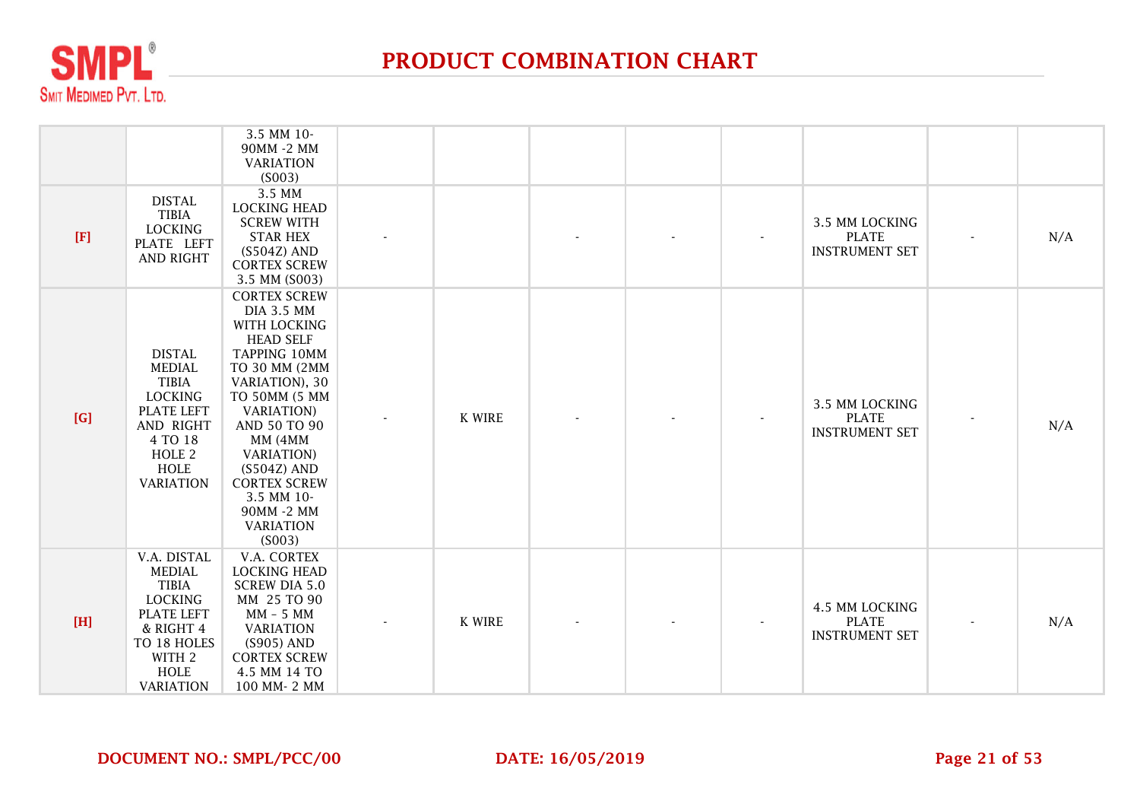

|             |                                                                                                                                                                | 3.5 MM 10-<br>90MM -2 MM<br><b>VARIATION</b><br>(S003)                                                                                                                                                                                                                                                                  |               |  |                                                         |     |
|-------------|----------------------------------------------------------------------------------------------------------------------------------------------------------------|-------------------------------------------------------------------------------------------------------------------------------------------------------------------------------------------------------------------------------------------------------------------------------------------------------------------------|---------------|--|---------------------------------------------------------|-----|
| $[{\bf F}]$ | <b>DISTAL</b><br><b>TIBIA</b><br><b>LOCKING</b><br>PLATE LEFT<br><b>AND RIGHT</b>                                                                              | 3.5 MM<br><b>LOCKING HEAD</b><br><b>SCREW WITH</b><br><b>STAR HEX</b><br>$(S504Z)$ AND<br><b>CORTEX SCREW</b><br>3.5 MM (S003)                                                                                                                                                                                          |               |  | 3.5 MM LOCKING<br><b>PLATE</b><br><b>INSTRUMENT SET</b> | N/A |
| [G]         | <b>DISTAL</b><br><b>MEDIAL</b><br><b>TIBIA</b><br><b>LOCKING</b><br>PLATE LEFT<br>AND RIGHT<br>4 TO 18<br>HOLE <sub>2</sub><br><b>HOLE</b><br><b>VARIATION</b> | <b>CORTEX SCREW</b><br><b>DIA 3.5 MM</b><br>WITH LOCKING<br><b>HEAD SELF</b><br>TAPPING 10MM<br>TO 30 MM (2MM<br>VARIATION), 30<br>TO 50MM (5 MM<br><b>VARIATION</b><br>AND 50 TO 90<br>MM (4MM<br><b>VARIATION</b> )<br>$(S504Z)$ AND<br><b>CORTEX SCREW</b><br>3.5 MM 10-<br>90MM -2 MM<br><b>VARIATION</b><br>(S003) | <b>K WIRE</b> |  | 3.5 MM LOCKING<br><b>PLATE</b><br><b>INSTRUMENT SET</b> | N/A |
| $[H]$       | V.A. DISTAL<br><b>MEDIAL</b><br><b>TIBIA</b><br><b>LOCKING</b><br>PLATE LEFT<br>& RIGHT 4<br>TO 18 HOLES<br>WITH 2<br><b>HOLE</b><br><b>VARIATION</b>          | V.A. CORTEX<br><b>LOCKING HEAD</b><br><b>SCREW DIA 5.0</b><br>MM 25 TO 90<br>MM - 5 MM<br><b>VARIATION</b><br>(S905) AND<br><b>CORTEX SCREW</b><br>4.5 MM 14 TO<br>100 MM-2 MM                                                                                                                                          | K WIRE        |  | 4.5 MM LOCKING<br><b>PLATE</b><br><b>INSTRUMENT SET</b> | N/A |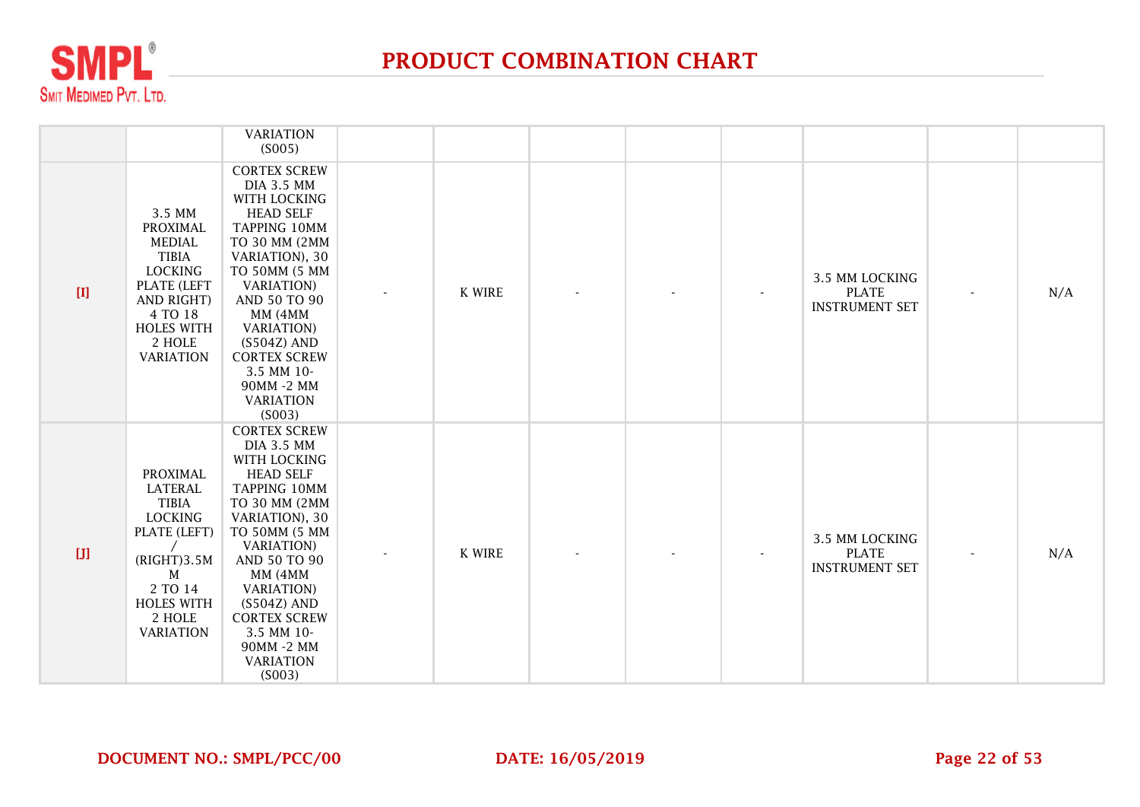

|                                                                                                                                                                                                                                                    |                                                                                                                                                                          | <b>VARIATION</b><br>(S005)                                                                                                                                                                                                                                                                                                |               |  |                                                         |                          |     |
|----------------------------------------------------------------------------------------------------------------------------------------------------------------------------------------------------------------------------------------------------|--------------------------------------------------------------------------------------------------------------------------------------------------------------------------|---------------------------------------------------------------------------------------------------------------------------------------------------------------------------------------------------------------------------------------------------------------------------------------------------------------------------|---------------|--|---------------------------------------------------------|--------------------------|-----|
| $[1] % \centering \includegraphics[width=0.9\textwidth]{images/TrDiM-Architecture.png} % \caption{The first two different values of $M$ with the same time. The first two different values of $M$ is the same time.} \label{TrDiM-Architecture} %$ | 3.5 MM<br>PROXIMAL<br><b>MEDIAL</b><br><b>TIBIA</b><br><b>LOCKING</b><br><b>PLATE (LEFT</b><br>AND RIGHT)<br>4 TO 18<br><b>HOLES WITH</b><br>2 HOLE<br><b>VARIATION</b>  | <b>CORTEX SCREW</b><br><b>DIA 3.5 MM</b><br>WITH LOCKING<br><b>HEAD SELF</b><br>TAPPING 10MM<br>TO 30 MM (2MM<br>VARIATION), 30<br>TO 50MM (5 MM<br><b>VARIATION</b> )<br>AND 50 TO 90<br>MM (4MM<br><b>VARIATION</b> )<br>$(S504Z)$ AND<br><b>CORTEX SCREW</b><br>3.5 MM 10-<br>90MM -2 MM<br><b>VARIATION</b><br>(S003) | K WIRE        |  | 3.5 MM LOCKING<br><b>PLATE</b><br><b>INSTRUMENT SET</b> | $\overline{\phantom{a}}$ | N/A |
|                                                                                                                                                                                                                                                    | PROXIMAL<br><b>LATERAL</b><br><b>TIBIA</b><br><b>LOCKING</b><br>PLATE (LEFT)<br>(RIGHT)3.5M<br>$\mathbf M$<br>2 TO 14<br><b>HOLES WITH</b><br>2 HOLE<br><b>VARIATION</b> | <b>CORTEX SCREW</b><br><b>DIA 3.5 MM</b><br>WITH LOCKING<br><b>HEAD SELF</b><br>TAPPING 10MM<br>TO 30 MM (2MM<br>VARIATION), 30<br>TO 50MM (5 MM<br><b>VARIATION</b> )<br>AND 50 TO 90<br>MM (4MM<br><b>VARIATION</b> )<br>$(S504Z)$ AND<br><b>CORTEX SCREW</b><br>3.5 MM 10-<br>90MM -2 MM<br><b>VARIATION</b><br>(S003) | <b>K WIRE</b> |  | 3.5 MM LOCKING<br><b>PLATE</b><br><b>INSTRUMENT SET</b> |                          | N/A |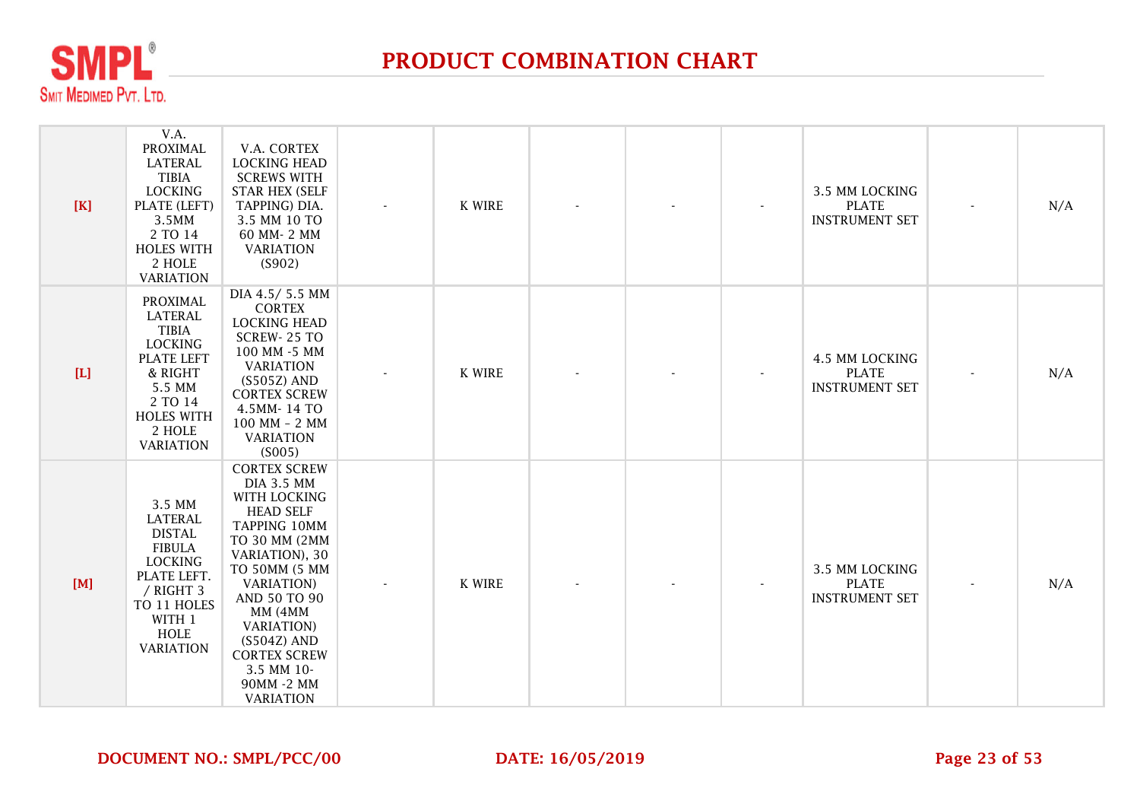

| [K]         | V.A.<br><b>PROXIMAL</b><br><b>LATERAL</b><br><b>TIBIA</b><br><b>LOCKING</b><br>PLATE (LEFT)<br>3.5MM<br>2 TO 14<br><b>HOLES WITH</b><br>2 HOLE<br><b>VARIATION</b>   | V.A. CORTEX<br><b>LOCKING HEAD</b><br><b>SCREWS WITH</b><br><b>STAR HEX (SELF</b><br>TAPPING) DIA.<br>3.5 MM 10 TO<br>60 MM-2 MM<br><b>VARIATION</b><br>(S902)                                                                                                                                                  | K WIRE        |  | 3.5 MM LOCKING<br><b>PLATE</b><br><b>INSTRUMENT SET</b>        | N/A |
|-------------|----------------------------------------------------------------------------------------------------------------------------------------------------------------------|-----------------------------------------------------------------------------------------------------------------------------------------------------------------------------------------------------------------------------------------------------------------------------------------------------------------|---------------|--|----------------------------------------------------------------|-----|
| $[{\rm L}]$ | <b>PROXIMAL</b><br><b>LATERAL</b><br><b>TIBIA</b><br><b>LOCKING</b><br>PLATE LEFT<br>& RIGHT<br>5.5 MM<br>2 TO 14<br><b>HOLES WITH</b><br>2 HOLE<br><b>VARIATION</b> | DIA 4.5/5.5 MM<br><b>CORTEX</b><br><b>LOCKING HEAD</b><br>SCREW-25 TO<br>100 MM -5 MM<br><b>VARIATION</b><br>(S505Z) AND<br><b>CORTEX SCREW</b><br>4.5MM-14 TO<br>100 MM - 2 MM<br><b>VARIATION</b><br>(S005)                                                                                                   | <b>K WIRE</b> |  | <b>4.5 MM LOCKING</b><br><b>PLATE</b><br><b>INSTRUMENT SET</b> | N/A |
| [M]         | 3.5 MM<br><b>LATERAL</b><br><b>DISTAL</b><br><b>FIBULA</b><br><b>LOCKING</b><br>PLATE LEFT.<br>/ RIGHT 3<br>TO 11 HOLES<br>WITH 1<br><b>HOLE</b><br><b>VARIATION</b> | <b>CORTEX SCREW</b><br><b>DIA 3.5 MM</b><br>WITH LOCKING<br><b>HEAD SELF</b><br>TAPPING 10MM<br>TO 30 MM (2MM<br>VARIATION), 30<br>TO 50MM (5 MM<br><b>VARIATION</b> )<br>AND 50 TO 90<br>MM (4MM<br><b>VARIATION</b> )<br>$(S504Z)$ AND<br><b>CORTEX SCREW</b><br>3.5 MM 10-<br>90MM -2 MM<br><b>VARIATION</b> | K WIRE        |  | 3.5 MM LOCKING<br><b>PLATE</b><br><b>INSTRUMENT SET</b>        | N/A |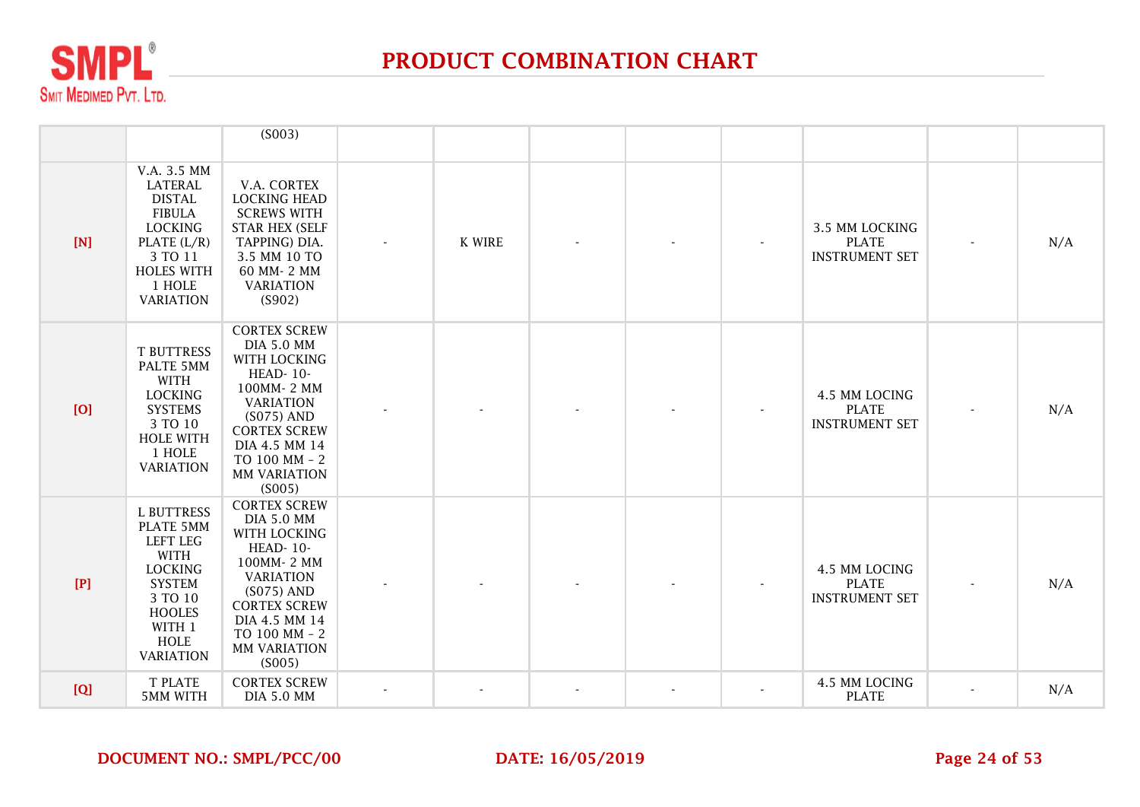

|     |                                                                                                                                                                       | (S003)                                                                                                                                                                                                                  |        |  |                                                         |     |
|-----|-----------------------------------------------------------------------------------------------------------------------------------------------------------------------|-------------------------------------------------------------------------------------------------------------------------------------------------------------------------------------------------------------------------|--------|--|---------------------------------------------------------|-----|
| [N] | V.A. 3.5 MM<br>LATERAL<br><b>DISTAL</b><br><b>FIBULA</b><br><b>LOCKING</b><br>PLATE $(L/R)$<br>3 TO 11<br><b>HOLES WITH</b><br>1 HOLE<br><b>VARIATION</b>             | V.A. CORTEX<br><b>LOCKING HEAD</b><br><b>SCREWS WITH</b><br><b>STAR HEX (SELF</b><br>TAPPING) DIA.<br>3.5 MM 10 TO<br>60 MM-2 MM<br><b>VARIATION</b><br>(S902)                                                          | K WIRE |  | 3.5 MM LOCKING<br><b>PLATE</b><br><b>INSTRUMENT SET</b> | N/A |
| [O] | <b>T BUTTRESS</b><br>PALTE 5MM<br><b>WITH</b><br><b>LOCKING</b><br><b>SYSTEMS</b><br>3 TO 10<br><b>HOLE WITH</b><br>1 HOLE<br><b>VARIATION</b>                        | <b>CORTEX SCREW</b><br><b>DIA 5.0 MM</b><br><b>WITH LOCKING</b><br>HEAD-10-<br>100MM-2 MM<br><b>VARIATION</b><br>$(S075)$ AND<br><b>CORTEX SCREW</b><br>DIA 4.5 MM 14<br>TO 100 MM - 2<br><b>MM VARIATION</b><br>(S005) |        |  | 4.5 MM LOCING<br><b>PLATE</b><br><b>INSTRUMENT SET</b>  | N/A |
| [P] | <b>L BUTTRESS</b><br>PLATE 5MM<br><b>LEFT LEG</b><br>WITH<br><b>LOCKING</b><br><b>SYSTEM</b><br>3 TO 10<br><b>HOOLES</b><br>WITH 1<br><b>HOLE</b><br><b>VARIATION</b> | <b>CORTEX SCREW</b><br><b>DIA 5.0 MM</b><br>WITH LOCKING<br><b>HEAD-10-</b><br>100MM-2 MM<br><b>VARIATION</b><br>$(S075)$ AND<br><b>CORTEX SCREW</b><br>DIA 4.5 MM 14<br>TO 100 MM - 2<br>MM VARIATION<br>(S005)        |        |  | 4.5 MM LOCING<br><b>PLATE</b><br><b>INSTRUMENT SET</b>  | N/A |
| [Q] | <b>T PLATE</b><br><b>5MM WITH</b>                                                                                                                                     | <b>CORTEX SCREW</b><br><b>DIA 5.0 MM</b>                                                                                                                                                                                |        |  | 4.5 MM LOCING<br><b>PLATE</b>                           | N/A |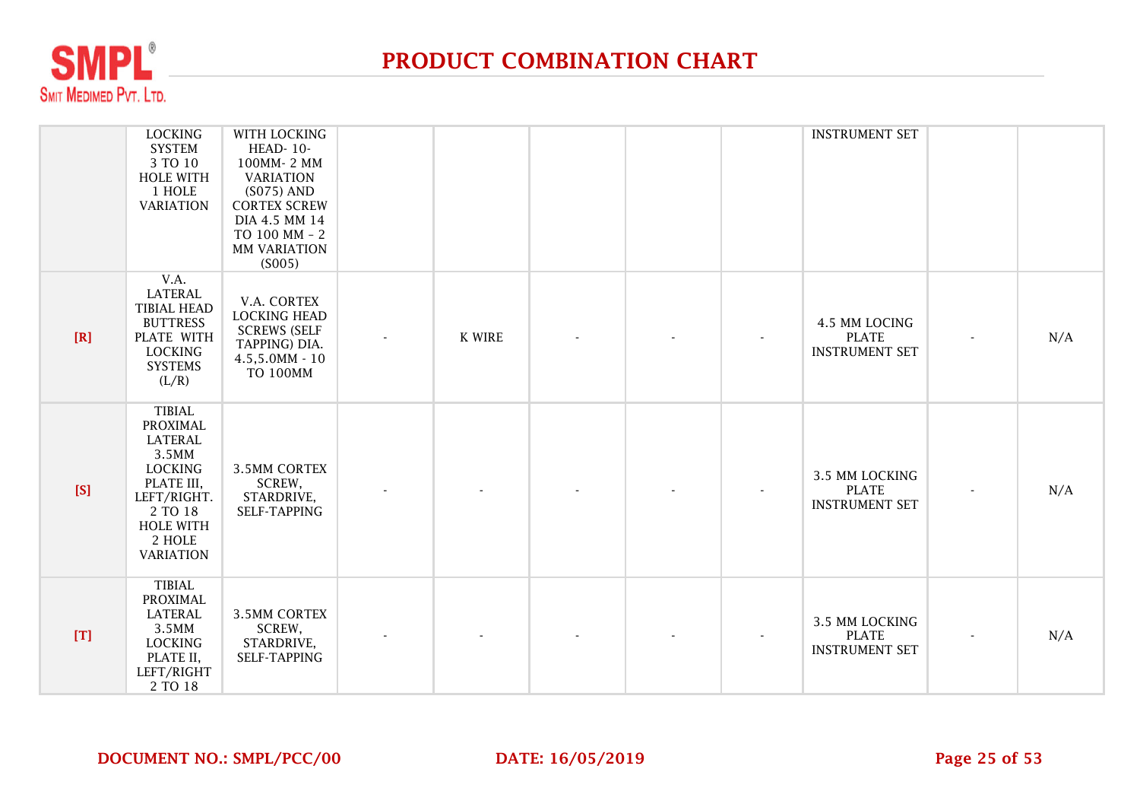

|     | <b>LOCKING</b><br><b>SYSTEM</b><br>3 TO 10<br><b>HOLE WITH</b><br>1 HOLE<br><b>VARIATION</b>                                                                     | WITH LOCKING<br>HEAD-10-<br>100MM-2 MM<br><b>VARIATION</b><br>(S075) AND<br><b>CORTEX SCREW</b><br>DIA 4.5 MM 14<br>TO 100 MM - 2<br><b>MM VARIATION</b><br>(S005) |               |  | <b>INSTRUMENT SET</b>                                   |     |
|-----|------------------------------------------------------------------------------------------------------------------------------------------------------------------|--------------------------------------------------------------------------------------------------------------------------------------------------------------------|---------------|--|---------------------------------------------------------|-----|
| [R] | V.A.<br>LATERAL<br><b>TIBIAL HEAD</b><br><b>BUTTRESS</b><br>PLATE WITH<br><b>LOCKING</b><br><b>SYSTEMS</b><br>(L/R)                                              | V.A. CORTEX<br><b>LOCKING HEAD</b><br><b>SCREWS (SELF</b><br>TAPPING) DIA.<br>$4.5,5.0MM - 10$<br><b>TO 100MM</b>                                                  | <b>K WIRE</b> |  | 4.5 MM LOCING<br><b>PLATE</b><br><b>INSTRUMENT SET</b>  | N/A |
| [S] | <b>TIBIAL</b><br>PROXIMAL<br><b>LATERAL</b><br>3.5MM<br><b>LOCKING</b><br>PLATE III,<br>LEFT/RIGHT.<br>2 TO 18<br><b>HOLE WITH</b><br>2 HOLE<br><b>VARIATION</b> | <b>3.5MM CORTEX</b><br>SCREW,<br>STARDRIVE,<br>SELF-TAPPING                                                                                                        |               |  | 3.5 MM LOCKING<br><b>PLATE</b><br><b>INSTRUMENT SET</b> | N/A |
| [T] | <b>TIBIAL</b><br>PROXIMAL<br><b>LATERAL</b><br>3.5MM<br><b>LOCKING</b><br>PLATE II,<br>LEFT/RIGHT<br>2 TO 18                                                     | <b>3.5MM CORTEX</b><br>SCREW,<br>STARDRIVE,<br>SELF-TAPPING                                                                                                        |               |  | 3.5 MM LOCKING<br><b>PLATE</b><br><b>INSTRUMENT SET</b> | N/A |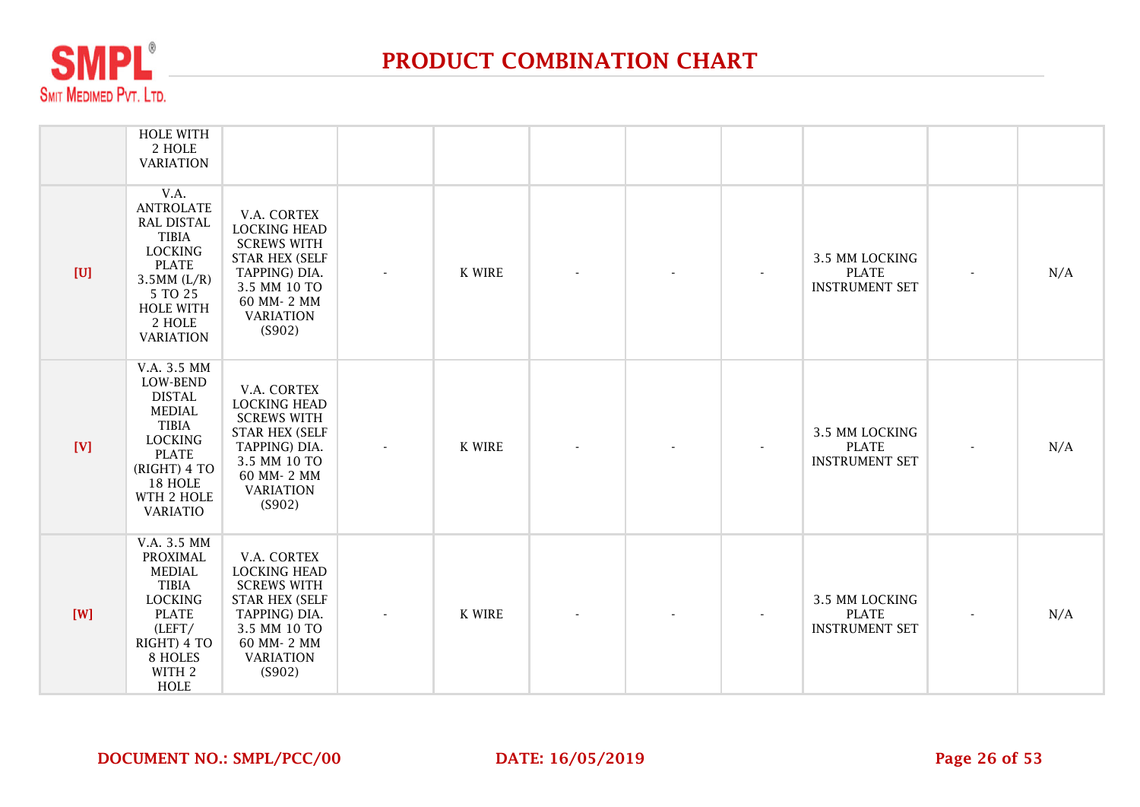

|     | <b>HOLE WITH</b><br>2 HOLE<br><b>VARIATION</b>                                                                                                                          |                                                                                                                                                                |        |  |                                                         |     |
|-----|-------------------------------------------------------------------------------------------------------------------------------------------------------------------------|----------------------------------------------------------------------------------------------------------------------------------------------------------------|--------|--|---------------------------------------------------------|-----|
| [U] | V.A.<br><b>ANTROLATE</b><br><b>RAL DISTAL</b><br><b>TIBIA</b><br><b>LOCKING</b><br><b>PLATE</b><br>$3.5MM$ (L/R)<br>5 TO 25<br>HOLE WITH<br>2 HOLE<br><b>VARIATION</b>  | V.A. CORTEX<br><b>LOCKING HEAD</b><br><b>SCREWS WITH</b><br><b>STAR HEX (SELF</b><br>TAPPING) DIA.<br>3.5 MM 10 TO<br>60 MM-2 MM<br><b>VARIATION</b><br>(S902) | K WIRE |  | 3.5 MM LOCKING<br><b>PLATE</b><br><b>INSTRUMENT SET</b> | N/A |
| [V] | V.A. 3.5 MM<br>LOW-BEND<br><b>DISTAL</b><br><b>MEDIAL</b><br><b>TIBIA</b><br><b>LOCKING</b><br><b>PLATE</b><br>(RIGHT) 4 TO<br>18 HOLE<br>WTH 2 HOLE<br><b>VARIATIO</b> | V.A. CORTEX<br><b>LOCKING HEAD</b><br><b>SCREWS WITH</b><br><b>STAR HEX (SELF</b><br>TAPPING) DIA.<br>3.5 MM 10 TO<br>60 MM-2 MM<br><b>VARIATION</b><br>(S902) | K WIRE |  | 3.5 MM LOCKING<br><b>PLATE</b><br><b>INSTRUMENT SET</b> | N/A |
| [W] | V.A. 3.5 MM<br><b>PROXIMAL</b><br><b>MEDIAL</b><br><b>TIBIA</b><br><b>LOCKING</b><br><b>PLATE</b><br>(LEFT/<br>RIGHT) 4 TO<br>8 HOLES<br>WITH 2<br><b>HOLE</b>          | V.A. CORTEX<br><b>LOCKING HEAD</b><br><b>SCREWS WITH</b><br><b>STAR HEX (SELF</b><br>TAPPING) DIA.<br>3.5 MM 10 TO<br>60 MM-2 MM<br><b>VARIATION</b><br>(S902) | K WIRE |  | 3.5 MM LOCKING<br><b>PLATE</b><br><b>INSTRUMENT SET</b> | N/A |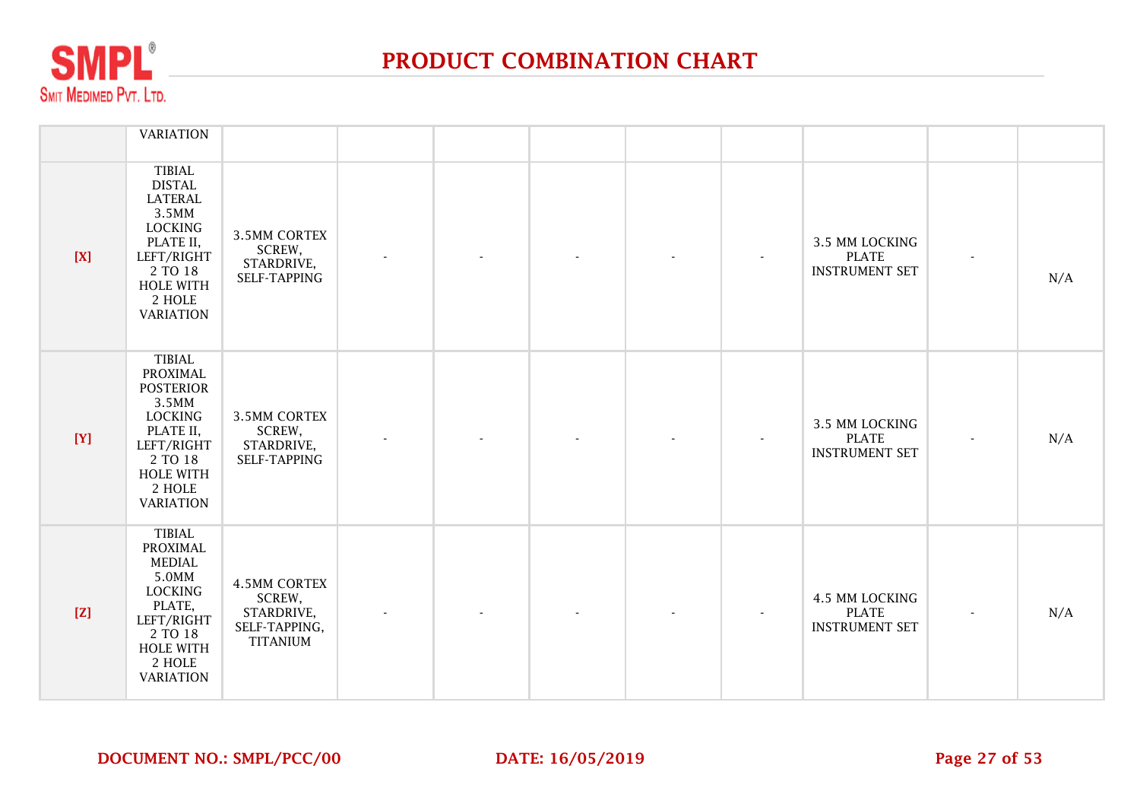

|     | <b>VARIATION</b>                                                                                                                                                    |                                                                                 |  |  |                                                         |     |
|-----|---------------------------------------------------------------------------------------------------------------------------------------------------------------------|---------------------------------------------------------------------------------|--|--|---------------------------------------------------------|-----|
| [X] | <b>TIBIAL</b><br><b>DISTAL</b><br><b>LATERAL</b><br>3.5MM<br><b>LOCKING</b><br>PLATE II,<br>LEFT/RIGHT<br>2 TO 18<br><b>HOLE WITH</b><br>2 HOLE<br><b>VARIATION</b> | <b>3.5MM CORTEX</b><br>SCREW,<br>STARDRIVE,<br>SELF-TAPPING                     |  |  | 3.5 MM LOCKING<br><b>PLATE</b><br><b>INSTRUMENT SET</b> | N/A |
| [Y] | <b>TIBIAL</b><br>PROXIMAL<br><b>POSTERIOR</b><br>3.5MM<br><b>LOCKING</b><br>PLATE II,<br>LEFT/RIGHT<br>2 TO 18<br><b>HOLE WITH</b><br>2 HOLE<br><b>VARIATION</b>    | <b>3.5MM CORTEX</b><br>SCREW,<br>STARDRIVE,<br>SELF-TAPPING                     |  |  | 3.5 MM LOCKING<br><b>PLATE</b><br><b>INSTRUMENT SET</b> | N/A |
| [Z] | <b>TIBIAL</b><br>PROXIMAL<br><b>MEDIAL</b><br>5.0MM<br><b>LOCKING</b><br>PLATE,<br>LEFT/RIGHT<br>2 TO 18<br>HOLE WITH<br>2 HOLE<br><b>VARIATION</b>                 | <b>4.5MM CORTEX</b><br>SCREW,<br>STARDRIVE,<br>SELF-TAPPING,<br><b>TITANIUM</b> |  |  | 4.5 MM LOCKING<br><b>PLATE</b><br><b>INSTRUMENT SET</b> | N/A |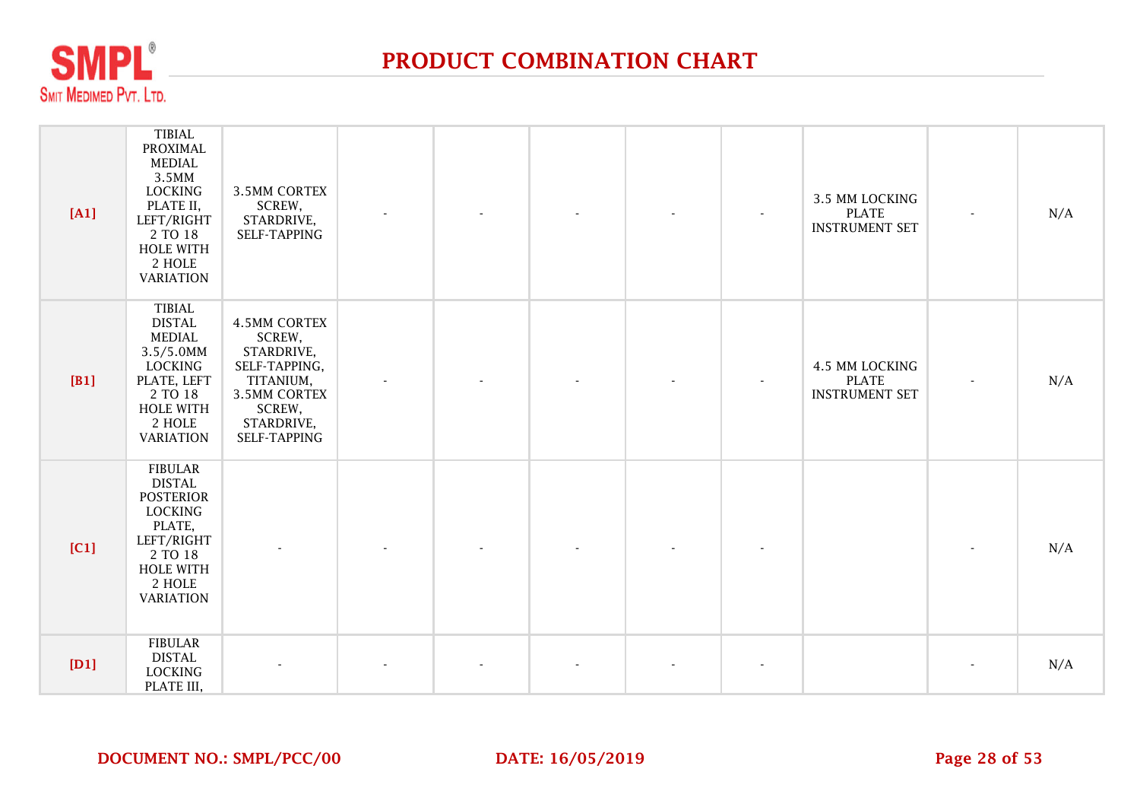

| [A1] | <b>TIBIAL</b><br><b>PROXIMAL</b><br>MEDIAL<br>3.5MM<br><b>LOCKING</b><br>PLATE II,<br>LEFT/RIGHT<br>2 TO 18<br><b>HOLE WITH</b><br>2 HOLE<br><b>VARIATION</b> | <b>3.5MM CORTEX</b><br>SCREW,<br>STARDRIVE,<br>SELF-TAPPING                                                                              |  |  | 3.5 MM LOCKING<br><b>PLATE</b><br><b>INSTRUMENT SET</b> | $\overline{\phantom{a}}$ | N/A |
|------|---------------------------------------------------------------------------------------------------------------------------------------------------------------|------------------------------------------------------------------------------------------------------------------------------------------|--|--|---------------------------------------------------------|--------------------------|-----|
| [B1] | <b>TIBIAL</b><br><b>DISTAL</b><br><b>MEDIAL</b><br>$3.5/5.0$ MM<br>LOCKING<br>PLATE, LEFT<br>2 TO 18<br><b>HOLE WITH</b><br>2 HOLE<br><b>VARIATION</b>        | <b>4.5MM CORTEX</b><br>SCREW,<br>STARDRIVE,<br>SELF-TAPPING,<br>TITANIUM,<br><b>3.5MM CORTEX</b><br>SCREW,<br>STARDRIVE,<br>SELF-TAPPING |  |  | 4.5 MM LOCKING<br><b>PLATE</b><br><b>INSTRUMENT SET</b> | $\overline{\phantom{a}}$ | N/A |
| [C1] | <b>FIBULAR</b><br><b>DISTAL</b><br><b>POSTERIOR</b><br><b>LOCKING</b><br>PLATE,<br>LEFT/RIGHT<br>2 TO 18<br><b>HOLE WITH</b><br>2 HOLE<br><b>VARIATION</b>    |                                                                                                                                          |  |  |                                                         |                          | N/A |
| [D1] | <b>FIBULAR</b><br><b>DISTAL</b><br><b>LOCKING</b><br>PLATE III,                                                                                               |                                                                                                                                          |  |  |                                                         | ٠                        | N/A |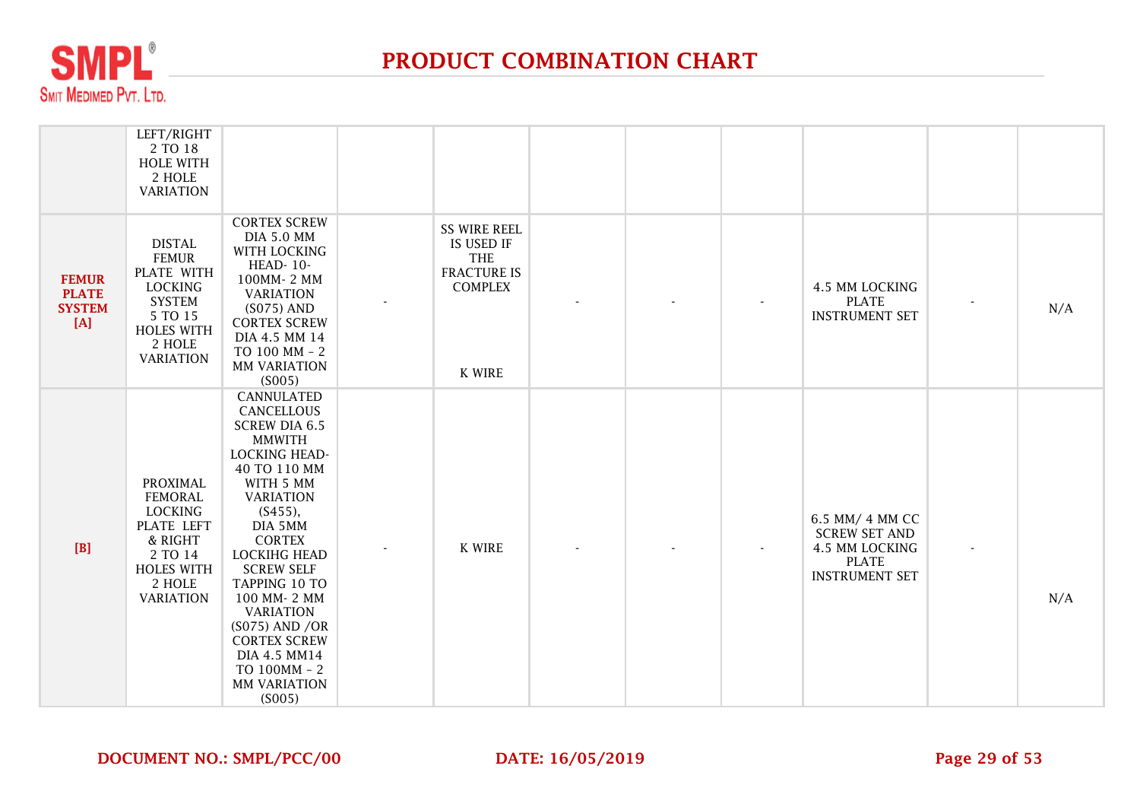

|                                                        | LEFT/RIGHT<br>2 TO 18<br><b>HOLE WITH</b><br>2 HOLE<br><b>VARIATION</b>                                                                      |                                                                                                                                                                                                                                                                                                                                                                                                    |                                                                                            |  |                                                                                                    |     |
|--------------------------------------------------------|----------------------------------------------------------------------------------------------------------------------------------------------|----------------------------------------------------------------------------------------------------------------------------------------------------------------------------------------------------------------------------------------------------------------------------------------------------------------------------------------------------------------------------------------------------|--------------------------------------------------------------------------------------------|--|----------------------------------------------------------------------------------------------------|-----|
| <b>FEMUR</b><br><b>PLATE</b><br><b>SYSTEM</b><br>$[A]$ | <b>DISTAL</b><br><b>FEMUR</b><br>PLATE WITH<br><b>LOCKING</b><br><b>SYSTEM</b><br>5 TO 15<br><b>HOLES WITH</b><br>2 HOLE<br><b>VARIATION</b> | <b>CORTEX SCREW</b><br><b>DIA 5.0 MM</b><br>WITH LOCKING<br>HEAD-10-<br>100MM-2 MM<br><b>VARIATION</b><br>$(S075)$ AND<br><b>CORTEX SCREW</b><br>DIA 4.5 MM 14<br>TO 100 MM - 2<br><b>MM VARIATION</b><br>(S005)                                                                                                                                                                                   | <b>SS WIRE REEL</b><br>IS USED IF<br>THE<br><b>FRACTURE IS</b><br><b>COMPLEX</b><br>K WIRE |  | 4.5 MM LOCKING<br><b>PLATE</b><br><b>INSTRUMENT SET</b>                                            | N/A |
| [B]                                                    | <b>PROXIMAL</b><br><b>FEMORAL</b><br><b>LOCKING</b><br>PLATE LEFT<br>& RIGHT<br>2 TO 14<br><b>HOLES WITH</b><br>2 HOLE<br><b>VARIATION</b>   | <b>CANNULATED</b><br>CANCELLOUS<br><b>SCREW DIA 6.5</b><br><b>MMWITH</b><br><b>LOCKING HEAD-</b><br>40 TO 110 MM<br>WITH 5 MM<br><b>VARIATION</b><br>(S455),<br>DIA 5MM<br><b>CORTEX</b><br><b>LOCKIHG HEAD</b><br><b>SCREW SELF</b><br>TAPPING 10 TO<br>100 MM-2 MM<br><b>VARIATION</b><br>(S075) AND /OR<br><b>CORTEX SCREW</b><br>DIA 4.5 MM14<br>TO 100MM - 2<br><b>MM VARIATION</b><br>(S005) | <b>K WIRE</b>                                                                              |  | 6.5 MM/ 4 MM CC<br><b>SCREW SET AND</b><br>4.5 MM LOCKING<br><b>PLATE</b><br><b>INSTRUMENT SET</b> | N/A |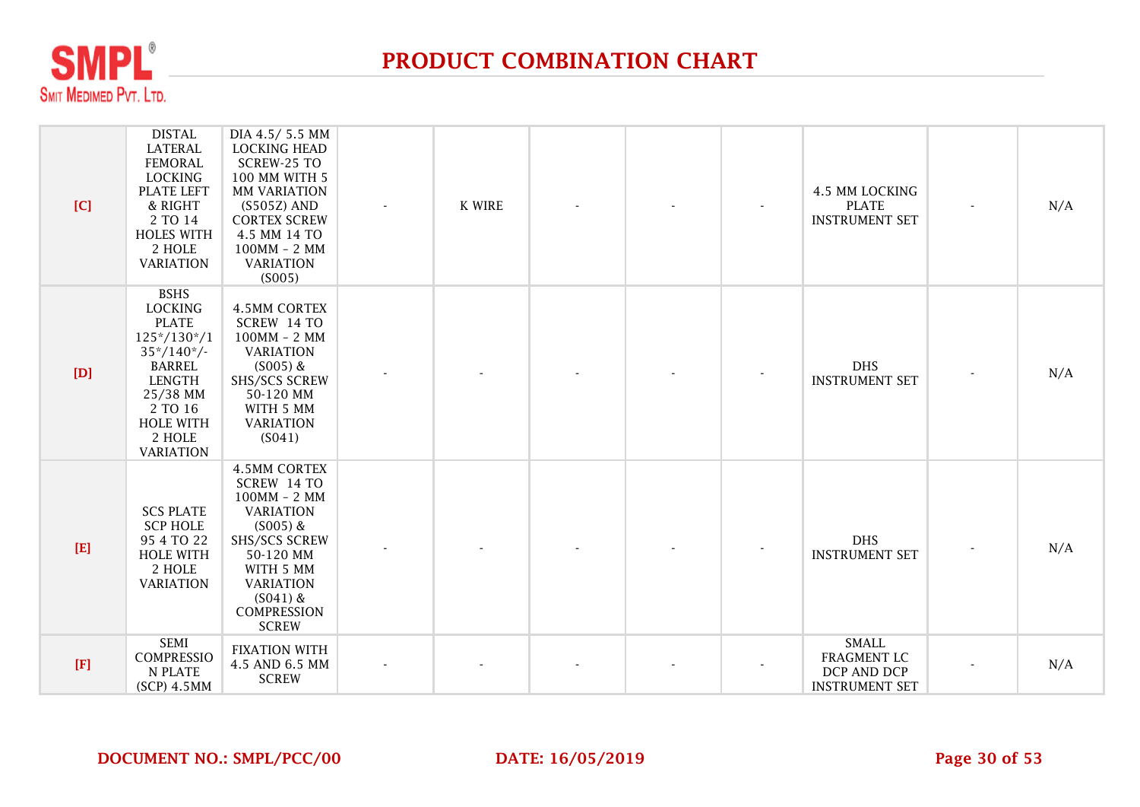

| [C]         | <b>DISTAL</b><br><b>LATERAL</b><br><b>FEMORAL</b><br><b>LOCKING</b><br>PLATE LEFT<br>& RIGHT<br>2 TO 14<br><b>HOLES WITH</b><br>2 HOLE<br><b>VARIATION</b>                               | DIA 4.5/5.5 MM<br><b>LOCKING HEAD</b><br>SCREW-25 TO<br>100 MM WITH 5<br><b>MM VARIATION</b><br>$(S505Z)$ AND<br><b>CORTEX SCREW</b><br>4.5 MM 14 TO<br>$100MM - 2 MM$<br><b>VARIATION</b><br>(S005)      | K WIRE |  | 4.5 MM LOCKING<br><b>PLATE</b><br><b>INSTRUMENT SET</b>             | N/A |
|-------------|------------------------------------------------------------------------------------------------------------------------------------------------------------------------------------------|-----------------------------------------------------------------------------------------------------------------------------------------------------------------------------------------------------------|--------|--|---------------------------------------------------------------------|-----|
| [D]         | <b>BSHS</b><br><b>LOCKING</b><br><b>PLATE</b><br>$125*/130*/1$<br>$35*/140*/$<br><b>BARREL</b><br><b>LENGTH</b><br>25/38 MM<br>2 TO 16<br><b>HOLE WITH</b><br>2 HOLE<br><b>VARIATION</b> | <b>4.5MM CORTEX</b><br>SCREW 14 TO<br>$100MM - 2 MM$<br><b>VARIATION</b><br>$(S005)$ &<br><b>SHS/SCS SCREW</b><br>50-120 MM<br>WITH 5 MM<br><b>VARIATION</b><br>(S041)                                    |        |  | <b>DHS</b><br><b>INSTRUMENT SET</b>                                 | N/A |
| $[E]$       | <b>SCS PLATE</b><br><b>SCP HOLE</b><br>95 4 TO 22<br><b>HOLE WITH</b><br>2 HOLE<br><b>VARIATION</b>                                                                                      | <b>4.5MM CORTEX</b><br>SCREW 14 TO<br>$100MM - 2 MM$<br><b>VARIATION</b><br>$(S005)$ &<br><b>SHS/SCS SCREW</b><br>50-120 MM<br>WITH 5 MM<br><b>VARIATION</b><br>$(S041)$ &<br>COMPRESSION<br><b>SCREW</b> |        |  | <b>DHS</b><br><b>INSTRUMENT SET</b>                                 | N/A |
| $[{\bf F}]$ | <b>SEMI</b><br><b>COMPRESSIO</b><br>N PLATE<br>$(SCP)$ 4.5MM                                                                                                                             | <b>FIXATION WITH</b><br>4.5 AND 6.5 MM<br><b>SCREW</b>                                                                                                                                                    |        |  | <b>SMALL</b><br>FRAGMENT LC<br>DCP AND DCP<br><b>INSTRUMENT SET</b> | N/A |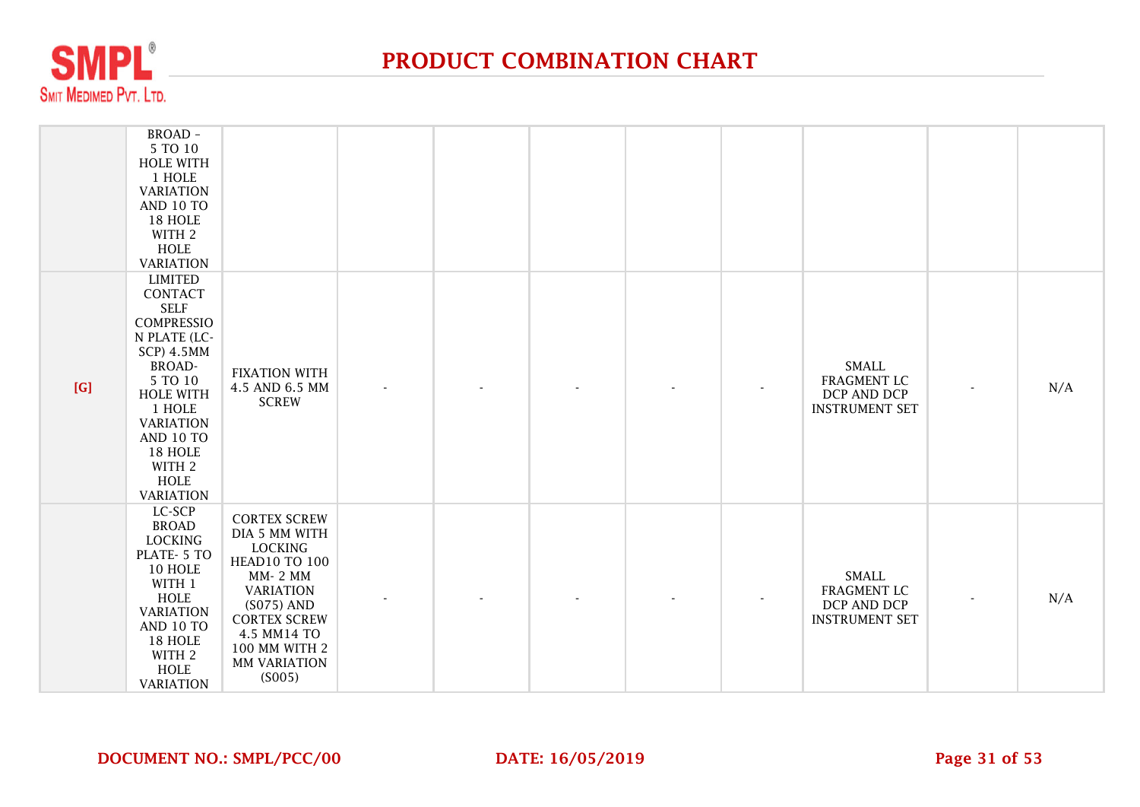

|     | BROAD -<br>5 TO 10<br><b>HOLE WITH</b><br>1 HOLE<br><b>VARIATION</b><br>AND 10 TO<br>18 HOLE<br>WITH 2<br><b>HOLE</b><br><b>VARIATION</b>                                                                                                      |                                                                                                                                                                                                                       |                |  |                                                                            |                |     |
|-----|------------------------------------------------------------------------------------------------------------------------------------------------------------------------------------------------------------------------------------------------|-----------------------------------------------------------------------------------------------------------------------------------------------------------------------------------------------------------------------|----------------|--|----------------------------------------------------------------------------|----------------|-----|
| [G] | <b>LIMITED</b><br>CONTACT<br><b>SELF</b><br>COMPRESSIO<br>N PLATE (LC-<br><b>SCP) 4.5MM</b><br><b>BROAD-</b><br>5 TO 10<br><b>HOLE WITH</b><br>1 HOLE<br><b>VARIATION</b><br>AND 10 TO<br>18 HOLE<br>WITH 2<br><b>HOLE</b><br><b>VARIATION</b> | <b>FIXATION WITH</b><br>4.5 AND 6.5 MM<br><b>SCREW</b>                                                                                                                                                                | $\blacksquare$ |  | <b>SMALL</b><br><b>FRAGMENT LC</b><br>DCP AND DCP<br><b>INSTRUMENT SET</b> | $\blacksquare$ | N/A |
|     | LC-SCP<br><b>BROAD</b><br><b>LOCKING</b><br>PLATE- 5 TO<br>10 HOLE<br>WITH 1<br><b>HOLE</b><br><b>VARIATION</b><br><b>AND 10 TO</b><br>18 HOLE<br>WITH 2<br>HOLE<br><b>VARIATION</b>                                                           | <b>CORTEX SCREW</b><br>DIA 5 MM WITH<br><b>LOCKING</b><br><b>HEAD10 TO 100</b><br><b>MM-2 MM</b><br><b>VARIATION</b><br>$(S075)$ AND<br><b>CORTEX SCREW</b><br>4.5 MM14 TO<br>100 MM WITH 2<br>MM VARIATION<br>(S005) |                |  | <b>SMALL</b><br><b>FRAGMENT LC</b><br>DCP AND DCP<br><b>INSTRUMENT SET</b> |                | N/A |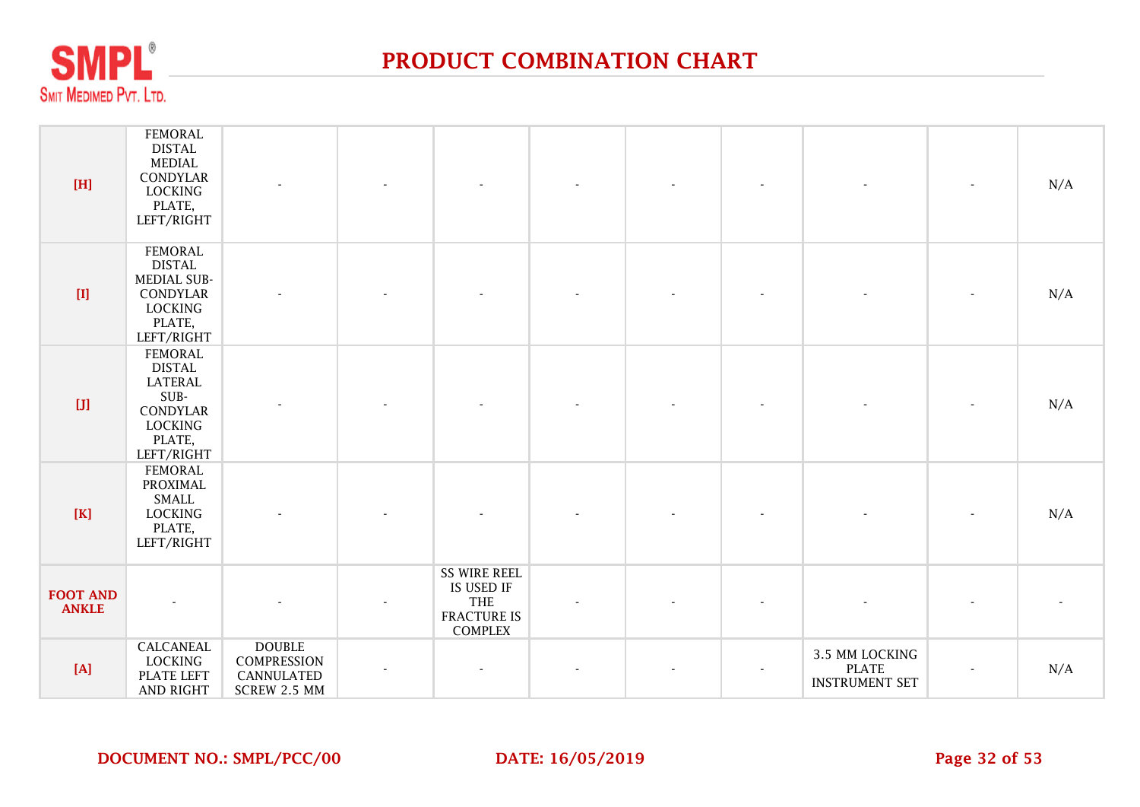

| [H]                             | <b>FEMORAL</b><br><b>DISTAL</b><br>MEDIAL<br>CONDYLAR<br>LOCKING<br>PLATE,<br>LEFT/RIGHT                        |                                                            |                                                                                  |  |                                                         | N/A |
|---------------------------------|-----------------------------------------------------------------------------------------------------------------|------------------------------------------------------------|----------------------------------------------------------------------------------|--|---------------------------------------------------------|-----|
| $[{\rm I}]$                     | <b>FEMORAL</b><br><b>DISTAL</b><br>MEDIAL SUB-<br>CONDYLAR<br>LOCKING<br>PLATE,<br>LEFT/RIGHT                   |                                                            |                                                                                  |  |                                                         | N/A |
| [J]                             | <b>FEMORAL</b><br><b>DISTAL</b><br><b>LATERAL</b><br>SUB-<br>CONDYLAR<br><b>LOCKING</b><br>PLATE,<br>LEFT/RIGHT |                                                            |                                                                                  |  |                                                         | N/A |
| [K]                             | <b>FEMORAL</b><br>PROXIMAL<br>SMALL<br>LOCKING<br>PLATE,<br>LEFT/RIGHT                                          |                                                            |                                                                                  |  |                                                         | N/A |
| <b>FOOT AND</b><br><b>ANKLE</b> |                                                                                                                 |                                                            | <b>SS WIRE REEL</b><br>IS USED IF<br><b>THE</b><br>FRACTURE IS<br><b>COMPLEX</b> |  |                                                         |     |
| [A]                             | CALCANEAL<br><b>LOCKING</b><br><b>PLATE LEFT</b><br><b>AND RIGHT</b>                                            | <b>DOUBLE</b><br>COMPRESSION<br>CANNULATED<br>SCREW 2.5 MM |                                                                                  |  | 3.5 MM LOCKING<br><b>PLATE</b><br><b>INSTRUMENT SET</b> | N/A |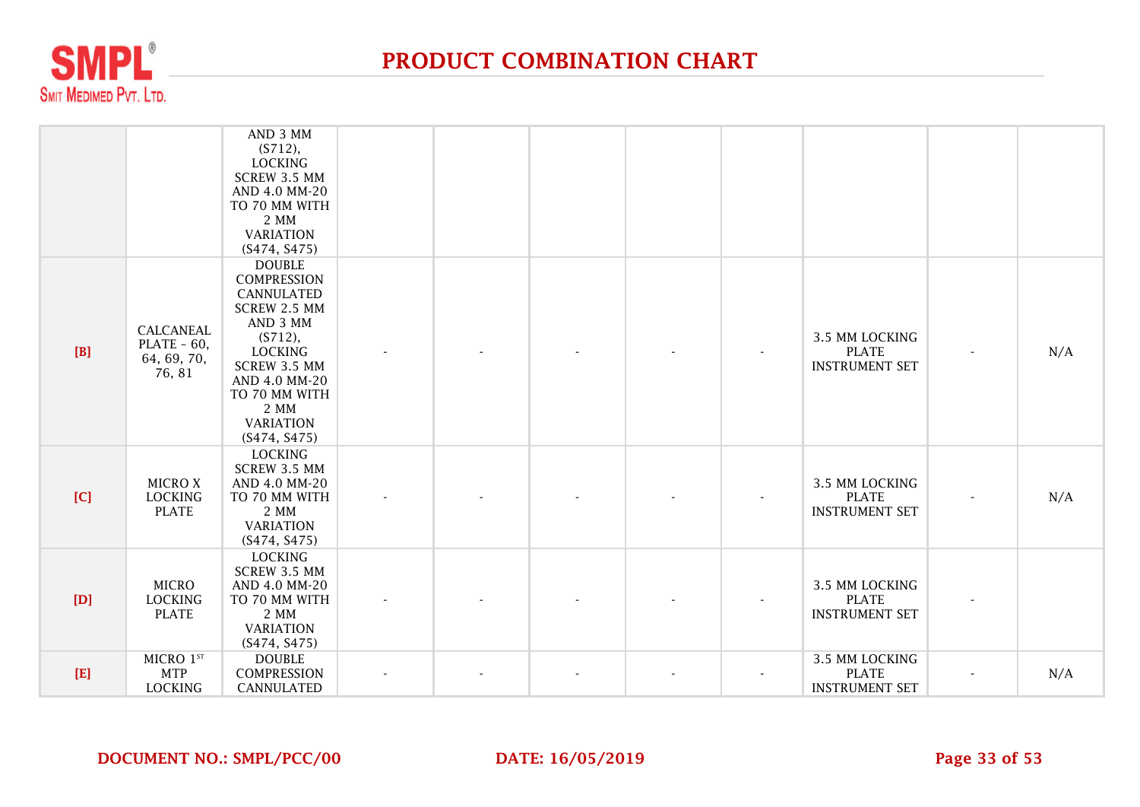

|       |                                                     | AND 3 MM<br>(S712),<br><b>LOCKING</b><br>SCREW 3.5 MM<br>AND 4.0 MM-20<br>TO 70 MM WITH<br>2 MM<br><b>VARIATION</b><br>(S474, S475)                                                                                    |  |  |                                                         |                          |     |
|-------|-----------------------------------------------------|------------------------------------------------------------------------------------------------------------------------------------------------------------------------------------------------------------------------|--|--|---------------------------------------------------------|--------------------------|-----|
| [B]   | CALCANEAL<br>$PLATE - 60,$<br>64, 69, 70,<br>76, 81 | <b>DOUBLE</b><br><b>COMPRESSION</b><br><b>CANNULATED</b><br>SCREW 2.5 MM<br>AND 3 MM<br>(S712),<br><b>LOCKING</b><br><b>SCREW 3.5 MM</b><br>AND 4.0 MM-20<br>TO 70 MM WITH<br>2 MM<br><b>VARIATION</b><br>(S474, S475) |  |  | 3.5 MM LOCKING<br><b>PLATE</b><br><b>INSTRUMENT SET</b> | $\overline{\phantom{a}}$ | N/A |
| [C]   | <b>MICROX</b><br><b>LOCKING</b><br><b>PLATE</b>     | <b>LOCKING</b><br>SCREW 3.5 MM<br>AND 4.0 MM-20<br>TO 70 MM WITH<br>2 MM<br><b>VARIATION</b><br>(S474, S475)                                                                                                           |  |  | 3.5 MM LOCKING<br><b>PLATE</b><br><b>INSTRUMENT SET</b> | $\overline{\phantom{a}}$ | N/A |
| [D]   | <b>MICRO</b><br><b>LOCKING</b><br><b>PLATE</b>      | <b>LOCKING</b><br>SCREW 3.5 MM<br>AND 4.0 MM-20<br>TO 70 MM WITH<br>2 MM<br><b>VARIATION</b><br>(S474, S475)                                                                                                           |  |  | 3.5 MM LOCKING<br><b>PLATE</b><br><b>INSTRUMENT SET</b> |                          |     |
| $[E]$ | MICRO 1ST<br><b>MTP</b><br><b>LOCKING</b>           | <b>DOUBLE</b><br><b>COMPRESSION</b><br><b>CANNULATED</b>                                                                                                                                                               |  |  | 3.5 MM LOCKING<br><b>PLATE</b><br><b>INSTRUMENT SET</b> | $\blacksquare$           | N/A |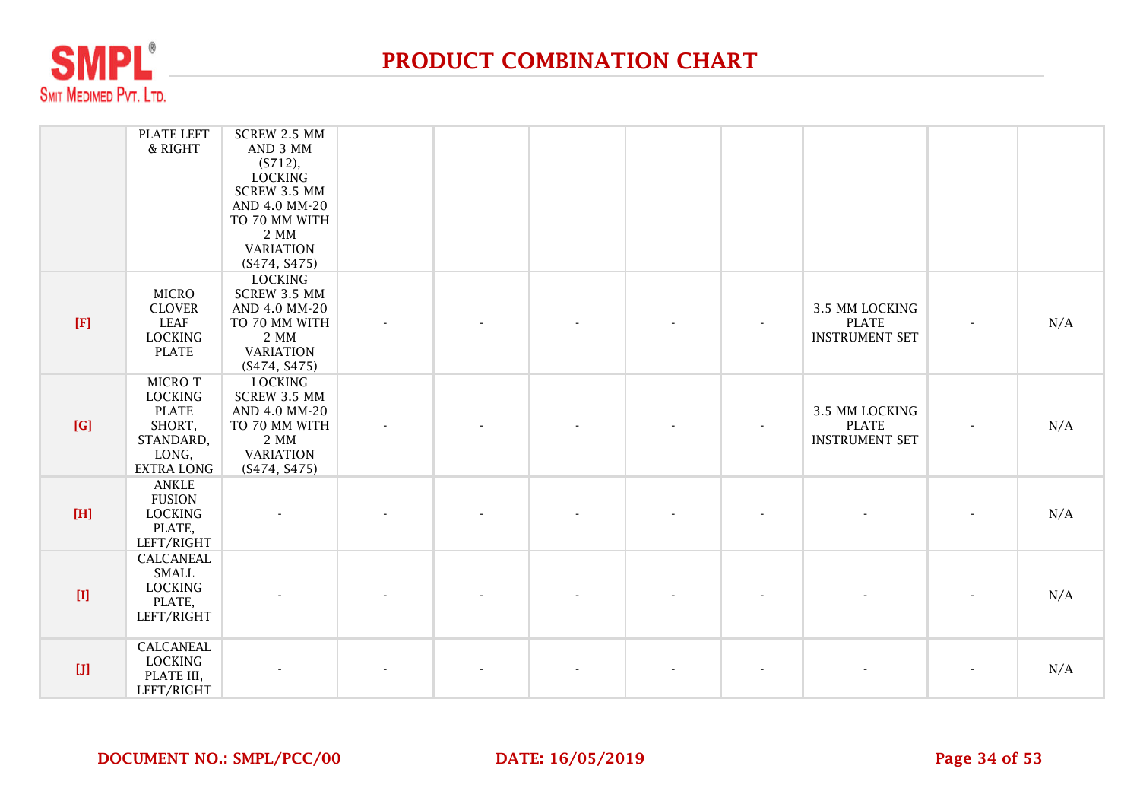

|                                                                                                                                                                                                                                                                                                                                                                                                                                                                                                                                                                                               | PLATE LEFT<br>& RIGHT                                                                          | SCREW 2.5 MM<br>AND 3 MM<br>(S712),<br><b>LOCKING</b><br>SCREW 3.5 MM<br>AND 4.0 MM-20<br>TO 70 MM WITH<br>2 MM<br><b>VARIATION</b><br>(S474, S475) |  |  |                                                         |                          |     |
|-----------------------------------------------------------------------------------------------------------------------------------------------------------------------------------------------------------------------------------------------------------------------------------------------------------------------------------------------------------------------------------------------------------------------------------------------------------------------------------------------------------------------------------------------------------------------------------------------|------------------------------------------------------------------------------------------------|-----------------------------------------------------------------------------------------------------------------------------------------------------|--|--|---------------------------------------------------------|--------------------------|-----|
| [F]                                                                                                                                                                                                                                                                                                                                                                                                                                                                                                                                                                                           | <b>MICRO</b><br><b>CLOVER</b><br><b>LEAF</b><br><b>LOCKING</b><br><b>PLATE</b>                 | LOCKING<br>SCREW 3.5 MM<br>AND 4.0 MM-20<br>TO 70 MM WITH<br>2 MM<br><b>VARIATION</b><br>(S474, S475)                                               |  |  | 3.5 MM LOCKING<br><b>PLATE</b><br><b>INSTRUMENT SET</b> |                          | N/A |
| [G]                                                                                                                                                                                                                                                                                                                                                                                                                                                                                                                                                                                           | MICRO T<br><b>LOCKING</b><br><b>PLATE</b><br>SHORT,<br>STANDARD,<br>LONG,<br><b>EXTRA LONG</b> | <b>LOCKING</b><br>SCREW 3.5 MM<br>AND 4.0 MM-20<br>TO 70 MM WITH<br>2 MM<br><b>VARIATION</b><br>(S474, S475)                                        |  |  | 3.5 MM LOCKING<br><b>PLATE</b><br><b>INSTRUMENT SET</b> | $\blacksquare$           | N/A |
| [H]                                                                                                                                                                                                                                                                                                                                                                                                                                                                                                                                                                                           | <b>ANKLE</b><br><b>FUSION</b><br><b>LOCKING</b><br>PLATE,<br>LEFT/RIGHT                        |                                                                                                                                                     |  |  |                                                         |                          | N/A |
| $[1] % \centering \includegraphics[width=0.9\textwidth]{images/Trn1.png} % \caption{The first two different values of the parameter $\Omega$. The first two different values of the parameter $ \Omega$. The first two different values of the parameter $ \Omega$. The first two different values of the parameter $ \Omega$. The first two different values of the parameter $ \Omega$. The first two different values of the parameter $ \Omega$. The first two different values of the parameter $ \Omega$. The first two different values of the parameter $ \Omega$.} % \label{trn1} %$ | <b>CALCANEAL</b><br>SMALL<br><b>LOCKING</b><br>PLATE,<br>LEFT/RIGHT                            |                                                                                                                                                     |  |  |                                                         |                          | N/A |
| [J]                                                                                                                                                                                                                                                                                                                                                                                                                                                                                                                                                                                           | <b>CALCANEAL</b><br><b>LOCKING</b><br>PLATE III,<br>LEFT/RIGHT                                 |                                                                                                                                                     |  |  |                                                         | $\overline{\phantom{a}}$ | N/A |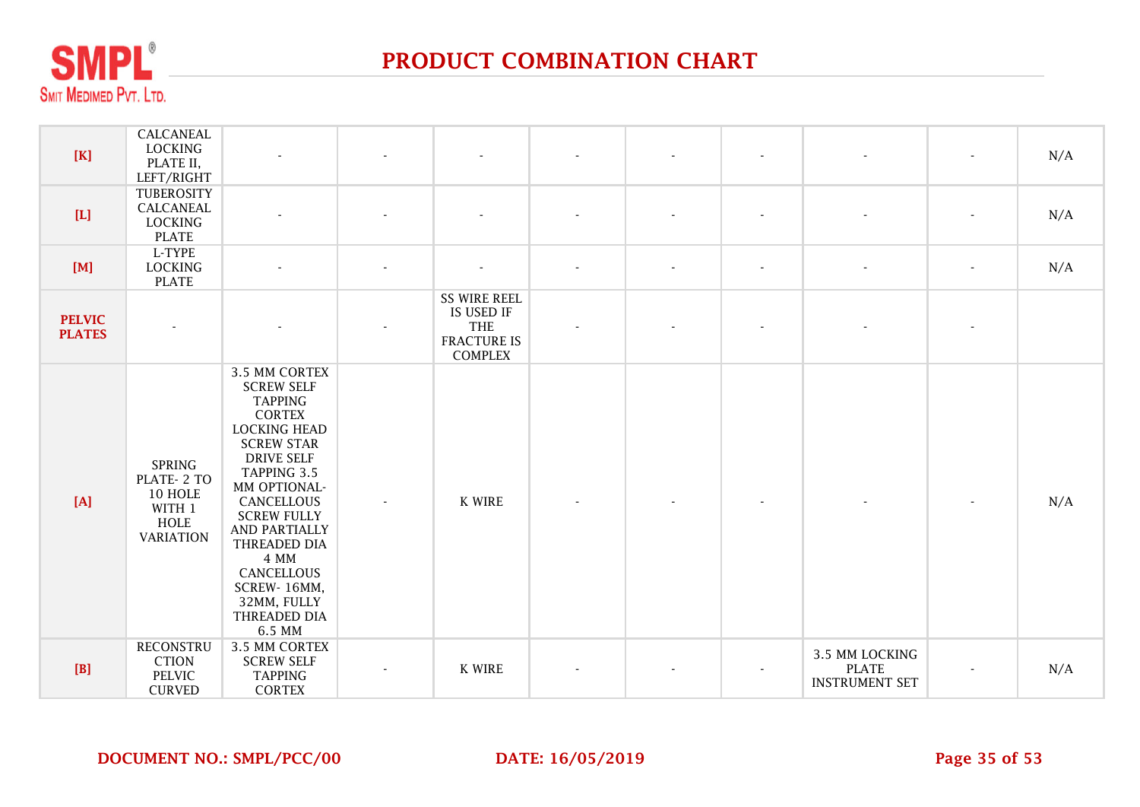

| $[K]$                                                                                                                                                                                                                                 | CALCANEAL<br><b>LOCKING</b><br>PLATE II,<br>LEFT/RIGHT                              | $\mathbf{r}$                                                                                                                                                                                                                                                                                                             |                          | $\blacksquare$                                                                          | $\blacksquare$           | $\overline{\phantom{a}}$ | $\blacksquare$           | $\overline{\phantom{a}}$                                | $\overline{\phantom{a}}$ | N/A |
|---------------------------------------------------------------------------------------------------------------------------------------------------------------------------------------------------------------------------------------|-------------------------------------------------------------------------------------|--------------------------------------------------------------------------------------------------------------------------------------------------------------------------------------------------------------------------------------------------------------------------------------------------------------------------|--------------------------|-----------------------------------------------------------------------------------------|--------------------------|--------------------------|--------------------------|---------------------------------------------------------|--------------------------|-----|
| $[L] \centering% \includegraphics[width=1.0\textwidth]{Figures/PN1.png} \caption{The 3D (black) model for the $L^2$-error of the estimators in the left and right. The left and right is the same as in the right.} \label{fig:TPN1}$ | TUBEROSITY<br>CALCANEAL<br><b>LOCKING</b><br><b>PLATE</b>                           |                                                                                                                                                                                                                                                                                                                          |                          |                                                                                         | $\overline{\phantom{a}}$ | $\overline{\phantom{0}}$ | $\overline{\phantom{a}}$ | $\overline{\phantom{a}}$                                | $\overline{\phantom{a}}$ | N/A |
| [M]                                                                                                                                                                                                                                   | L-TYPE<br><b>LOCKING</b><br><b>PLATE</b>                                            |                                                                                                                                                                                                                                                                                                                          | $\overline{a}$           | $\overline{\phantom{a}}$                                                                | $\overline{\phantom{a}}$ | $\blacksquare$           | $\overline{\phantom{a}}$ | $\blacksquare$                                          | $\blacksquare$           | N/A |
| <b>PELVIC</b><br><b>PLATES</b>                                                                                                                                                                                                        |                                                                                     |                                                                                                                                                                                                                                                                                                                          |                          | <b>SS WIRE REEL</b><br>IS USED IF<br><b>THE</b><br><b>FRACTURE IS</b><br><b>COMPLEX</b> |                          |                          |                          |                                                         | $\overline{\phantom{a}}$ |     |
| [A]                                                                                                                                                                                                                                   | <b>SPRING</b><br>PLATE-2 TO<br>10 HOLE<br>WITH 1<br><b>HOLE</b><br><b>VARIATION</b> | 3.5 MM CORTEX<br><b>SCREW SELF</b><br><b>TAPPING</b><br><b>CORTEX</b><br><b>LOCKING HEAD</b><br><b>SCREW STAR</b><br><b>DRIVE SELF</b><br>TAPPING 3.5<br>MM OPTIONAL-<br>CANCELLOUS<br><b>SCREW FULLY</b><br>AND PARTIALLY<br>THREADED DIA<br>4 MM<br>CANCELLOUS<br>SCREW-16MM,<br>32MM, FULLY<br>THREADED DIA<br>6.5 MM | $\overline{\phantom{a}}$ | K WIRE                                                                                  |                          |                          |                          |                                                         |                          | N/A |
| [B]                                                                                                                                                                                                                                   | <b>RECONSTRU</b><br><b>CTION</b><br>PELVIC<br><b>CURVED</b>                         | 3.5 MM CORTEX<br><b>SCREW SELF</b><br><b>TAPPING</b><br><b>CORTEX</b>                                                                                                                                                                                                                                                    | $\overline{\phantom{a}}$ | K WIRE                                                                                  | $\blacksquare$           | ٠                        |                          | 3.5 MM LOCKING<br><b>PLATE</b><br><b>INSTRUMENT SET</b> | $\overline{\phantom{a}}$ | N/A |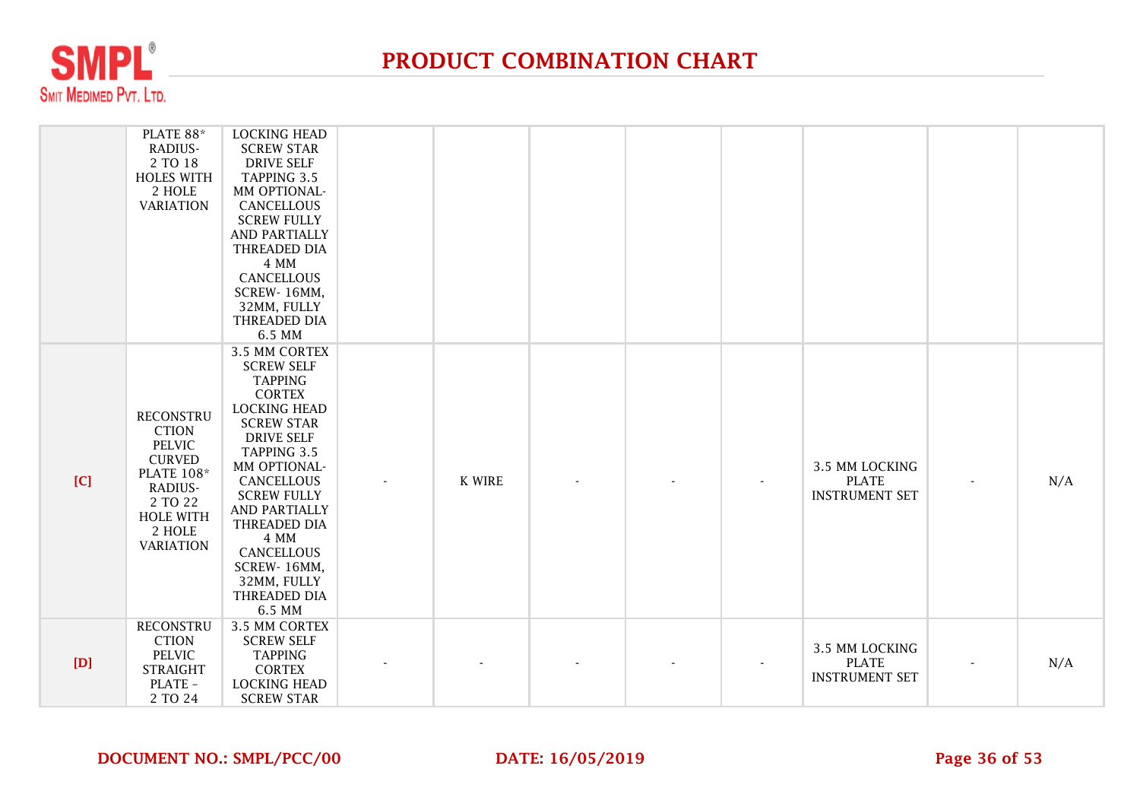

|     | PLATE 88*<br>RADIUS-<br>2 TO 18<br><b>HOLES WITH</b><br>2 HOLE<br><b>VARIATION</b>                                                                              | <b>LOCKING HEAD</b><br><b>SCREW STAR</b><br><b>DRIVE SELF</b><br>TAPPING 3.5<br>MM OPTIONAL-<br>CANCELLOUS<br><b>SCREW FULLY</b><br><b>AND PARTIALLY</b><br>THREADED DIA<br>4 MM<br>CANCELLOUS<br>SCREW-16MM,<br>32MM, FULLY<br>THREADED DIA<br>6.5 MM                                                                   |               |  |                          |                                                         |     |
|-----|-----------------------------------------------------------------------------------------------------------------------------------------------------------------|--------------------------------------------------------------------------------------------------------------------------------------------------------------------------------------------------------------------------------------------------------------------------------------------------------------------------|---------------|--|--------------------------|---------------------------------------------------------|-----|
| [C] | <b>RECONSTRU</b><br><b>CTION</b><br><b>PELVIC</b><br><b>CURVED</b><br><b>PLATE 108*</b><br>RADIUS-<br>2 TO 22<br><b>HOLE WITH</b><br>2 HOLE<br><b>VARIATION</b> | 3.5 MM CORTEX<br><b>SCREW SELF</b><br><b>TAPPING</b><br><b>CORTEX</b><br><b>LOCKING HEAD</b><br><b>SCREW STAR</b><br><b>DRIVE SELF</b><br>TAPPING 3.5<br>MM OPTIONAL-<br>CANCELLOUS<br><b>SCREW FULLY</b><br>AND PARTIALLY<br>THREADED DIA<br>4 MM<br>CANCELLOUS<br>SCREW-16MM,<br>32MM, FULLY<br>THREADED DIA<br>6.5 MM | <b>K WIRE</b> |  | $\overline{\phantom{a}}$ | 3.5 MM LOCKING<br><b>PLATE</b><br><b>INSTRUMENT SET</b> | N/A |
| [D] | <b>RECONSTRU</b><br><b>CTION</b><br>PELVIC<br><b>STRAIGHT</b><br>PLATE -<br>2 TO 24                                                                             | 3.5 MM CORTEX<br><b>SCREW SELF</b><br><b>TAPPING</b><br><b>CORTEX</b><br><b>LOCKING HEAD</b><br><b>SCREW STAR</b>                                                                                                                                                                                                        |               |  |                          | 3.5 MM LOCKING<br><b>PLATE</b><br><b>INSTRUMENT SET</b> | N/A |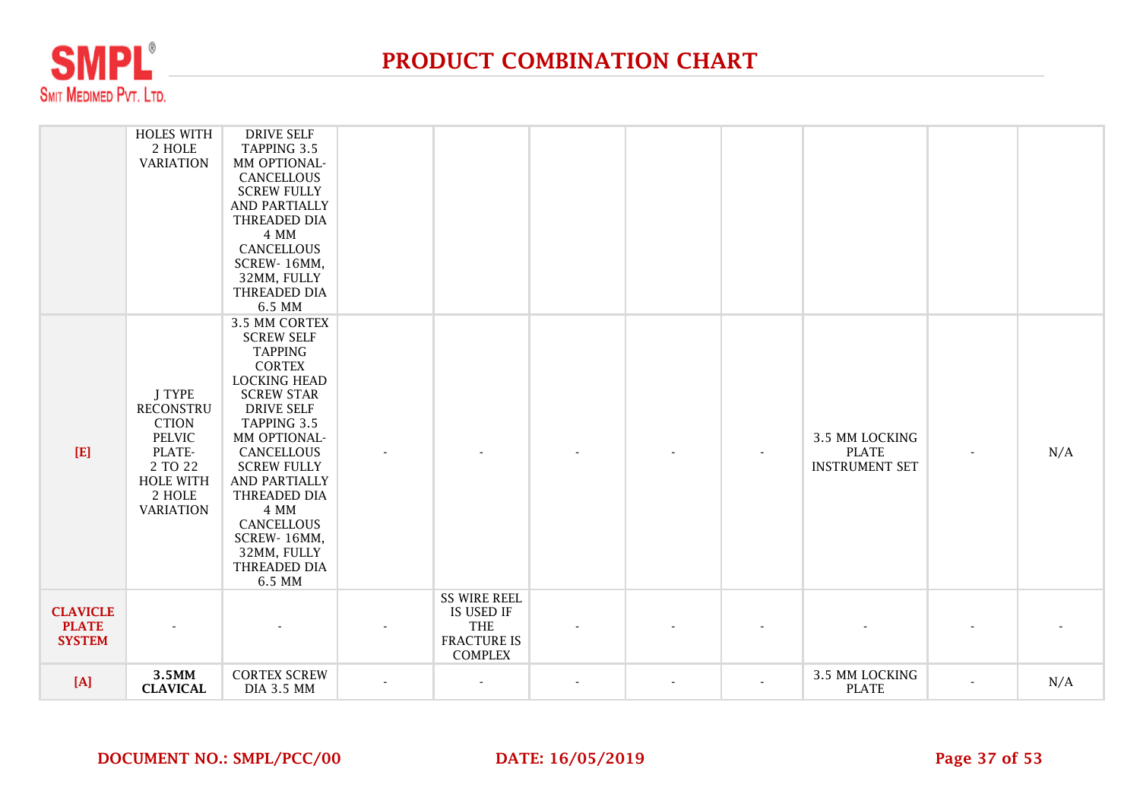

|                                                  | <b>HOLES WITH</b><br>2 HOLE<br><b>VARIATION</b>                                                                                    | <b>DRIVE SELF</b><br>TAPPING 3.5<br>MM OPTIONAL-<br>CANCELLOUS<br><b>SCREW FULLY</b><br>AND PARTIALLY<br>THREADED DIA<br>4 MM<br><b>CANCELLOUS</b><br>SCREW-16MM,<br>32MM, FULLY<br>THREADED DIA<br>6.5 MM                                                                                                                      |                                                                                  |  |                                                         |                          |     |
|--------------------------------------------------|------------------------------------------------------------------------------------------------------------------------------------|---------------------------------------------------------------------------------------------------------------------------------------------------------------------------------------------------------------------------------------------------------------------------------------------------------------------------------|----------------------------------------------------------------------------------|--|---------------------------------------------------------|--------------------------|-----|
| [E]                                              | J TYPE<br><b>RECONSTRU</b><br><b>CTION</b><br><b>PELVIC</b><br>PLATE-<br>2 TO 22<br><b>HOLE WITH</b><br>2 HOLE<br><b>VARIATION</b> | 3.5 MM CORTEX<br><b>SCREW SELF</b><br><b>TAPPING</b><br><b>CORTEX</b><br><b>LOCKING HEAD</b><br><b>SCREW STAR</b><br><b>DRIVE SELF</b><br><b>TAPPING 3.5</b><br>MM OPTIONAL-<br>CANCELLOUS<br><b>SCREW FULLY</b><br>AND PARTIALLY<br>THREADED DIA<br>4 MM<br>CANCELLOUS<br>SCREW-16MM,<br>32MM, FULLY<br>THREADED DIA<br>6.5 MM |                                                                                  |  | 3.5 MM LOCKING<br><b>PLATE</b><br><b>INSTRUMENT SET</b> | $\overline{\phantom{a}}$ | N/A |
| <b>CLAVICLE</b><br><b>PLATE</b><br><b>SYSTEM</b> |                                                                                                                                    |                                                                                                                                                                                                                                                                                                                                 | <b>SS WIRE REEL</b><br>IS USED IF<br>THE<br><b>FRACTURE IS</b><br><b>COMPLEX</b> |  |                                                         |                          |     |
| [A]                                              | 3.5MM<br><b>CLAVICAL</b>                                                                                                           | <b>CORTEX SCREW</b><br><b>DIA 3.5 MM</b>                                                                                                                                                                                                                                                                                        |                                                                                  |  | 3.5 MM LOCKING<br><b>PLATE</b>                          |                          | N/A |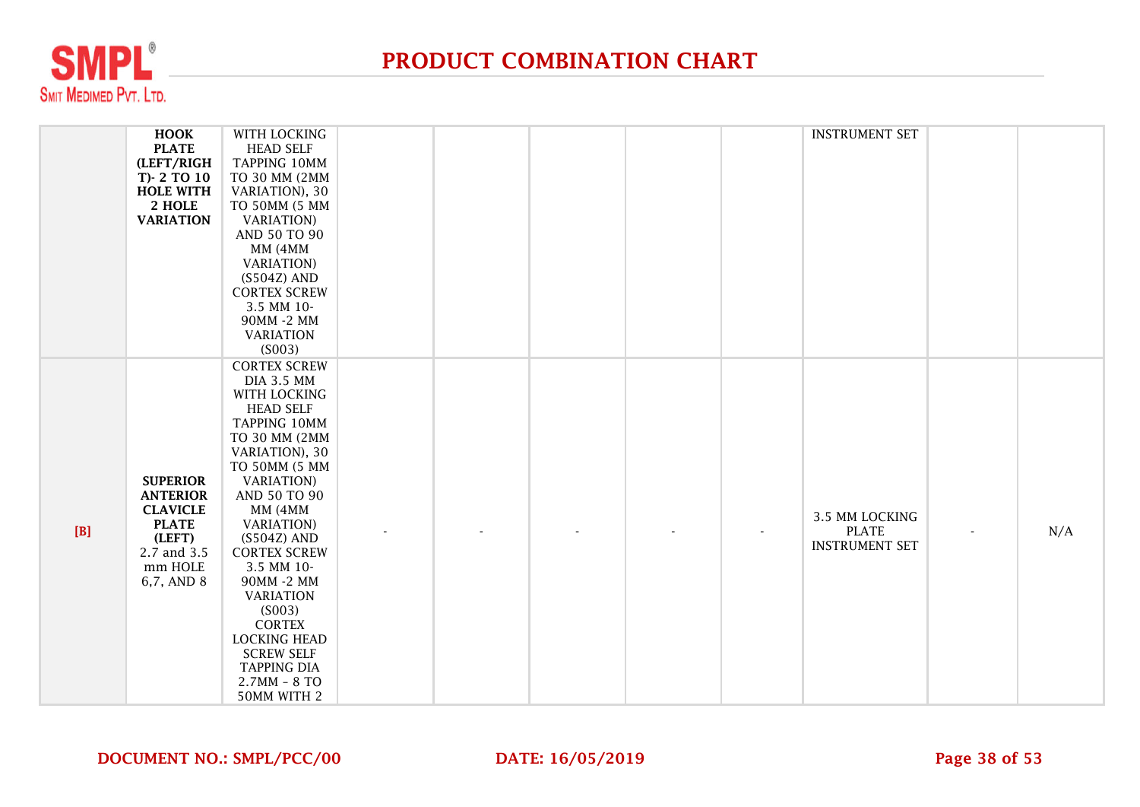

|     | <b>HOOK</b>      | WITH LOCKING                   |  |  | <b>INSTRUMENT SET</b> |     |
|-----|------------------|--------------------------------|--|--|-----------------------|-----|
|     | <b>PLATE</b>     | <b>HEAD SELF</b>               |  |  |                       |     |
|     | (LEFT/RIGH       | TAPPING 10MM                   |  |  |                       |     |
|     | T)-2 TO 10       | TO 30 MM (2MM                  |  |  |                       |     |
|     | <b>HOLE WITH</b> | VARIATION), 30                 |  |  |                       |     |
|     | 2 HOLE           | TO 50MM (5 MM                  |  |  |                       |     |
|     | <b>VARIATION</b> | <b>VARIATION</b> )             |  |  |                       |     |
|     |                  | AND 50 TO 90                   |  |  |                       |     |
|     |                  | MM (4MM                        |  |  |                       |     |
|     |                  | <b>VARIATION</b> )             |  |  |                       |     |
|     |                  | $(S504Z)$ AND                  |  |  |                       |     |
|     |                  | <b>CORTEX SCREW</b>            |  |  |                       |     |
|     |                  | 3.5 MM 10-                     |  |  |                       |     |
|     |                  | 90MM -2 MM                     |  |  |                       |     |
|     |                  | <b>VARIATION</b>               |  |  |                       |     |
|     |                  | (S003)                         |  |  |                       |     |
|     |                  | <b>CORTEX SCREW</b>            |  |  |                       |     |
|     |                  | <b>DIA 3.5 MM</b>              |  |  |                       |     |
|     |                  | WITH LOCKING                   |  |  |                       |     |
|     |                  | <b>HEAD SELF</b>               |  |  |                       |     |
|     |                  | TAPPING 10MM                   |  |  |                       |     |
|     |                  | TO 30 MM (2MM                  |  |  |                       |     |
|     |                  | VARIATION), 30                 |  |  |                       |     |
|     |                  | TO 50MM (5 MM                  |  |  |                       |     |
|     | <b>SUPERIOR</b>  | <b>VARIATION</b> )             |  |  |                       |     |
|     | <b>ANTERIOR</b>  | AND 50 TO 90                   |  |  |                       |     |
|     | <b>CLAVICLE</b>  | MM (4MM                        |  |  | 3.5 MM LOCKING        |     |
| [B] | <b>PLATE</b>     | <b>VARIATION</b> )             |  |  | <b>PLATE</b>          | N/A |
|     | (LEFT)           | $(S504Z)$ AND                  |  |  | <b>INSTRUMENT SET</b> |     |
|     | 2.7 and 3.5      | <b>CORTEX SCREW</b>            |  |  |                       |     |
|     | mm HOLE          | 3.5 MM 10-                     |  |  |                       |     |
|     | 6,7, AND 8       | 90MM -2 MM<br><b>VARIATION</b> |  |  |                       |     |
|     |                  | (S003)                         |  |  |                       |     |
|     |                  | <b>CORTEX</b>                  |  |  |                       |     |
|     |                  | <b>LOCKING HEAD</b>            |  |  |                       |     |
|     |                  | <b>SCREW SELF</b>              |  |  |                       |     |
|     |                  | <b>TAPPING DIA</b>             |  |  |                       |     |
|     |                  | $2.7MM - 8 TO$                 |  |  |                       |     |
|     |                  | 50MM WITH 2                    |  |  |                       |     |
|     |                  |                                |  |  |                       |     |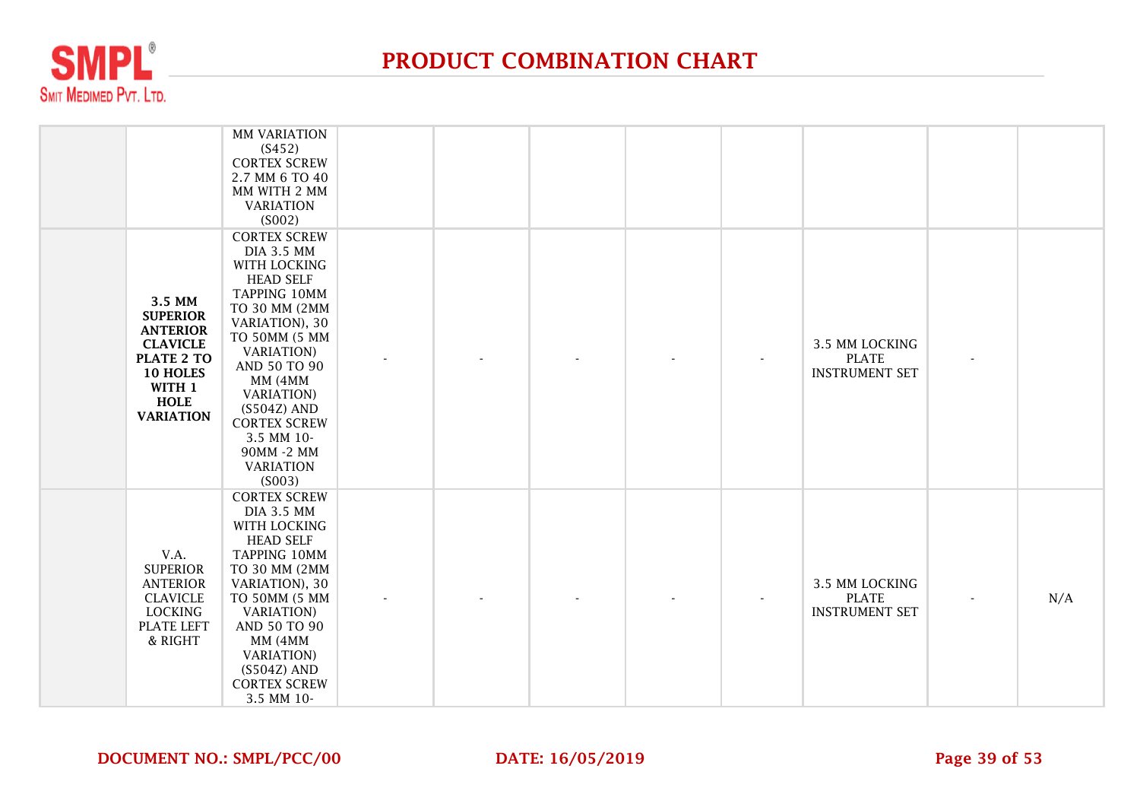

|                                                                                                                                               | <b>MM VARIATION</b><br>(S452)<br><b>CORTEX SCREW</b><br>2.7 MM 6 TO 40<br>MM WITH 2 MM<br><b>VARIATION</b><br>(S002)                                                                                                                                                                                                      |  |  |                                                         |     |
|-----------------------------------------------------------------------------------------------------------------------------------------------|---------------------------------------------------------------------------------------------------------------------------------------------------------------------------------------------------------------------------------------------------------------------------------------------------------------------------|--|--|---------------------------------------------------------|-----|
| 3.5 MM<br><b>SUPERIOR</b><br><b>ANTERIOR</b><br><b>CLAVICLE</b><br><b>PLATE 2 TO</b><br>10 HOLES<br>WITH 1<br><b>HOLE</b><br><b>VARIATION</b> | <b>CORTEX SCREW</b><br><b>DIA 3.5 MM</b><br>WITH LOCKING<br><b>HEAD SELF</b><br>TAPPING 10MM<br>TO 30 MM (2MM<br>VARIATION), 30<br>TO 50MM (5 MM<br><b>VARIATION</b> )<br>AND 50 TO 90<br>MM (4MM<br><b>VARIATION</b> )<br>$(S504Z)$ AND<br><b>CORTEX SCREW</b><br>3.5 MM 10-<br>90MM -2 MM<br><b>VARIATION</b><br>(S003) |  |  | 3.5 MM LOCKING<br><b>PLATE</b><br><b>INSTRUMENT SET</b> |     |
| V.A.<br><b>SUPERIOR</b><br><b>ANTERIOR</b><br><b>CLAVICLE</b><br><b>LOCKING</b><br><b>PLATE LEFT</b><br>& RIGHT                               | <b>CORTEX SCREW</b><br><b>DIA 3.5 MM</b><br>WITH LOCKING<br><b>HEAD SELF</b><br>TAPPING 10MM<br>TO 30 MM (2MM<br>VARIATION), 30<br>TO 50MM (5 MM<br><b>VARIATION</b> )<br>AND 50 TO 90<br>MM (4MM<br><b>VARIATION</b> )<br>$(S504Z)$ AND<br><b>CORTEX SCREW</b><br>3.5 MM 10-                                             |  |  | 3.5 MM LOCKING<br><b>PLATE</b><br><b>INSTRUMENT SET</b> | N/A |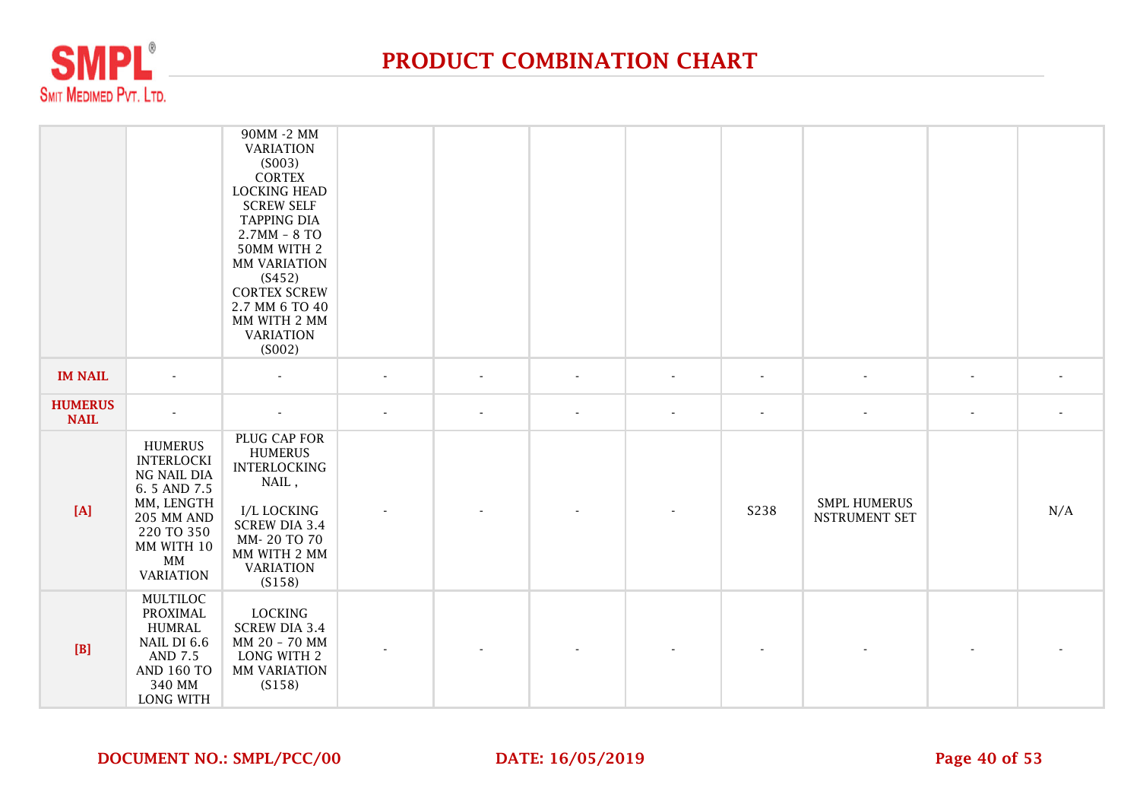

|                               |                                                                                                                                                            | 90MM -2 MM<br><b>VARIATION</b><br>(S003)<br><b>CORTEX</b><br><b>LOCKING HEAD</b><br><b>SCREW SELF</b><br><b>TAPPING DIA</b><br>$2.7MM - 8 TO$<br>50MM WITH 2<br>MM VARIATION<br>(S452)<br><b>CORTEX SCREW</b><br>2.7 MM 6 TO 40<br>MM WITH 2 MM<br><b>VARIATION</b><br>(S002) |                          |                          |                          |                          |                          |                                             |                          |                          |
|-------------------------------|------------------------------------------------------------------------------------------------------------------------------------------------------------|-------------------------------------------------------------------------------------------------------------------------------------------------------------------------------------------------------------------------------------------------------------------------------|--------------------------|--------------------------|--------------------------|--------------------------|--------------------------|---------------------------------------------|--------------------------|--------------------------|
| <b>IM NAIL</b>                | $\overline{\phantom{a}}$                                                                                                                                   |                                                                                                                                                                                                                                                                               |                          | $\overline{\phantom{a}}$ | $\overline{\phantom{a}}$ | $\overline{\phantom{a}}$ | $\overline{\phantom{a}}$ |                                             | ٠                        |                          |
| <b>HUMERUS</b><br><b>NAIL</b> | $\overline{\phantom{a}}$                                                                                                                                   | $\overline{\phantom{a}}$                                                                                                                                                                                                                                                      | $\overline{\phantom{a}}$ | $\overline{\phantom{a}}$ | $\overline{\phantom{a}}$ | $\blacksquare$           | $\overline{\phantom{a}}$ |                                             | $\overline{\phantom{a}}$ | $\overline{\phantom{a}}$ |
| [A]                           | <b>HUMERUS</b><br><b>INTERLOCKI</b><br>NG NAIL DIA<br>6.5 AND 7.5<br>MM, LENGTH<br><b>205 MM AND</b><br>220 TO 350<br>MM WITH 10<br>MM<br><b>VARIATION</b> | PLUG CAP FOR<br><b>HUMERUS</b><br><b>INTERLOCKING</b><br>NAIL,<br>I/L LOCKING<br><b>SCREW DIA 3.4</b><br>MM-20 TO 70<br>MM WITH 2 MM<br><b>VARIATION</b><br>(S158)                                                                                                            |                          |                          |                          |                          | S238                     | <b>SMPL HUMERUS</b><br><b>NSTRUMENT SET</b> |                          | N/A                      |
| [B]                           | MULTILOC<br>PROXIMAL<br><b>HUMRAL</b><br>NAIL DI 6.6<br><b>AND 7.5</b><br><b>AND 160 TO</b><br>340 MM<br>LONG WITH                                         | <b>LOCKING</b><br><b>SCREW DIA 3.4</b><br>MM 20 - 70 MM<br>LONG WITH 2<br>MM VARIATION<br>(S158)                                                                                                                                                                              |                          |                          |                          |                          |                          |                                             |                          |                          |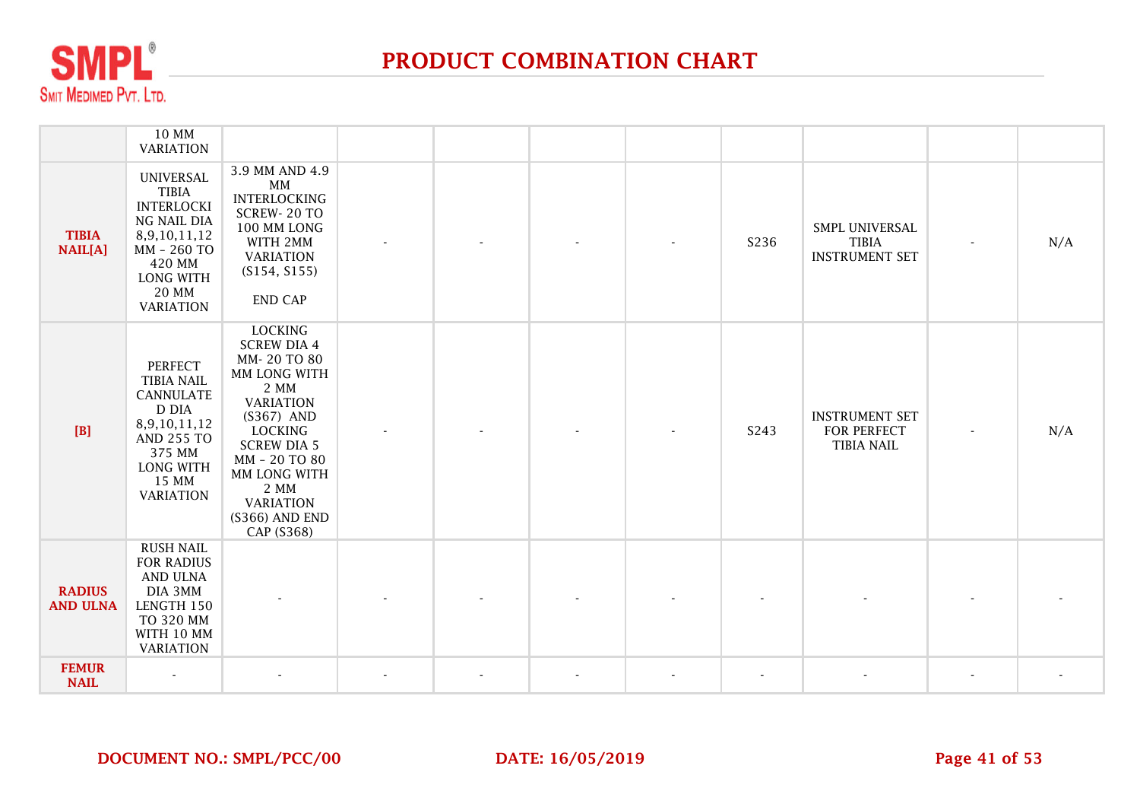

|                                  | 10 MM<br><b>VARIATION</b>                                                                                                                                        |                                                                                                                                                                                                                                                    |  |  |                          |                                                           |                          |     |
|----------------------------------|------------------------------------------------------------------------------------------------------------------------------------------------------------------|----------------------------------------------------------------------------------------------------------------------------------------------------------------------------------------------------------------------------------------------------|--|--|--------------------------|-----------------------------------------------------------|--------------------------|-----|
| <b>TIBIA</b><br><b>NAIL[A]</b>   | <b>UNIVERSAL</b><br><b>TIBIA</b><br><b>INTERLOCKI</b><br>NG NAIL DIA<br>8,9,10,11,12<br>MM - 260 TO<br>420 MM<br><b>LONG WITH</b><br>20 MM<br><b>VARIATION</b>   | 3.9 MM AND 4.9<br>MM<br><b>INTERLOCKING</b><br>SCREW-20 TO<br>100 MM LONG<br>WITH 2MM<br><b>VARIATION</b><br>(S154, S155)<br><b>END CAP</b>                                                                                                        |  |  | S236                     | SMPL UNIVERSAL<br><b>TIBIA</b><br><b>INSTRUMENT SET</b>   | $\overline{\phantom{a}}$ | N/A |
| [B]                              | <b>PERFECT</b><br><b>TIBIA NAIL</b><br><b>CANNULATE</b><br>D DIA<br>8,9,10,11,12<br><b>AND 255 TO</b><br>375 MM<br><b>LONG WITH</b><br>15 MM<br><b>VARIATION</b> | <b>LOCKING</b><br><b>SCREW DIA 4</b><br>MM-20 TO 80<br>MM LONG WITH<br>2 MM<br><b>VARIATION</b><br>(S367) AND<br><b>LOCKING</b><br><b>SCREW DIA 5</b><br>MM - 20 TO 80<br>MM LONG WITH<br>2 MM<br><b>VARIATION</b><br>(S366) AND END<br>CAP (S368) |  |  | S243                     | <b>INSTRUMENT SET</b><br>FOR PERFECT<br><b>TIBIA NAIL</b> |                          | N/A |
| <b>RADIUS</b><br><b>AND ULNA</b> | <b>RUSH NAIL</b><br><b>FOR RADIUS</b><br>AND ULNA<br>DIA 3MM<br>LENGTH 150<br>TO 320 MM<br>WITH 10 MM<br><b>VARIATION</b>                                        |                                                                                                                                                                                                                                                    |  |  |                          |                                                           |                          |     |
| <b>FEMUR</b><br><b>NAIL</b>      |                                                                                                                                                                  |                                                                                                                                                                                                                                                    |  |  | $\overline{\phantom{a}}$ |                                                           |                          |     |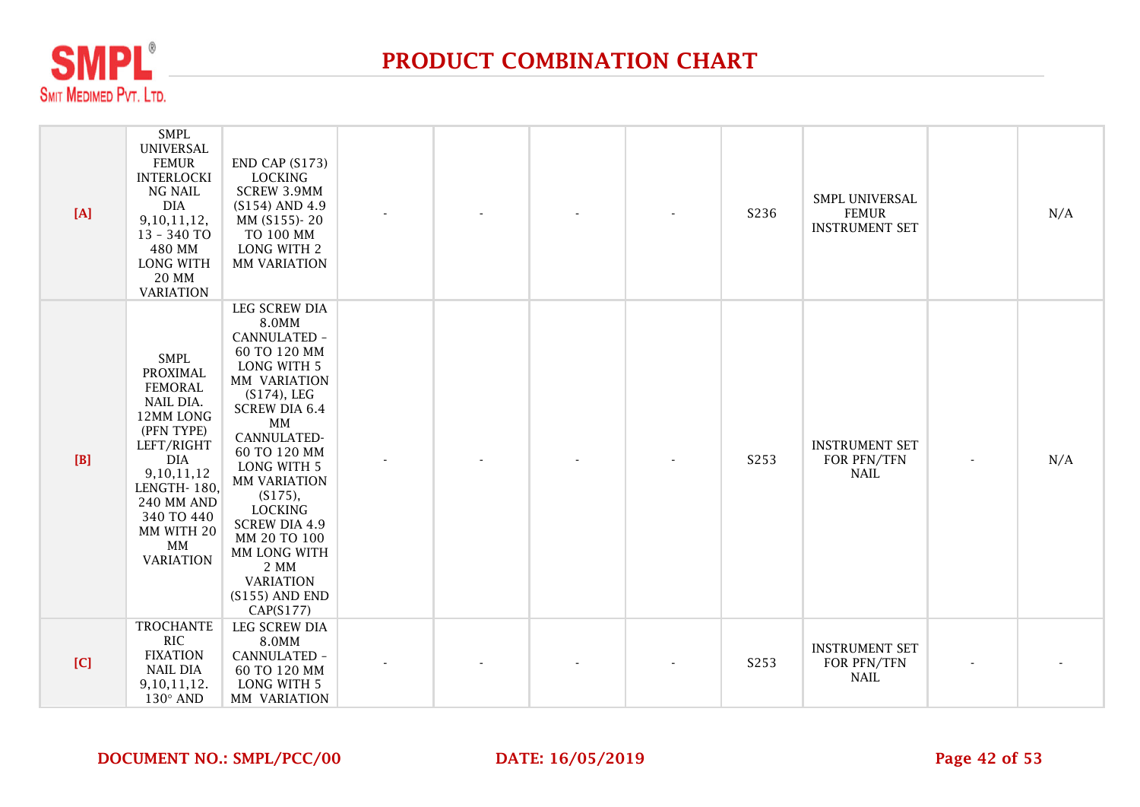

| $[A]$ | <b>SMPL</b><br><b>UNIVERSAL</b><br><b>FEMUR</b><br><b>INTERLOCKI</b><br>NG NAIL<br><b>DIA</b><br>9, 10, 11, 12,<br>13 - 340 TO<br>480 MM<br>LONG WITH<br><b>20 MM</b><br><b>VARIATION</b>                                | END CAP (S173)<br><b>LOCKING</b><br><b>SCREW 3.9MM</b><br>(S154) AND 4.9<br>MM (S155)-20<br>TO 100 MM<br>LONG WITH 2<br><b>MM VARIATION</b>                                                                                                                                                                                                                         |  |  | S236 | SMPL UNIVERSAL<br><b>FEMUR</b><br><b>INSTRUMENT SET</b> |                | N/A |
|-------|--------------------------------------------------------------------------------------------------------------------------------------------------------------------------------------------------------------------------|---------------------------------------------------------------------------------------------------------------------------------------------------------------------------------------------------------------------------------------------------------------------------------------------------------------------------------------------------------------------|--|--|------|---------------------------------------------------------|----------------|-----|
| $[B]$ | <b>SMPL</b><br>PROXIMAL<br><b>FEMORAL</b><br>NAIL DIA.<br>12MM LONG<br>(PFN TYPE)<br>LEFT/RIGHT<br><b>DIA</b><br>9, 10, 11, 12<br>LENGTH-180,<br><b>240 MM AND</b><br>340 TO 440<br>MM WITH 20<br>MM<br><b>VARIATION</b> | LEG SCREW DIA<br>8.0MM<br>CANNULATED -<br>60 TO 120 MM<br>LONG WITH 5<br>MM VARIATION<br>$(S174)$ , LEG<br><b>SCREW DIA 6.4</b><br>MM<br>CANNULATED-<br>60 TO 120 MM<br><b>LONG WITH 5</b><br><b>MM VARIATION</b><br>(S175),<br><b>LOCKING</b><br><b>SCREW DIA 4.9</b><br>MM 20 TO 100<br>MM LONG WITH<br>2 MM<br><b>VARIATION</b><br>$(S155)$ AND END<br>CAP(S177) |  |  | S253 | <b>INSTRUMENT SET</b><br>FOR PFN/TFN<br><b>NAIL</b>     | $\blacksquare$ | N/A |
| [C]   | <b>TROCHANTE</b><br><b>RIC</b><br><b>FIXATION</b><br><b>NAIL DIA</b><br>9,10,11,12.<br>$130^\circ$ AND                                                                                                                   | <b>LEG SCREW DIA</b><br>8.0MM<br>CANNULATED -<br>60 TO 120 MM<br><b>LONG WITH 5</b><br>MM VARIATION                                                                                                                                                                                                                                                                 |  |  | S253 | <b>INSTRUMENT SET</b><br>FOR PFN/TFN<br><b>NAIL</b>     |                |     |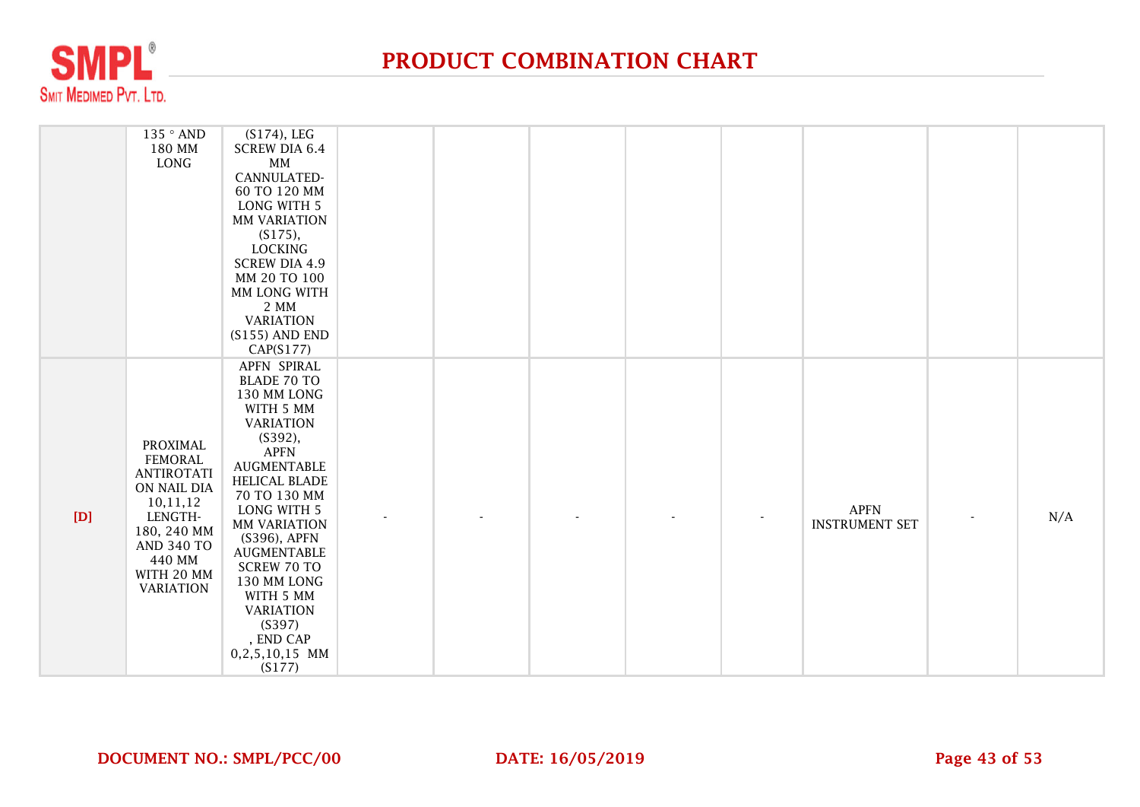

|     | 135 ° AND<br>180 MM<br>LONG                                                                                                                                                  | $(S174)$ , LEG<br><b>SCREW DIA 6.4</b><br>MM<br>CANNULATED-<br>60 TO 120 MM<br><b>LONG WITH 5</b><br>MM VARIATION<br>$(S175)$ ,<br><b>LOCKING</b><br><b>SCREW DIA 4.9</b><br>MM 20 TO 100<br>MM LONG WITH<br>2 MM<br><b>VARIATION</b><br>$(S155)$ AND END<br>CAP(S177)                                                                             |  |  |                |                                      |     |
|-----|------------------------------------------------------------------------------------------------------------------------------------------------------------------------------|----------------------------------------------------------------------------------------------------------------------------------------------------------------------------------------------------------------------------------------------------------------------------------------------------------------------------------------------------|--|--|----------------|--------------------------------------|-----|
| [D] | <b>PROXIMAL</b><br><b>FEMORAL</b><br><b>ANTIROTATI</b><br>ON NAIL DIA<br>10,11,12<br>LENGTH-<br>180, 240 MM<br><b>AND 340 TO</b><br>440 MM<br>WITH 20 MM<br><b>VARIATION</b> | APFN SPIRAL<br><b>BLADE 70 TO</b><br>130 MM LONG<br>WITH 5 MM<br><b>VARIATION</b><br>(S392),<br><b>APFN</b><br>AUGMENTABLE<br>HELICAL BLADE<br>70 TO 130 MM<br>LONG WITH 5<br>MM VARIATION<br>(S396), APFN<br>AUGMENTABLE<br><b>SCREW 70 TO</b><br>130 MM LONG<br>WITH 5 MM<br><b>VARIATION</b><br>(S397)<br>, END CAP<br>0,2,5,10,15 MM<br>(S177) |  |  | $\blacksquare$ | <b>APFN</b><br><b>INSTRUMENT SET</b> | N/A |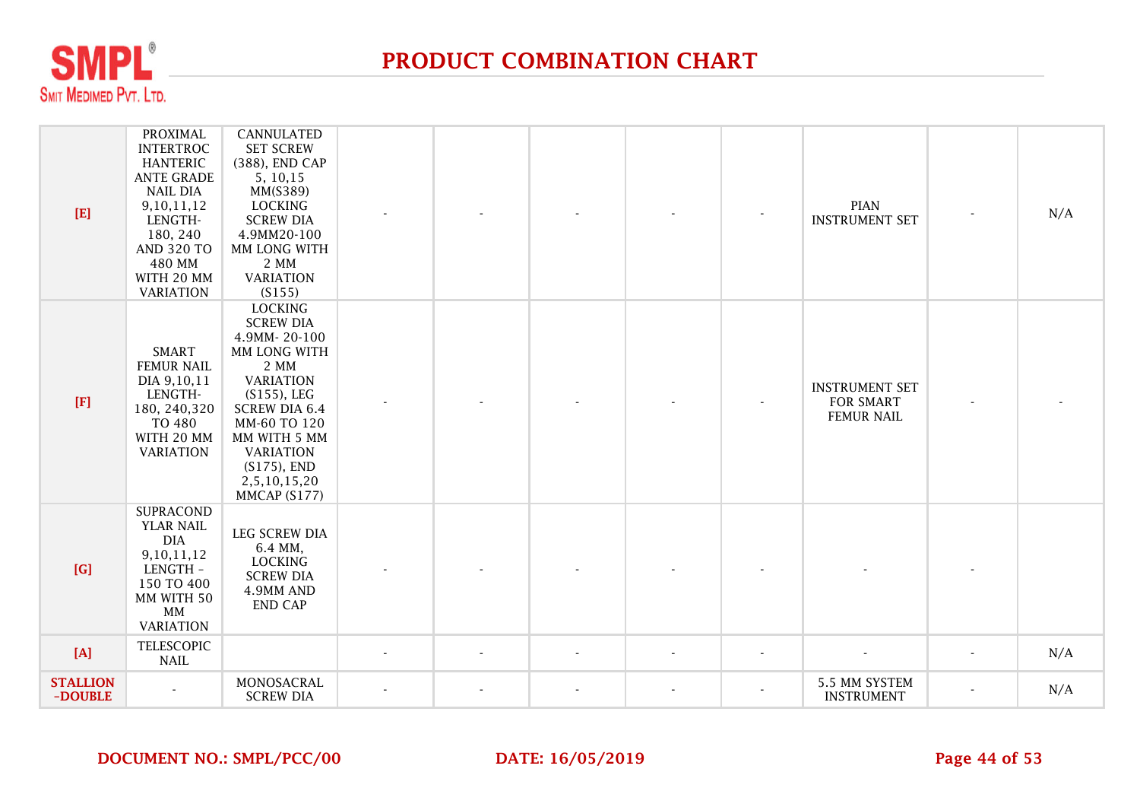

| $[E]$                      | <b>PROXIMAL</b><br><b>INTERTROC</b><br><b>HANTERIC</b><br><b>ANTE GRADE</b><br><b>NAIL DIA</b><br>9,10,11,12<br>LENGTH-<br>180, 240<br><b>AND 320 TO</b><br>480 MM<br>WITH 20 MM<br><b>VARIATION</b> | <b>CANNULATED</b><br><b>SET SCREW</b><br>(388), END CAP<br>5, 10, 15<br>MM(S389)<br><b>LOCKING</b><br><b>SCREW DIA</b><br>4.9MM20-100<br>MM LONG WITH<br>2 MM<br><b>VARIATION</b><br>(S155)                                                    |                          |  | <b>PIAN</b><br><b>INSTRUMENT SET</b>                           |                | N/A |
|----------------------------|------------------------------------------------------------------------------------------------------------------------------------------------------------------------------------------------------|------------------------------------------------------------------------------------------------------------------------------------------------------------------------------------------------------------------------------------------------|--------------------------|--|----------------------------------------------------------------|----------------|-----|
| $[{\bf F}]$                | <b>SMART</b><br><b>FEMUR NAIL</b><br>DIA 9,10,11<br>LENGTH-<br>180, 240, 320<br><b>TO 480</b><br>WITH 20 MM<br><b>VARIATION</b>                                                                      | <b>LOCKING</b><br><b>SCREW DIA</b><br>4.9MM-20-100<br>MM LONG WITH<br>2 MM<br><b>VARIATION</b><br>$(S155)$ , LEG<br><b>SCREW DIA 6.4</b><br>MM-60 TO 120<br>MM WITH 5 MM<br><b>VARIATION</b><br>$(S175)$ , END<br>2,5,10,15,20<br>MMCAP (S177) |                          |  | <b>INSTRUMENT SET</b><br><b>FOR SMART</b><br><b>FEMUR NAIL</b> |                |     |
| [G]                        | <b>SUPRACOND</b><br>YLAR NAIL<br><b>DIA</b><br>9, 10, 11, 12<br>LENGTH -<br>150 TO 400<br>MM WITH 50<br>MM<br><b>VARIATION</b>                                                                       | <b>LEG SCREW DIA</b><br>6.4 MM,<br><b>LOCKING</b><br><b>SCREW DIA</b><br>4.9MM AND<br><b>END CAP</b>                                                                                                                                           |                          |  |                                                                |                |     |
| $[{\bf A}]$                | <b>TELESCOPIC</b><br><b>NAIL</b>                                                                                                                                                                     |                                                                                                                                                                                                                                                |                          |  |                                                                |                | N/A |
| <b>STALLION</b><br>-DOUBLE |                                                                                                                                                                                                      | MONOSACRAL<br><b>SCREW DIA</b>                                                                                                                                                                                                                 | $\overline{\phantom{a}}$ |  | 5.5 MM SYSTEM<br><b>INSTRUMENT</b>                             | $\overline{a}$ | N/A |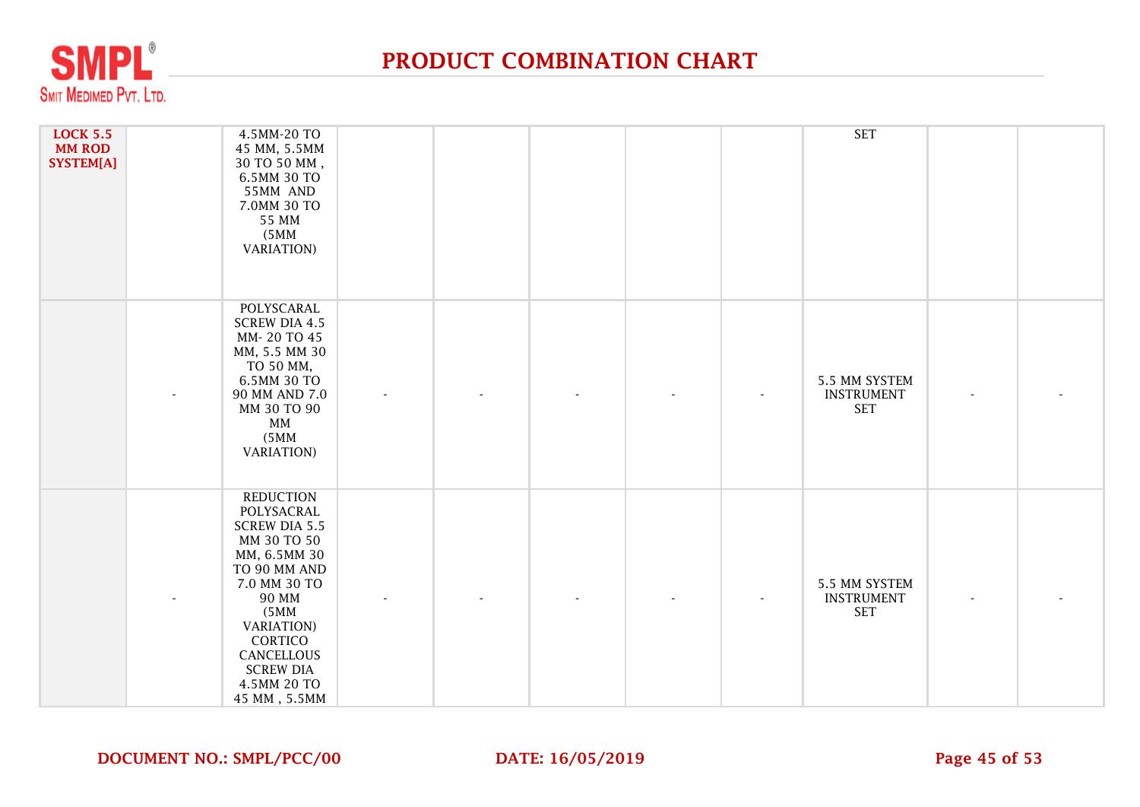

| <b>LOCK 5.5</b><br><b>MM ROD</b><br>SYSTEM[A] | 4.5MM-20 TO<br>45 MM, 5.5MM<br>30 TO 50 MM,<br>6.5MM 30 TO<br>55MM AND<br>7.0MM 30 TO<br>55 MM<br>(5MM)<br><b>VARIATION</b> )                                                                                                                    |  |  | <b>SET</b>                                       |  |
|-----------------------------------------------|--------------------------------------------------------------------------------------------------------------------------------------------------------------------------------------------------------------------------------------------------|--|--|--------------------------------------------------|--|
|                                               | POLYSCARAL<br><b>SCREW DIA 4.5</b><br>MM-20 TO 45<br>MM, 5.5 MM 30<br>TO 50 MM,<br>6.5MM 30 TO<br>90 MM AND 7.0<br>MM 30 TO 90<br>MM<br>(5MM)<br><b>VARIATION</b> )                                                                              |  |  | 5.5 MM SYSTEM<br><b>INSTRUMENT</b><br><b>SET</b> |  |
|                                               | <b>REDUCTION</b><br>POLYSACRAL<br><b>SCREW DIA 5.5</b><br>MM 30 TO 50<br>MM, 6.5MM 30<br>TO 90 MM AND<br>7.0 MM 30 TO<br><b>90 MM</b><br>(5MM)<br><b>VARIATION</b> )<br>CORTICO<br>CANCELLOUS<br><b>SCREW DIA</b><br>4.5MM 20 TO<br>45 MM, 5.5MM |  |  | 5.5 MM SYSTEM<br><b>INSTRUMENT</b><br><b>SET</b> |  |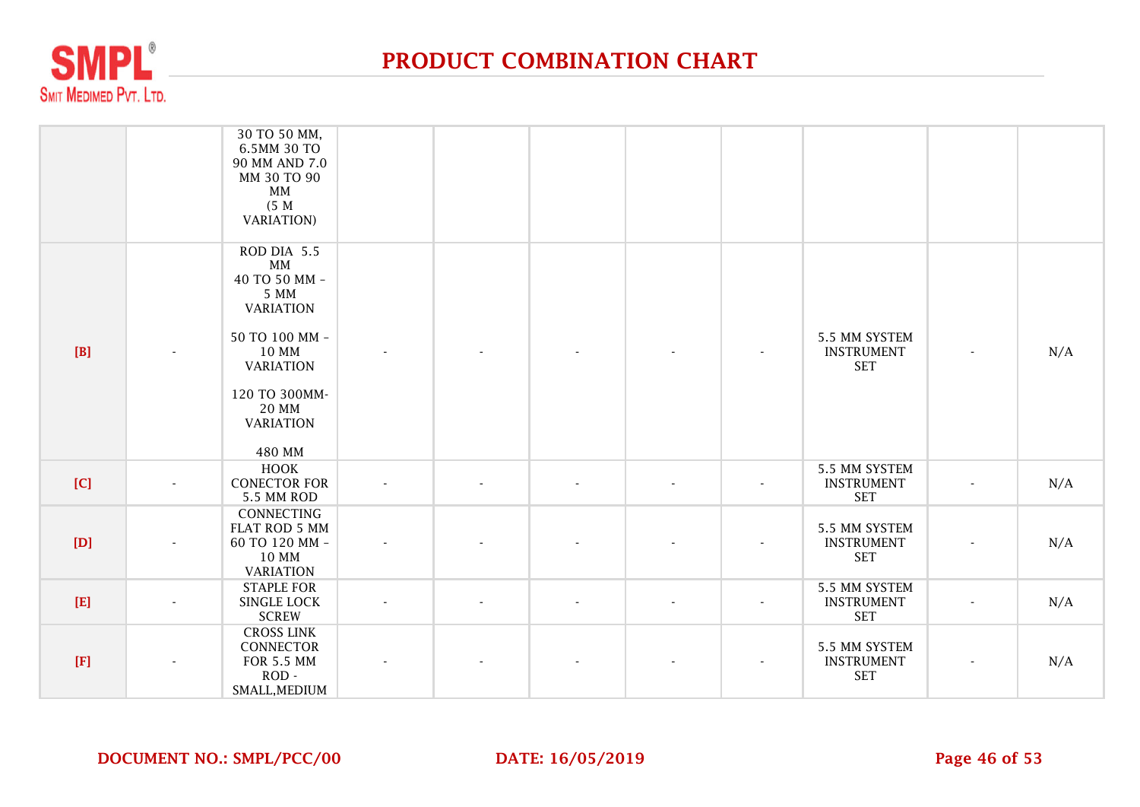

|     | 30 TO 50 MM,<br>6.5MM 30 TO<br>90 MM AND 7.0<br>MM 30 TO 90<br>MM<br>(5 M)<br><b>VARIATION</b> )                                                                      |        |  |                          |                          |                                                  |                          |     |
|-----|-----------------------------------------------------------------------------------------------------------------------------------------------------------------------|--------|--|--------------------------|--------------------------|--------------------------------------------------|--------------------------|-----|
| [B] | ROD DIA 5.5<br>MM<br>40 TO 50 MM -<br>5 MM<br><b>VARIATION</b><br>50 TO 100 MM -<br>10 MM<br><b>VARIATION</b><br>120 TO 300MM-<br>20 MM<br><b>VARIATION</b><br>480 MM |        |  |                          |                          | 5.5 MM SYSTEM<br><b>INSTRUMENT</b><br><b>SET</b> | $\blacksquare$           | N/A |
| [C] | <b>HOOK</b><br><b>CONECTOR FOR</b><br>5.5 MM ROD                                                                                                                      | $\sim$ |  | $\blacksquare$           | $\blacksquare$           | 5.5 MM SYSTEM<br><b>INSTRUMENT</b><br><b>SET</b> | $\blacksquare$           | N/A |
| [D] | <b>CONNECTING</b><br>FLAT ROD 5 MM<br>60 TO 120 MM -<br>10 MM<br><b>VARIATION</b>                                                                                     |        |  |                          |                          | 5.5 MM SYSTEM<br><b>INSTRUMENT</b><br><b>SET</b> | $\overline{\phantom{a}}$ | N/A |
| [E] | <b>STAPLE FOR</b><br>SINGLE LOCK<br><b>SCREW</b>                                                                                                                      | $\sim$ |  | $\overline{\phantom{a}}$ | $\overline{\phantom{a}}$ | 5.5 MM SYSTEM<br><b>INSTRUMENT</b><br><b>SET</b> | $\overline{\phantom{a}}$ | N/A |
| [F] | <b>CROSS LINK</b><br>CONNECTOR<br><b>FOR 5.5 MM</b><br>$ROD -$<br>SMALL, MEDIUM                                                                                       |        |  |                          |                          | 5.5 MM SYSTEM<br><b>INSTRUMENT</b><br><b>SET</b> |                          | N/A |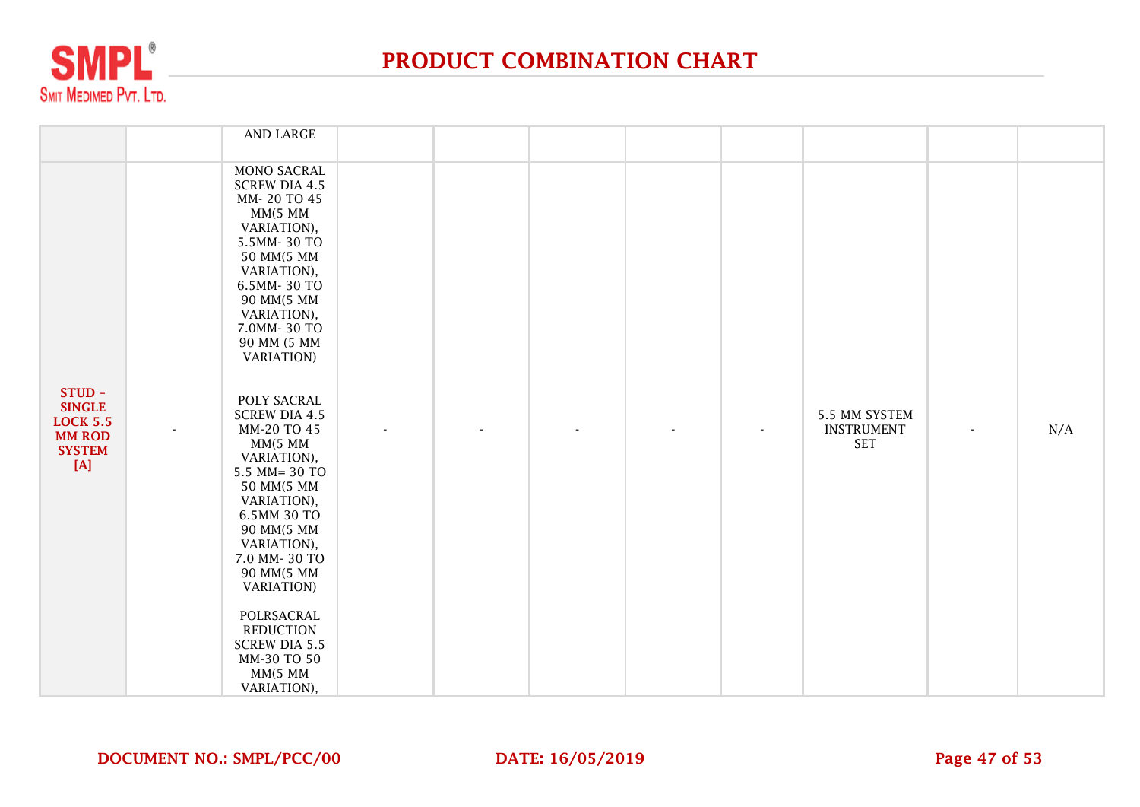

|                                                                                            | AND LARGE                                                                                                                                                                                                                                                                                                                     |  |  |                                                  |                          |     |
|--------------------------------------------------------------------------------------------|-------------------------------------------------------------------------------------------------------------------------------------------------------------------------------------------------------------------------------------------------------------------------------------------------------------------------------|--|--|--------------------------------------------------|--------------------------|-----|
|                                                                                            | MONO SACRAL<br><b>SCREW DIA 4.5</b><br>MM-20 TO 45<br>MM(5 MM<br>VARIATION),<br>5.5MM-30 TO<br>50 MM(5 MM<br>VARIATION),<br>6.5MM-30 TO<br>90 MM(5 MM<br>VARIATION),<br>7.0MM-30 TO<br>90 MM (5 MM<br><b>VARIATION</b> )                                                                                                      |  |  |                                                  |                          |     |
| STUD-<br><b>SINGLE</b><br><b>LOCK 5.5</b><br><b>MM ROD</b><br><b>SYSTEM</b><br>$[{\bf A}]$ | POLY SACRAL<br><b>SCREW DIA 4.5</b><br>MM-20 TO 45<br>MM(5 MM<br>VARIATION),<br>5.5 MM= 30 TO<br>50 MM(5 MM<br>VARIATION),<br>6.5MM 30 TO<br>90 MM(5 MM<br>VARIATION),<br>7.0 MM-30 TO<br>90 MM(5 MM<br><b>VARIATION</b> )<br>POLRSACRAL<br><b>REDUCTION</b><br><b>SCREW DIA 5.5</b><br>MM-30 TO 50<br>MM(5 MM<br>VARIATION), |  |  | 5.5 MM SYSTEM<br><b>INSTRUMENT</b><br><b>SET</b> | $\overline{\phantom{a}}$ | N/A |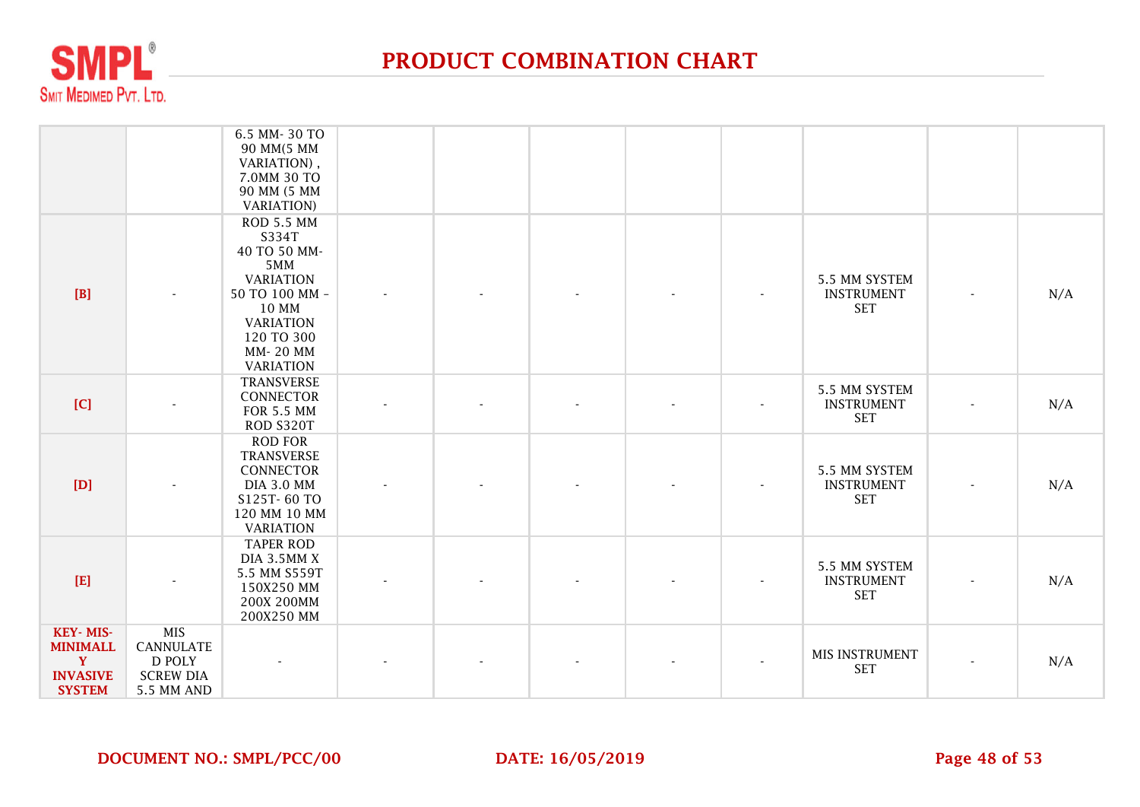

|                                                                                 |                                                                            | 6.5 MM-30 TO<br>90 MM(5 MM<br>VARIATION),<br>7.0MM 30 TO<br>90 MM (5 MM<br><b>VARIATION</b> )                                                                      |  |  |                                                  |                          |     |
|---------------------------------------------------------------------------------|----------------------------------------------------------------------------|--------------------------------------------------------------------------------------------------------------------------------------------------------------------|--|--|--------------------------------------------------|--------------------------|-----|
| [B]                                                                             |                                                                            | <b>ROD 5.5 MM</b><br>S334T<br>40 TO 50 MM-<br>5MM<br><b>VARIATION</b><br>50 TO 100 MM -<br>10 MM<br><b>VARIATION</b><br>120 TO 300<br>MM-20 MM<br><b>VARIATION</b> |  |  | 5.5 MM SYSTEM<br><b>INSTRUMENT</b><br><b>SET</b> | $\overline{\phantom{a}}$ | N/A |
| [C]                                                                             |                                                                            | <b>TRANSVERSE</b><br>CONNECTOR<br><b>FOR 5.5 MM</b><br>ROD S320T                                                                                                   |  |  | 5.5 MM SYSTEM<br><b>INSTRUMENT</b><br><b>SET</b> | $\blacksquare$           | N/A |
| [D]                                                                             |                                                                            | <b>ROD FOR</b><br><b>TRANSVERSE</b><br>CONNECTOR<br><b>DIA 3.0 MM</b><br>S125T-60 TO<br>120 MM 10 MM<br><b>VARIATION</b>                                           |  |  | 5.5 MM SYSTEM<br><b>INSTRUMENT</b><br><b>SET</b> | $\blacksquare$           | N/A |
| [E]                                                                             |                                                                            | <b>TAPER ROD</b><br>DIA 3.5MM X<br>5.5 MM S559T<br>150X250 MM<br>200X 200MM<br>200X250 MM                                                                          |  |  | 5.5 MM SYSTEM<br><b>INSTRUMENT</b><br><b>SET</b> | $\overline{\phantom{0}}$ | N/A |
| KEY-MIS-<br><b>MINIMALL</b><br>$\mathbf{Y}$<br><b>INVASIVE</b><br><b>SYSTEM</b> | <b>MIS</b><br><b>CANNULATE</b><br>D POLY<br><b>SCREW DIA</b><br>5.5 MM AND |                                                                                                                                                                    |  |  | MIS INSTRUMENT<br><b>SET</b>                     | $\overline{\phantom{0}}$ | N/A |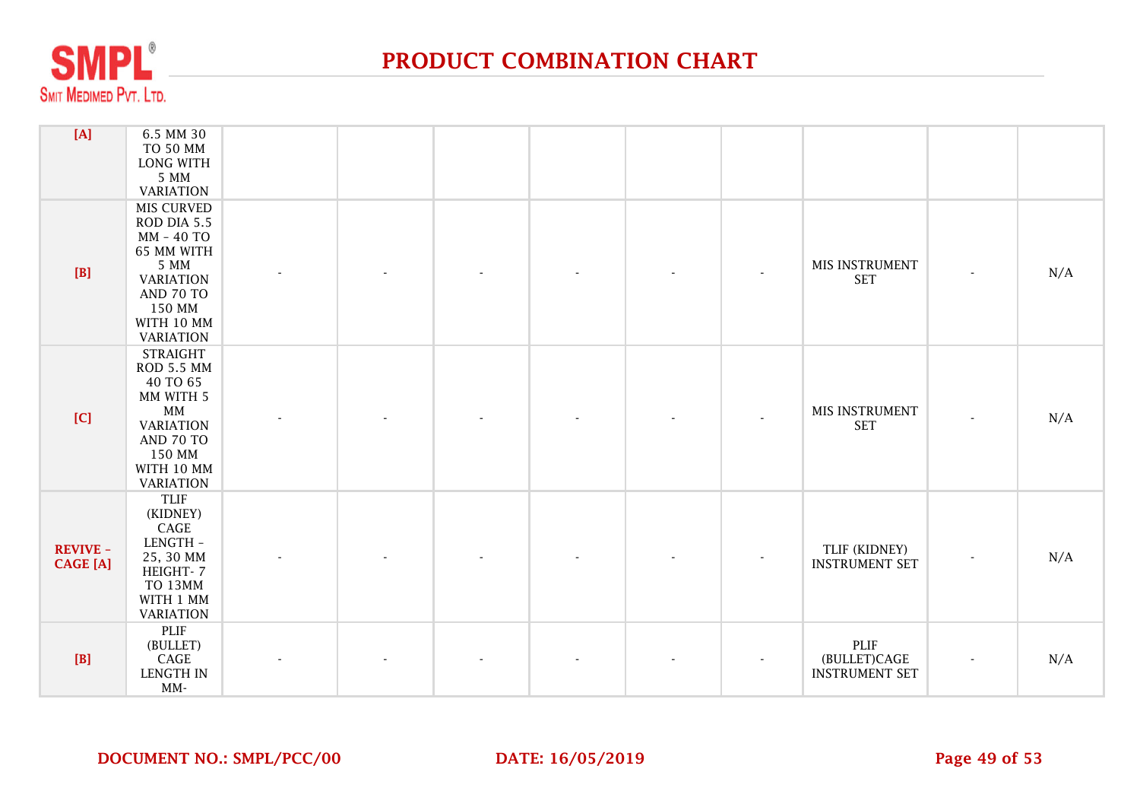

| $[A]$                              | 6.5 MM 30<br>TO 50 MM<br><b>LONG WITH</b><br>5 MM<br><b>VARIATION</b>                                                                                       |                |  |  |                                               |                |     |
|------------------------------------|-------------------------------------------------------------------------------------------------------------------------------------------------------------|----------------|--|--|-----------------------------------------------|----------------|-----|
| $[B]$                              | <b>MIS CURVED</b><br>ROD DIA 5.5<br>MM - 40 TO<br>65 MM WITH<br>5 MM<br><b>VARIATION</b><br>AND 70 TO<br>150 MM<br>WITH 10 MM<br><b>VARIATION</b>           | $\blacksquare$ |  |  | MIS INSTRUMENT<br><b>SET</b>                  | $\overline{a}$ | N/A |
| [C]                                | <b>STRAIGHT</b><br><b>ROD 5.5 MM</b><br>40 TO 65<br>MM WITH 5<br>$\texttt{MM}$<br><b>VARIATION</b><br>AND 70 TO<br>150 MM<br>WITH 10 MM<br><b>VARIATION</b> |                |  |  | MIS INSTRUMENT<br><b>SET</b>                  | $\overline{a}$ | N/A |
| <b>REVIVE -</b><br><b>CAGE</b> [A] | <b>TLIF</b><br>(KIDNEY)<br>CAGE<br>LENGTH -<br>25, 30 MM<br>HEIGHT-7<br>TO 13MM<br>WITH 1 MM<br><b>VARIATION</b>                                            |                |  |  | TLIF (KIDNEY)<br><b>INSTRUMENT SET</b>        | $\blacksquare$ | N/A |
| $[B]$                              | PLIF<br>(BULLET)<br>CAGE<br><b>LENGTH IN</b><br>$MM-$                                                                                                       |                |  |  | PLIF<br>(BULLET)CAGE<br><b>INSTRUMENT SET</b> |                | N/A |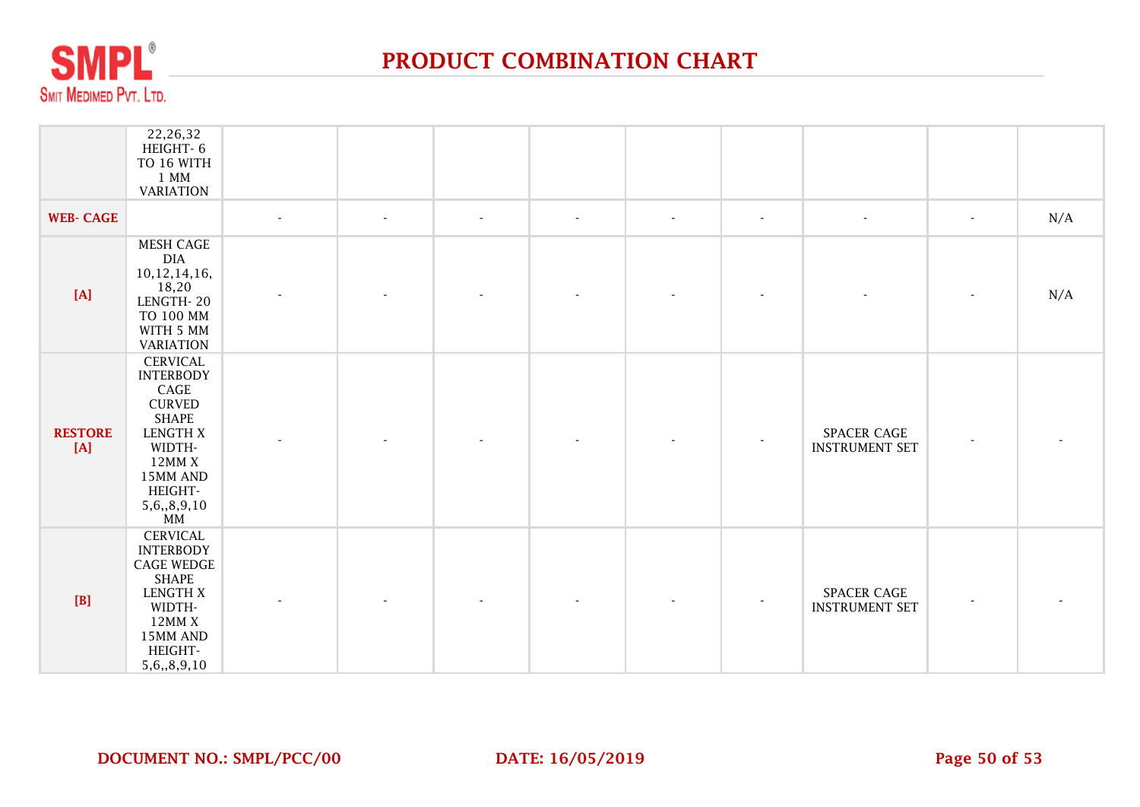

|                       | 22,26,32<br>HEIGHT-6<br>TO 16 WITH<br>$1$ MM<br><b>VARIATION</b>                                                                                                          |        |        |                |                |        |                |                                             |        |     |
|-----------------------|---------------------------------------------------------------------------------------------------------------------------------------------------------------------------|--------|--------|----------------|----------------|--------|----------------|---------------------------------------------|--------|-----|
| <b>WEB- CAGE</b>      |                                                                                                                                                                           | $\sim$ | $\sim$ | $\blacksquare$ | $\blacksquare$ | $\sim$ | $\blacksquare$ | $\sim$                                      | $\sim$ | N/A |
| $[{\bf A}]$           | <b>MESH CAGE</b><br><b>DIA</b><br>10,12,14,16,<br>18,20<br>LENGTH-20<br>TO 100 MM<br>WITH 5 MM<br><b>VARIATION</b>                                                        |        |        |                |                |        |                |                                             |        | N/A |
| <b>RESTORE</b><br>[A] | <b>CERVICAL</b><br><b>INTERBODY</b><br>CAGE<br><b>CURVED</b><br><b>SHAPE</b><br><b>LENGTH X</b><br>WIDTH-<br>12MMX<br>15MM AND<br>HEIGHT-<br>5,6,,8,9,10<br>$\texttt{MM}$ |        |        |                |                |        |                | SPACER CAGE<br><b>INSTRUMENT SET</b>        |        |     |
| [B]                   | <b>CERVICAL</b><br><b>INTERBODY</b><br><b>CAGE WEDGE</b><br><b>SHAPE</b><br><b>LENGTH X</b><br>WIDTH-<br>12MMX<br>15MM AND<br>HEIGHT-<br>5,6,,8,9,10                      |        |        |                |                |        |                | <b>SPACER CAGE</b><br><b>INSTRUMENT SET</b> |        |     |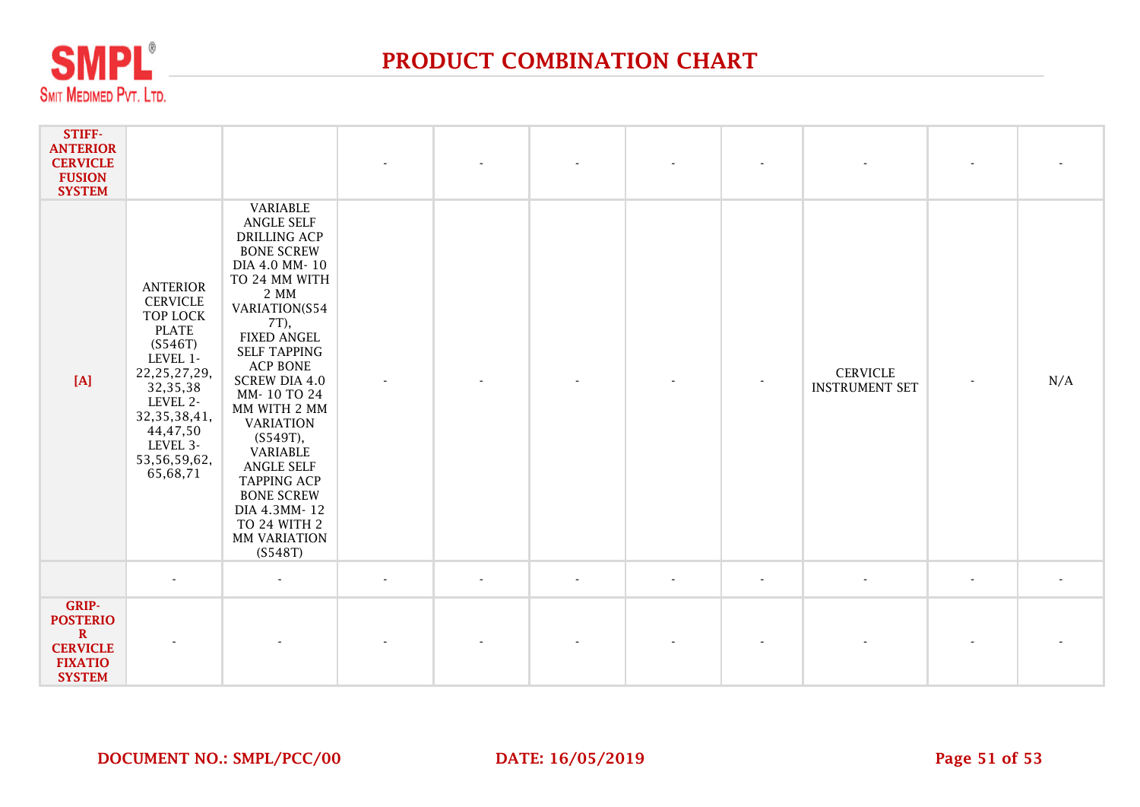

| STIFF-<br><b>ANTERIOR</b><br><b>CERVICLE</b><br><b>FUSION</b><br><b>SYSTEM</b>                |                                                                                                                                                                                                           |                                                                                                                                                                                                                                                                                                                                                                                                                                            |                          |        |                          |        |                          |                                          |                |     |
|-----------------------------------------------------------------------------------------------|-----------------------------------------------------------------------------------------------------------------------------------------------------------------------------------------------------------|--------------------------------------------------------------------------------------------------------------------------------------------------------------------------------------------------------------------------------------------------------------------------------------------------------------------------------------------------------------------------------------------------------------------------------------------|--------------------------|--------|--------------------------|--------|--------------------------|------------------------------------------|----------------|-----|
| [A]                                                                                           | <b>ANTERIOR</b><br><b>CERVICLE</b><br>TOP LOCK<br><b>PLATE</b><br>(S546T)<br>LEVEL 1-<br>22, 25, 27, 29,<br>32, 35, 38<br>LEVEL 2-<br>32, 35, 38, 41,<br>44,47,50<br>LEVEL 3-<br>53,56,59,62,<br>65,68,71 | VARIABLE<br><b>ANGLE SELF</b><br><b>DRILLING ACP</b><br><b>BONE SCREW</b><br>DIA 4.0 MM-10<br>TO 24 MM WITH<br>2 MM<br>VARIATION(S54<br>7T),<br><b>FIXED ANGEL</b><br><b>SELF TAPPING</b><br><b>ACP BONE</b><br><b>SCREW DIA 4.0</b><br>MM-10 TO 24<br>MM WITH 2 MM<br><b>VARIATION</b><br>(S549T),<br>VARIABLE<br>ANGLE SELF<br><b>TAPPING ACP</b><br><b>BONE SCREW</b><br>DIA 4.3MM-12<br>TO 24 WITH 2<br><b>MM VARIATION</b><br>(S548T) |                          |        |                          |        |                          | <b>CERVICLE</b><br><b>INSTRUMENT SET</b> |                | N/A |
|                                                                                               | $\blacksquare$                                                                                                                                                                                            | $\sim$                                                                                                                                                                                                                                                                                                                                                                                                                                     | $\overline{\phantom{a}}$ | $\sim$ | $\overline{\phantom{a}}$ | $\sim$ | $\overline{\phantom{a}}$ | $\mathbf{r}$                             | $\blacksquare$ |     |
| GRIP-<br><b>POSTERIO</b><br>$\mathbf R$<br><b>CERVICLE</b><br><b>FIXATIO</b><br><b>SYSTEM</b> |                                                                                                                                                                                                           |                                                                                                                                                                                                                                                                                                                                                                                                                                            |                          |        |                          |        |                          |                                          |                |     |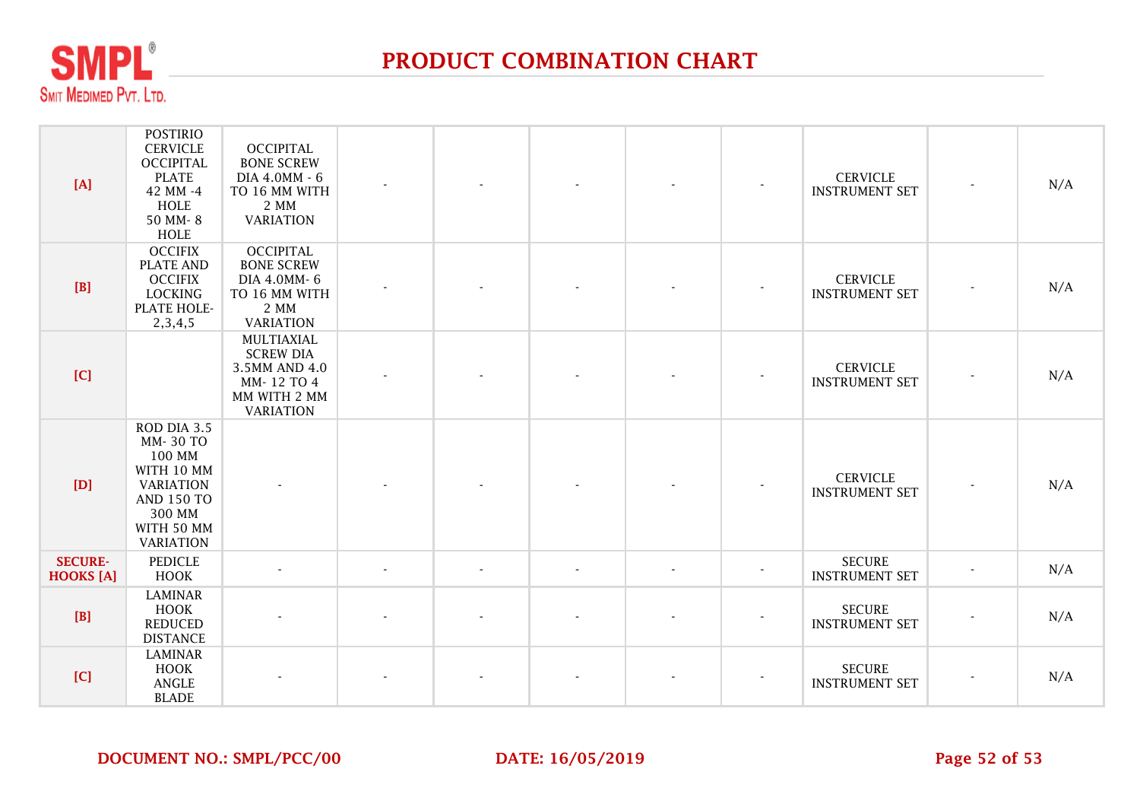

| [A]                                | <b>POSTIRIO</b><br><b>CERVICLE</b><br><b>OCCIPITAL</b><br><b>PLATE</b><br>42 MM -4<br>HOLE<br>50 MM-8<br>HOLE                        | <b>OCCIPITAL</b><br><b>BONE SCREW</b><br>DIA 4.0MM - 6<br>TO 16 MM WITH<br>2 MM<br><b>VARIATION</b> |                          |                |                          |                | $\overline{\phantom{a}}$ | <b>CERVICLE</b><br><b>INSTRUMENT SET</b> | N/A |
|------------------------------------|--------------------------------------------------------------------------------------------------------------------------------------|-----------------------------------------------------------------------------------------------------|--------------------------|----------------|--------------------------|----------------|--------------------------|------------------------------------------|-----|
| [B]                                | <b>OCCIFIX</b><br><b>PLATE AND</b><br><b>OCCIFIX</b><br><b>LOCKING</b><br>PLATE HOLE-<br>2, 3, 4, 5                                  | <b>OCCIPITAL</b><br><b>BONE SCREW</b><br>DIA 4.0MM-6<br>TO 16 MM WITH<br>2 MM<br><b>VARIATION</b>   |                          |                |                          |                |                          | <b>CERVICLE</b><br><b>INSTRUMENT SET</b> | N/A |
| [C]                                |                                                                                                                                      | MULTIAXIAL<br><b>SCREW DIA</b><br>3.5MM AND 4.0<br>MM-12 TO 4<br>MM WITH 2 MM<br><b>VARIATION</b>   |                          |                |                          |                |                          | <b>CERVICLE</b><br><b>INSTRUMENT SET</b> | N/A |
| [D]                                | ROD DIA 3.5<br>MM-30 TO<br>100 MM<br>WITH 10 MM<br><b>VARIATION</b><br><b>AND 150 TO</b><br>300 MM<br>WITH 50 MM<br><b>VARIATION</b> |                                                                                                     |                          |                |                          |                |                          | <b>CERVICLE</b><br><b>INSTRUMENT SET</b> | N/A |
| <b>SECURE-</b><br><b>HOOKS</b> [A] | <b>PEDICLE</b><br><b>HOOK</b>                                                                                                        |                                                                                                     | $\overline{\phantom{a}}$ | $\blacksquare$ | $\overline{\phantom{a}}$ | $\blacksquare$ | $\overline{\phantom{a}}$ | <b>SECURE</b><br><b>INSTRUMENT SET</b>   | N/A |
| [B]                                | <b>LAMINAR</b><br>HOOK<br><b>REDUCED</b><br><b>DISTANCE</b>                                                                          |                                                                                                     |                          |                |                          |                |                          | <b>SECURE</b><br><b>INSTRUMENT SET</b>   | N/A |
| [C]                                | <b>LAMINAR</b><br>HOOK<br>ANGLE<br><b>BLADE</b>                                                                                      |                                                                                                     |                          |                |                          |                |                          | <b>SECURE</b><br><b>INSTRUMENT SET</b>   | N/A |